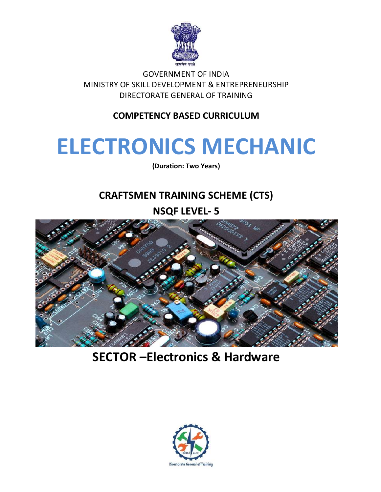

**GOVERNMENT OF INDIA** MINISTRY OF SKILL DEVELOPMENT & ENTREPRENEURSHIP DIRECTORATE GENERAL OF TRAINING

# **COMPETENCY BASED CURRICULUM**

# **ELECTRONICS MECHANIC**

(Duration: Two Years)

# **CRAFTSMEN TRAINING SCHEME (CTS)**

**NSQF LEVEL-5** 



**SECTOR-Electronics & Hardware** 

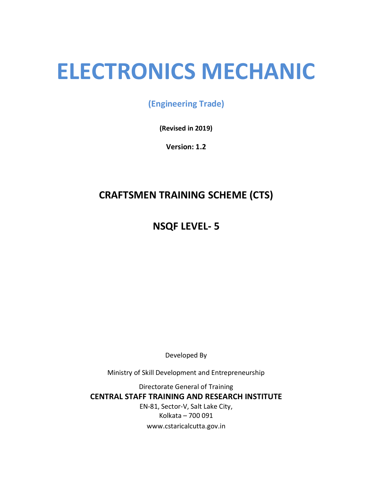# **ELECTRONICS MECHANIC**

(Engineering Trade)

(Revised in 2019)

Version: 1.2

# **CRAFTSMEN TRAINING SCHEME (CTS)**

**NSQF LEVEL-5** 

Developed By

Ministry of Skill Development and Entrepreneurship

Directorate General of Training **CENTRAL STAFF TRAINING AND RESEARCH INSTITUTE** EN-81, Sector-V, Salt Lake City, Kolkata - 700 091 www.cstaricalcutta.gov.in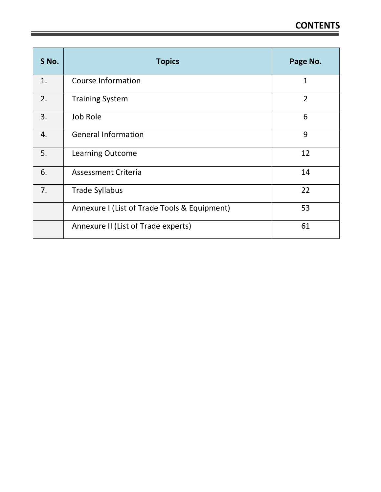| S No. | <b>Topics</b>                                | Page No.       |
|-------|----------------------------------------------|----------------|
| 1.    | <b>Course Information</b>                    | $\mathbf{1}$   |
| 2.    | <b>Training System</b>                       | $\overline{2}$ |
| 3.    | Job Role                                     | 6              |
| 4.    | <b>General Information</b>                   | 9              |
| 5.    | Learning Outcome                             | 12             |
| 6.    | <b>Assessment Criteria</b>                   | 14             |
| 7.    | <b>Trade Syllabus</b>                        | 22             |
|       | Annexure I (List of Trade Tools & Equipment) | 53             |
|       | Annexure II (List of Trade experts)          | 61             |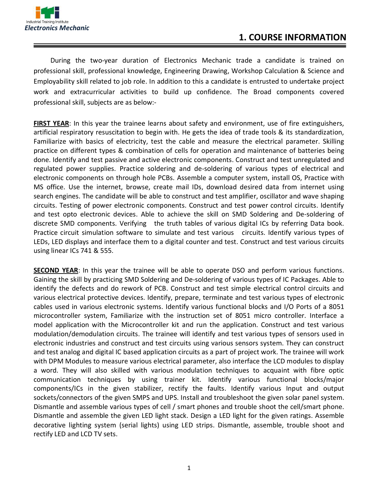

During the two-year duration of Electronics Mechanic trade a candidate is trained on professional skill, professional knowledge, Engineering Drawing, Workshop Calculation & Science and Employability skill related to job role. In addition to this a candidate is entrusted to undertake project work and extracurricular activities to build up confidence. The Broad components covered professional skill, subjects are as below:-

FIRST YEAR: In this year the trainee learns about safety and environment, use of fire extinguishers, artificial respiratory resuscitation to begin with. He gets the idea of trade tools  $\&$  its standardization, Familiarize with basics of electricity, test the cable and measure the electrical parameter. Skilling practice on different types & combination of cells for operation and maintenance of batteries being done. Identify and test passive and active electronic components. Construct and test unregulated and regulated power supplies. Practice soldering and de-soldering of various types of electrical and electronic components on through hole PCBs. Assemble a computer system, install OS, Practice with MS office. Use the internet, browse, create mail IDs, download desired data from internet using search engines. The candidate will be able to construct and test amplifier, oscillator and wave shaping circuits. Testing of power electronic components. Construct and test power control circuits. Identify and test opto electronic devices. Able to achieve the skill on SMD Soldering and De-soldering of discrete SMD components. Verifying the truth tables of various digital ICs by referring Data book. Practice circuit simulation software to simulate and test various circuits. Identify various types of LEDs, LED displays and interface them to a digital counter and test. Construct and test various circuits using linear ICs  $741$  &  $555$ .

**SECOND YEAR:** In this year the trainee will be able to operate DSO and perform various functions. Gaining the skill by practicing SMD Soldering and De-soldering of various types of IC Packages. Able to identify the defects and do rework of PCB. Construct and test simple electrical control circuits and various electrical protective devices. Identify, prepare, terminate and test various types of electronic cables used in various electronic systems. Identify various functional blocks and I/O Ports of a 8051 microcontroller system, Familiarize with the instruction set of 8051 micro controller. Interface a model application with the Microcontroller kit and run the application. Construct and test various modulation/demodulation circuits. The trainee will identify and test various types of sensors used in electronic industries and construct and test circuits using various sensors system. They can construct and test analog and digital IC based application circuits as a part of project work. The trainee will work with DPM Modules to measure various electrical parameter, also interface the LCD modules to display a word. They will also skilled with various modulation techniques to acquaint with fibre optic communication techniques by using trainer kit. Identify various functional blocks/major components/ICs in the given stabilizer, rectify the faults. Identify various Input and output sockets/connectors of the given SMPS and UPS. Install and troubleshoot the given solar panel system. Dismantle and assemble various types of cell / smart phones and trouble shoot the cell/smart phone. Dismantle and assemble the given LED light stack. Design a LED light for the given ratings. Assemble decorative lighting system (serial lights) using LED strips. Dismantle, assemble, trouble shoot and rectify LED and LCD TV sets.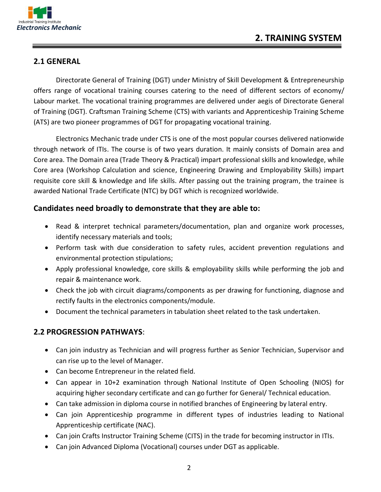

# **2.1 GENERAL**

Directorate General of Training (DGT) under Ministry of Skill Development & Entrepreneurship offers range of vocational training courses catering to the need of different sectors of economy/ Labour market. The vocational training programmes are delivered under aegis of Directorate General of Training (DGT). Craftsman Training Scheme (CTS) with variants and Apprenticeship Training Scheme  $(ATS)$  are two pioneer programmes of DGT for propagating vocational training.

Electronics Mechanic trade under CTS is one of the most popular courses delivered nationwide through network of ITIs. The course is of two years duration. It mainly consists of Domain area and Core area. The Domain area (Trade Theory & Practical) impart professional skills and knowledge, while Core area (Workshop Calculation and science, Engineering Drawing and Employability Skills) impart requisite core skill & knowledge and life skills. After passing out the training program, the trainee is awarded National Trade Certificate (NTC) by DGT which is recognized worldwide.

## Candidates need broadly to demonstrate that they are able to:

- Read & interpret technical parameters/documentation, plan and organize work processes, identify necessary materials and tools;
- Perform task with due consideration to safety rules, accident prevention regulations and environmental protection stipulations;
- Apply professional knowledge, core skills & employability skills while performing the job and repair & maintenance work.
- Check the job with circuit diagrams/components as per drawing for functioning, diagnose and rectify faults in the electronics components/module.
- Document the technical parameters in tabulation sheet related to the task undertaken.

## **2.2 PROGRESSION PATHWAYS:**

- Can join industry as Technician and will progress further as Senior Technician, Supervisor and can rise up to the level of Manager.
- Can become Entrepreneur in the related field.
- Can appear in 10+2 examination through National Institute of Open Schooling (NIOS) for acquiring higher secondary certificate and can go further for General/ Technical education.
- Can take admission in diploma course in notified branches of Engineering by lateral entry.
- Can join Apprenticeship programme in different types of industries leading to National Apprenticeship certificate (NAC).
- Can join Crafts Instructor Training Scheme (CITS) in the trade for becoming instructor in ITIs.
- Can join Advanced Diploma (Vocational) courses under DGT as applicable.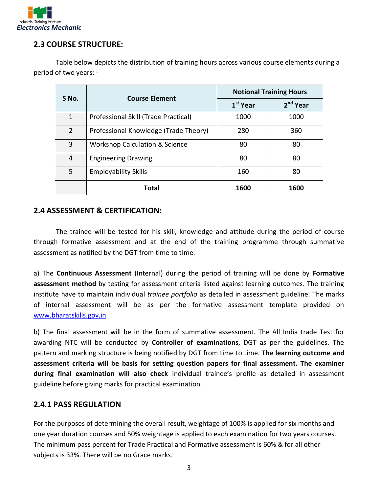

# **2.3 COURSE STRUCTURE:**

Table below depicts the distribution of training hours across various course elements during a period of two years: -

| S No.          | <b>Course Element</b>                     | <b>Notional Training Hours</b> |                      |  |
|----------------|-------------------------------------------|--------------------------------|----------------------|--|
|                |                                           | $1st$ Year                     | 2 <sup>nd</sup> Year |  |
| 1              | Professional Skill (Trade Practical)      | 1000                           | 1000                 |  |
| $\overline{2}$ | Professional Knowledge (Trade Theory)     | 280                            | 360                  |  |
| 3              | <b>Workshop Calculation &amp; Science</b> | 80                             | 80                   |  |
| 4              | <b>Engineering Drawing</b>                | 80                             | 80                   |  |
| 5              | <b>Employability Skills</b>               |                                | 80                   |  |
|                | Total                                     | 1600                           | 1600                 |  |

#### **2.4 ASSESSMENT & CERTIFICATION:**

The trainee will be tested for his skill, knowledge and attitude during the period of course through formative assessment and at the end of the training programme through summative assessment as notified by the DGT from time to time.

a) The **Continuous Assessment** (Internal) during the period of training will be done by Formative assessment method by testing for assessment criteria listed against learning outcomes. The training institute have to maintain individual *trainee portfolio* as detailed in assessment guideline. The marks of internal assessment will be as per the formative assessment template provided on www.bharatskills.gov.in.

b) The final assessment will be in the form of summative assessment. The All India trade Test for awarding NTC will be conducted by **Controller of examinations**, DGT as per the guidelines. The pattern and marking structure is being notified by DGT from time to time. **The learning outcome and** assessment criteria will be basis for setting question papers for final assessment. The examiner **during final examination will also check** individual trainee's profile as detailed in assessment guideline before giving marks for practical examination.

## **2.4.1 PASS REGULATION**

For the purposes of determining the overall result, weightage of 100% is applied for six months and one year duration courses and 50% weightage is applied to each examination for two years courses. The minimum pass percent for Trade Practical and Formative assessment is 60% & for all other subjects is 33%. There will be no Grace marks.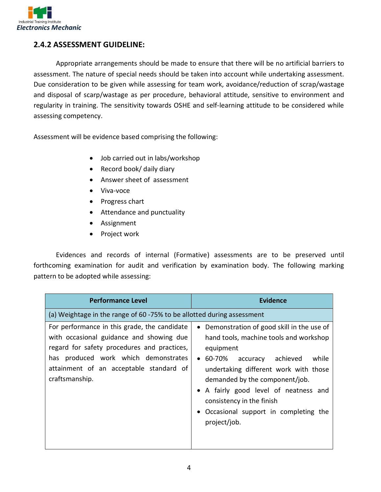

# **2.4.2 ASSESSMENT GUIDELINE:**

Appropriate arrangements should be made to ensure that there will be no artificial barriers to assessment. The nature of special needs should be taken into account while undertaking assessment. Due consideration to be given while assessing for team work, avoidance/reduction of scrap/wastage and disposal of scarp/wastage as per procedure, behavioral attitude, sensitive to environment and regularity in training. The sensitivity towards OSHE and self-learning attitude to be considered while assessing competency.

Assessment will be evidence based comprising the following:

- Job carried out in labs/workshop
- Record book/ daily diary
- Answer sheet of assessment
- Viva-voce
- Progress chart
- $\bullet$  Attendance and punctuality
- Assignment
- Project work

Evidences and records of internal (Formative) assessments are to be preserved until forthcoming examination for audit and verification by examination body. The following marking pattern to be adopted while assessing:

| <b>Performance Level</b>                                                                                                                                                                                                                     | <b>Evidence</b>                                                                                                                                                                                                                                                                                                                                      |
|----------------------------------------------------------------------------------------------------------------------------------------------------------------------------------------------------------------------------------------------|------------------------------------------------------------------------------------------------------------------------------------------------------------------------------------------------------------------------------------------------------------------------------------------------------------------------------------------------------|
| (a) Weightage in the range of 60 -75% to be allotted during assessment                                                                                                                                                                       |                                                                                                                                                                                                                                                                                                                                                      |
| For performance in this grade, the candidate<br>with occasional guidance and showing due<br>regard for safety procedures and practices,<br>has produced work which demonstrates<br>attainment of an acceptable standard of<br>craftsmanship. | Demonstration of good skill in the use of<br>hand tools, machine tools and workshop<br>equipment<br>60-70%<br>achieved<br>while<br>accuracy<br>undertaking different work with those<br>demanded by the component/job.<br>• A fairly good level of neatness and<br>consistency in the finish<br>Occasional support in completing the<br>project/job. |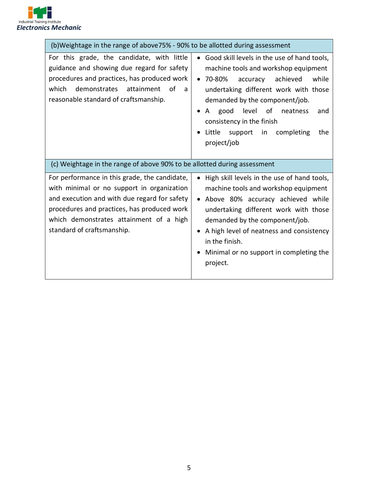

| (b)Weightage in the range of above 75% - 90% to be allotted during assessment                                                                                                                                                                                       |                                                                                                                                                                                                                                                                                                                                                                   |
|---------------------------------------------------------------------------------------------------------------------------------------------------------------------------------------------------------------------------------------------------------------------|-------------------------------------------------------------------------------------------------------------------------------------------------------------------------------------------------------------------------------------------------------------------------------------------------------------------------------------------------------------------|
| For this grade, the candidate, with little<br>guidance and showing due regard for safety<br>procedures and practices, has produced work<br>demonstrates<br>which<br>attainment<br>0f<br>a<br>reasonable standard of craftsmanship.                                  | Good skill levels in the use of hand tools,<br>$\bullet$<br>machine tools and workshop equipment<br>70-80%<br>achieved<br>accuracy<br>while<br>undertaking different work with those<br>demanded by the component/job.<br>level<br>good<br>of<br>neatness<br>A<br>and<br>consistency in the finish<br>support<br>Little<br>in<br>completing<br>the<br>project/job |
| (c) Weightage in the range of above 90% to be allotted during assessment                                                                                                                                                                                            |                                                                                                                                                                                                                                                                                                                                                                   |
| For performance in this grade, the candidate,<br>with minimal or no support in organization<br>and execution and with due regard for safety<br>procedures and practices, has produced work<br>which demonstrates attainment of a high<br>standard of craftsmanship. | High skill levels in the use of hand tools,<br>machine tools and workshop equipment<br>Above 80% accuracy achieved while<br>undertaking different work with those<br>demanded by the component/job.<br>A high level of neatness and consistency<br>in the finish.<br>Minimal or no support in completing the<br>project.                                          |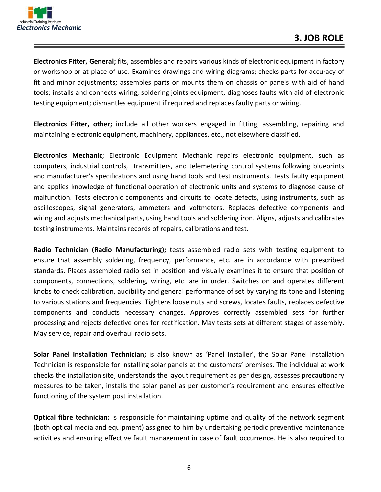

Electronics Fitter, General; fits, assembles and repairs various kinds of electronic equipment in factory or workshop or at place of use. Examines drawings and wiring diagrams; checks parts for accuracy of fit and minor adjustments; assembles parts or mounts them on chassis or panels with aid of hand tools; installs and connects wiring, soldering joints equipment, diagnoses faults with aid of electronic testing equipment; dismantles equipment if required and replaces faulty parts or wiring.

**Electronics Fitter, other;** include all other workers engaged in fitting, assembling, repairing and maintaining electronic equipment, machinery, appliances, etc., not elsewhere classified.

**Electronics Mechanic**; Electronic Equipment Mechanic repairs electronic equipment, such as computers, industrial controls, transmitters, and telemetering control systems following blueprints and manufacturer's specifications and using hand tools and test instruments. Tests faulty equipment and applies knowledge of functional operation of electronic units and systems to diagnose cause of malfunction. Tests electronic components and circuits to locate defects, using instruments, such as oscilloscopes, signal generators, ammeters and voltmeters. Replaces defective components and wiring and adjusts mechanical parts, using hand tools and soldering iron. Aligns, adjusts and calibrates testing instruments. Maintains records of repairs, calibrations and test.

**Radio Technician (Radio Manufacturing);** tests assembled radio sets with testing equipment to ensure that assembly soldering, frequency, performance, etc. are in accordance with prescribed standards. Places assembled radio set in position and visually examines it to ensure that position of components, connections, soldering, wiring, etc. are in order. Switches on and operates different knobs to check calibration, audibility and general performance of set by varying its tone and listening to various stations and frequencies. Tightens loose nuts and screws, locates faults, replaces defective components and conducts necessary changes. Approves correctly assembled sets for further processing and rejects defective ones for rectification. May tests sets at different stages of assembly. May service, repair and overhaul radio sets.

**Solar Panel Installation Technician;** is also known as 'Panel Installer', the Solar Panel Installation Technician is responsible for installing solar panels at the customers' premises. The individual at work checks the installation site, understands the layout requirement as per design, assesses precautionary measures to be taken, installs the solar panel as per customer's requirement and ensures effective functioning of the system post installation.

**Optical fibre technician;** is responsible for maintaining uptime and quality of the network segment (both optical media and equipment) assigned to him by undertaking periodic preventive maintenance activities and ensuring effective fault management in case of fault occurrence. He is also required to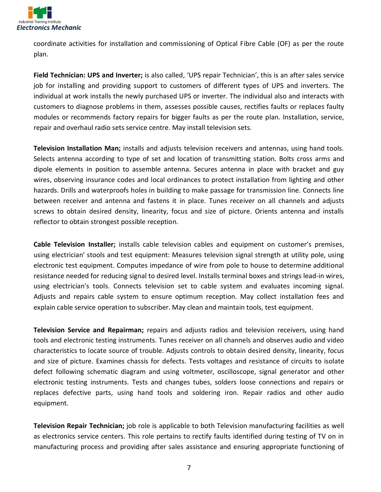

coordinate activities for installation and commissioning of Optical Fibre Cable (OF) as per the route plan.

Field Technician: UPS and Inverter; is also called, 'UPS repair Technician', this is an after sales service job for installing and providing support to customers of different types of UPS and inverters. The individual at work installs the newly purchased UPS or inverter. The individual also and interacts with customers to diagnose problems in them, assesses possible causes, rectifies faults or replaces faulty modules or recommends factory repairs for bigger faults as per the route plan. Installation, service, repair and overhaul radio sets service centre. May install television sets.

**Television Installation Man;** installs and adjusts television receivers and antennas, using hand tools. Selects antenna according to type of set and location of transmitting station. Bolts cross arms and dipole elements in position to assemble antenna. Secures antenna in place with bracket and guy wires, observing insurance codes and local ordinances to protect installation from lighting and other hazards. Drills and waterproofs holes in building to make passage for transmission line. Connects line between receiver and antenna and fastens it in place. Tunes receiver on all channels and adjusts screws to obtain desired density, linearity, focus and size of picture. Orients antenna and installs reflector to obtain strongest possible reception.

**Cable Television Installer;** installs cable television cables and equipment on customer's premises, using electrician' stools and test equipment: Measures television signal strength at utility pole, using electronic test equipment. Computes impedance of wire from pole to house to determine additional resistance needed for reducing signal to desired level. Installs terminal boxes and strings lead-in wires, using electrician's tools. Connects television set to cable system and evaluates incoming signal. Adjusts and repairs cable system to ensure optimum reception. May collect installation fees and explain cable service operation to subscriber. May clean and maintain tools, test equipment.

**Television Service and Repairman;** repairs and adjusts radios and television receivers, using hand tools and electronic testing instruments. Tunes receiver on all channels and observes audio and video characteristics to locate source of trouble. Adjusts controls to obtain desired density, linearity, focus and size of picture. Examines chassis for defects. Tests voltages and resistance of circuits to isolate defect following schematic diagram and using voltmeter, oscilloscope, signal generator and other electronic testing instruments. Tests and changes tubes, solders loose connections and repairs or replaces defective parts, using hand tools and soldering iron. Repair radios and other audio equipment.

**Television Repair Technician;** job role is applicable to both Television manufacturing facilities as well as electronics service centers. This role pertains to rectify faults identified during testing of TV on in manufacturing process and providing after sales assistance and ensuring appropriate functioning of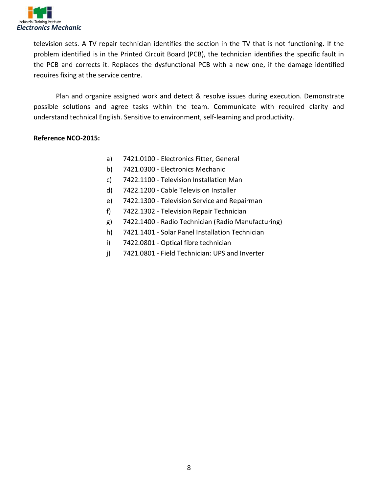

television sets. A TV repair technician identifies the section in the TV that is not functioning. If the problem identified is in the Printed Circuit Board (PCB), the technician identifies the specific fault in the PCB and corrects it. Replaces the dysfunctional PCB with a new one, if the damage identified requires fixing at the service centre.

Plan and organize assigned work and detect & resolve issues during execution. Demonstrate possible solutions and agree tasks within the team. Communicate with required clarity and understand technical English. Sensitive to environment, self-learning and productivity.

#### Reference NCO-2015:

- a) 7421.0100 Electronics Fitter, General
- b)  $7421.0300$  Electronics Mechanic
- $\mathsf{c}\mathsf{)}$  7422.1100 Television Installation Man
- d) 7422.1200 Cable Television Installer
- $\mathsf{e}$ ) 7422.1300 Television Service and Repairman
- $f$ ) 7422.1302 Television Repair Technician
- $g$ ) 7422.1400 Radio Technician (Radio Manufacturing)
- h)  $7421.1401$  Solar Panel Installation Technician
- $i)$  7422.0801 Optical fibre technician
- $\mu$ ) 7421.0801 Field Technician: UPS and Inverter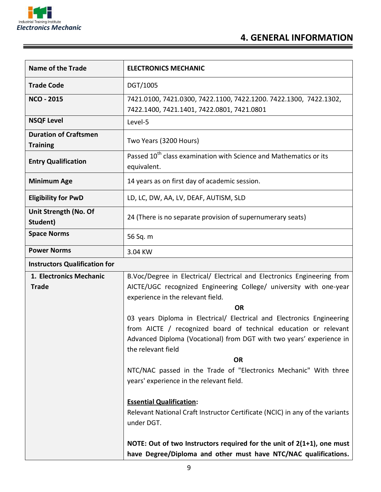

| <b>Name of the Trade</b>                        | <b>ELECTRONICS MECHANIC</b>                                                                                                   |
|-------------------------------------------------|-------------------------------------------------------------------------------------------------------------------------------|
| <b>Trade Code</b>                               | DGT/1005                                                                                                                      |
| <b>NCO - 2015</b>                               | 7421.0100, 7421.0300, 7422.1100, 7422.1200. 7422.1300, 7422.1302,                                                             |
|                                                 | 7422.1400, 7421.1401, 7422.0801, 7421.0801                                                                                    |
| <b>NSQF Level</b>                               | Level-5                                                                                                                       |
| <b>Duration of Craftsmen</b><br><b>Training</b> | Two Years (3200 Hours)                                                                                                        |
| <b>Entry Qualification</b>                      | Passed 10 <sup>th</sup> class examination with Science and Mathematics or its<br>equivalent.                                  |
| <b>Minimum Age</b>                              | 14 years as on first day of academic session.                                                                                 |
| <b>Eligibility for PwD</b>                      | LD, LC, DW, AA, LV, DEAF, AUTISM, SLD                                                                                         |
| Unit Strength (No. Of<br>Student)               | 24 (There is no separate provision of supernumerary seats)                                                                    |
| <b>Space Norms</b>                              | 56 Sq. m                                                                                                                      |
| <b>Power Norms</b>                              | 3.04 KW                                                                                                                       |
| <b>Instructors Qualification for</b>            |                                                                                                                               |
| 1. Electronics Mechanic                         | B.Voc/Degree in Electrical/ Electrical and Electronics Engineering from                                                       |
| <b>Trade</b>                                    | AICTE/UGC recognized Engineering College/ university with one-year                                                            |
|                                                 | experience in the relevant field.                                                                                             |
|                                                 | <b>OR</b>                                                                                                                     |
|                                                 | 03 years Diploma in Electrical/ Electrical and Electronics Engineering                                                        |
|                                                 | from AICTE / recognized board of technical education or relevant                                                              |
|                                                 | Advanced Diploma (Vocational) from DGT with two years' experience in<br>the relevant field                                    |
|                                                 | <b>OR</b>                                                                                                                     |
|                                                 | NTC/NAC passed in the Trade of "Electronics Mechanic" With three<br>years' experience in the relevant field.                  |
|                                                 | <b>Essential Qualification:</b><br>Relevant National Craft Instructor Certificate (NCIC) in any of the variants<br>under DGT. |
|                                                 | NOTE: Out of two Instructors required for the unit of $2(1+1)$ , one must                                                     |
|                                                 | have Degree/Diploma and other must have NTC/NAC qualifications.                                                               |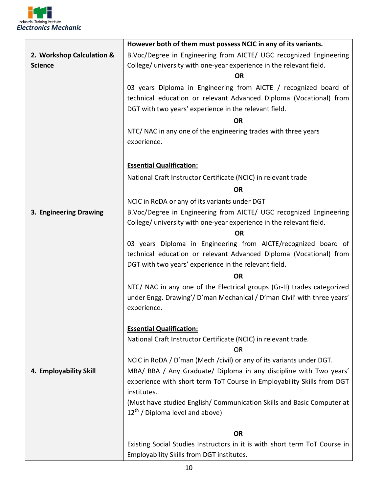

|                           | However both of them must possess NCIC in any of its variants.                                                                              |  |
|---------------------------|---------------------------------------------------------------------------------------------------------------------------------------------|--|
| 2. Workshop Calculation & | B.Voc/Degree in Engineering from AICTE/ UGC recognized Engineering                                                                          |  |
| <b>Science</b>            | College/ university with one-year experience in the relevant field.                                                                         |  |
|                           | <b>OR</b>                                                                                                                                   |  |
|                           | 03 years Diploma in Engineering from AICTE / recognized board of                                                                            |  |
|                           | technical education or relevant Advanced Diploma (Vocational) from                                                                          |  |
|                           | DGT with two years' experience in the relevant field.                                                                                       |  |
|                           | <b>OR</b>                                                                                                                                   |  |
|                           | NTC/ NAC in any one of the engineering trades with three years                                                                              |  |
|                           | experience.                                                                                                                                 |  |
|                           |                                                                                                                                             |  |
|                           | <b>Essential Qualification:</b>                                                                                                             |  |
|                           | National Craft Instructor Certificate (NCIC) in relevant trade                                                                              |  |
|                           | <b>OR</b>                                                                                                                                   |  |
|                           | NCIC in RoDA or any of its variants under DGT                                                                                               |  |
| 3. Engineering Drawing    | B.Voc/Degree in Engineering from AICTE/ UGC recognized Engineering                                                                          |  |
|                           | College/ university with one-year experience in the relevant field.                                                                         |  |
|                           | <b>OR</b>                                                                                                                                   |  |
|                           | 03 years Diploma in Engineering from AICTE/recognized board of                                                                              |  |
|                           | technical education or relevant Advanced Diploma (Vocational) from                                                                          |  |
|                           | DGT with two years' experience in the relevant field.                                                                                       |  |
|                           | <b>OR</b>                                                                                                                                   |  |
|                           | NTC/ NAC in any one of the Electrical groups (Gr-II) trades categorized                                                                     |  |
|                           | under Engg. Drawing'/ D'man Mechanical / D'man Civil' with three years'                                                                     |  |
|                           | experience.                                                                                                                                 |  |
|                           |                                                                                                                                             |  |
|                           | <b>Essential Qualification:</b>                                                                                                             |  |
|                           | National Craft Instructor Certificate (NCIC) in relevant trade.                                                                             |  |
|                           | <b>OR</b>                                                                                                                                   |  |
| 4. Employability Skill    | NCIC in RoDA / D'man (Mech / civil) or any of its variants under DGT.<br>MBA/ BBA / Any Graduate/ Diploma in any discipline with Two years' |  |
|                           | experience with short term ToT Course in Employability Skills from DGT                                                                      |  |
|                           | institutes.                                                                                                                                 |  |
|                           | (Must have studied English/ Communication Skills and Basic Computer at                                                                      |  |
|                           | $12^{th}$ / Diploma level and above)                                                                                                        |  |
|                           |                                                                                                                                             |  |
|                           | <b>OR</b>                                                                                                                                   |  |
|                           | Existing Social Studies Instructors in it is with short term ToT Course in                                                                  |  |
|                           | Employability Skills from DGT institutes.                                                                                                   |  |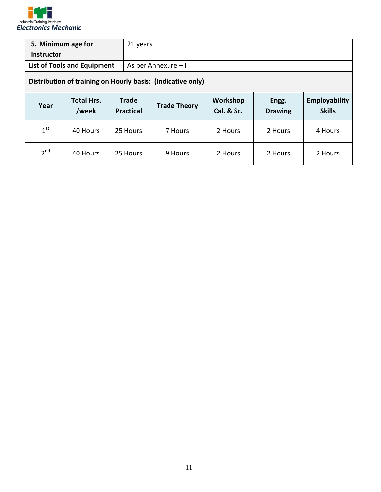

| 5. Minimum age for                                          |                            |                                  | 21 years            |                        |                         |                                       |
|-------------------------------------------------------------|----------------------------|----------------------------------|---------------------|------------------------|-------------------------|---------------------------------------|
| <b>Instructor</b>                                           |                            |                                  |                     |                        |                         |                                       |
| <b>List of Tools and Equipment</b>                          |                            |                                  | As per Annexure - I |                        |                         |                                       |
| Distribution of training on Hourly basis: (Indicative only) |                            |                                  |                     |                        |                         |                                       |
| Year                                                        | <b>Total Hrs.</b><br>/week | <b>Trade</b><br><b>Practical</b> | <b>Trade Theory</b> | Workshop<br>Cal. & Sc. | Engg.<br><b>Drawing</b> | <b>Employability</b><br><b>Skills</b> |
| 1 <sup>st</sup>                                             | 40 Hours                   | 25 Hours                         | 7 Hours             | 2 Hours                | 2 Hours                 | 4 Hours                               |
|                                                             |                            |                                  |                     |                        |                         |                                       |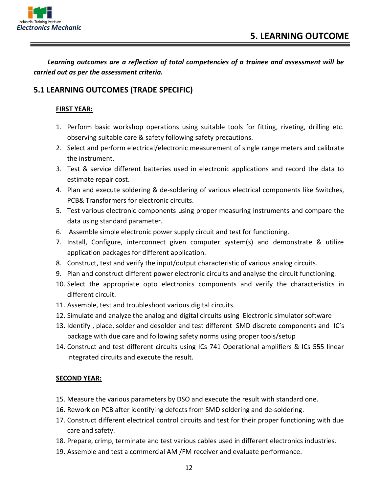

Learning outcomes are a reflection of total competencies of a trainee and assessment will be *carried out as per the assessment criteria.* 

## **5.1 LEARNING OUTCOMES (TRADE SPECIFIC)**

#### **FIRST YEAR:**

- 1. Perform basic workshop operations using suitable tools for fitting, riveting, drilling etc. observing suitable care  $\&$  safety following safety precautions.
- 2. Select and perform electrical/electronic measurement of single range meters and calibrate the instrument.
- 3. Test & service different batteries used in electronic applications and record the data to estimate repair cost.
- 4. Plan and execute soldering & de-soldering of various electrical components like Switches, PCB& Transformers for electronic circuits.
- 5. Test various electronic components using proper measuring instruments and compare the data using standard parameter.
- 6. Assemble simple electronic power supply circuit and test for functioning.
- 7. Install, Configure, interconnect given computer system(s) and demonstrate  $\&$  utilize application packages for different application.
- 8. Construct, test and verify the input/output characteristic of various analog circuits.
- 9. Plan and construct different power electronic circuits and analyse the circuit functioning.
- 10. Select the appropriate opto electronics components and verify the characteristics in different circuit.
- 11. Assemble, test and troubleshoot various digital circuits.
- 12. Simulate and analyze the analog and digital circuits using Electronic simulator software
- 13. Identify, place, solder and desolder and test different  $\mathsf{SMD}$  discrete components and IC's package with due care and following safety norms using proper tools/setup
- 14. Construct and test different circuits using ICs 741 Operational amplifiers & ICs 555 linear integrated circuits and execute the result.

#### **SECOND YEAR:**

- 15. Measure the various parameters by DSO and execute the result with standard one.
- 16. Rework on PCB after identifying defects from SMD soldering and de-soldering.
- 17. Construct different electrical control circuits and test for their proper functioning with due care and safety.
- 18. Prepare, crimp, terminate and test various cables used in different electronics industries.
- 19. Assemble and test a commercial AM /FM receiver and evaluate performance.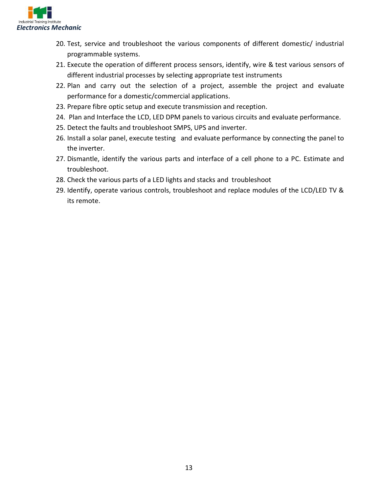

- 20. Test, service and troubleshoot the various components of different domestic/ industrial programmable systems.
- 21. Execute the operation of different process sensors, identify, wire & test various sensors of different industrial processes by selecting appropriate test instruments
- 22. Plan and carry out the selection of a project, assemble the project and evaluate performance for a domestic/commercial applications.
- 23. Prepare fibre optic setup and execute transmission and reception.
- 24. Plan and Interface the LCD, LED DPM panels to various circuits and evaluate performance.
- 25. Detect the faults and troubleshoot SMPS, UPS and inverter.
- 26. Install a solar panel, execute testing and evaluate performance by connecting the panel to the inverter.
- 27. Dismantle, identify the various parts and interface of a cell phone to a PC. Estimate and troubleshoot.
- 28. Check the various parts of a LED lights and stacks and troubleshoot
- 29. Identify, operate various controls, troubleshoot and replace modules of the LCD/LED TV  $\&$ its remote.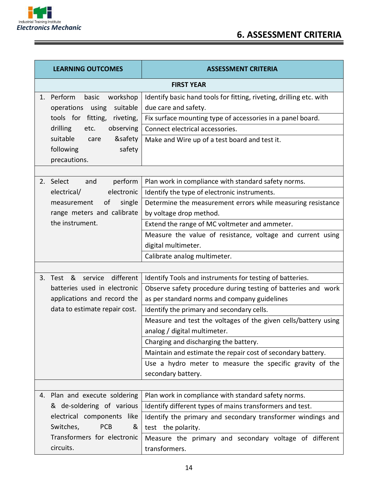

 $\equiv$ 

<u> 1989 - Johann Stein, marwolaethau a bhannaich an t-</u>

| <b>LEARNING OUTCOMES</b> |                                                                 | <b>ASSESSMENT CRITERIA</b>                                                                  |
|--------------------------|-----------------------------------------------------------------|---------------------------------------------------------------------------------------------|
| <b>FIRST YEAR</b>        |                                                                 |                                                                                             |
| 1.                       | Perform<br>basic<br>workshop<br>suitable<br>operations<br>using | Identify basic hand tools for fitting, riveting, drilling etc. with<br>due care and safety. |
|                          | tools for fitting, riveting,                                    | Fix surface mounting type of accessories in a panel board.                                  |
|                          | drilling<br>observing<br>etc.                                   | Connect electrical accessories.                                                             |
|                          | suitable<br>&safety<br>care                                     | Make and Wire up of a test board and test it.                                               |
|                          | safety<br>following                                             |                                                                                             |
|                          | precautions.                                                    |                                                                                             |
|                          |                                                                 |                                                                                             |
|                          | 2. Select<br>perform<br>and                                     | Plan work in compliance with standard safety norms.                                         |
|                          | electrical/<br>electronic                                       | Identify the type of electronic instruments.                                                |
|                          | of<br>single<br>measurement                                     | Determine the measurement errors while measuring resistance                                 |
|                          | range meters and calibrate                                      | by voltage drop method.                                                                     |
|                          | the instrument.                                                 | Extend the range of MC voltmeter and ammeter.                                               |
|                          |                                                                 | Measure the value of resistance, voltage and current using                                  |
|                          |                                                                 | digital multimeter.                                                                         |
|                          |                                                                 | Calibrate analog multimeter.                                                                |
|                          |                                                                 |                                                                                             |
|                          | service different<br>3. Test &                                  | Identify Tools and instruments for testing of batteries.                                    |
|                          | batteries used in electronic                                    | Observe safety procedure during testing of batteries and work                               |
|                          | applications and record the                                     | as per standard norms and company guidelines                                                |
|                          | data to estimate repair cost.                                   | Identify the primary and secondary cells.                                                   |
|                          |                                                                 | Measure and test the voltages of the given cells/battery using                              |
|                          |                                                                 | analog / digital multimeter.                                                                |
|                          |                                                                 | Charging and discharging the battery.                                                       |
|                          |                                                                 | Maintain and estimate the repair cost of secondary battery.                                 |
|                          |                                                                 | Use a hydro meter to measure the specific gravity of the                                    |
|                          |                                                                 | secondary battery.                                                                          |
|                          |                                                                 |                                                                                             |
|                          | 4. Plan and execute soldering                                   | Plan work in compliance with standard safety norms.                                         |
|                          | & de-soldering of various<br>electrical components like         | Identify different types of mains transformers and test.                                    |
|                          | Switches,<br><b>PCB</b><br>&                                    | Identify the primary and secondary transformer windings and<br>test the polarity.           |
|                          | Transformers for electronic                                     | Measure the primary and secondary voltage of different                                      |
|                          | circuits.                                                       |                                                                                             |
|                          |                                                                 | transformers.                                                                               |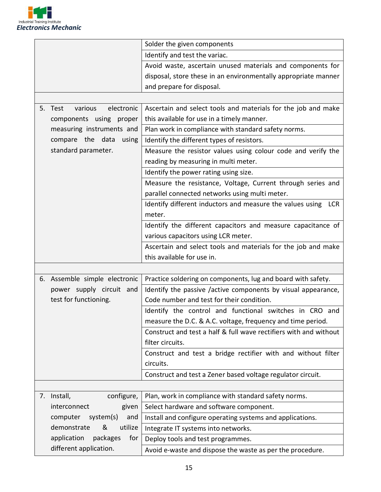

| Solder the given components<br>Identify and test the variac.<br>Avoid waste, ascertain unused materials and components for<br>disposal, store these in an environmentally appropriate manner<br>and prepare for disposal.<br>electronic<br>Ascertain and select tools and materials for the job and make<br>various<br>5. Test<br>this available for use in a timely manner.<br>components using proper<br>measuring instruments and<br>Plan work in compliance with standard safety norms. |
|---------------------------------------------------------------------------------------------------------------------------------------------------------------------------------------------------------------------------------------------------------------------------------------------------------------------------------------------------------------------------------------------------------------------------------------------------------------------------------------------|
|                                                                                                                                                                                                                                                                                                                                                                                                                                                                                             |
|                                                                                                                                                                                                                                                                                                                                                                                                                                                                                             |
|                                                                                                                                                                                                                                                                                                                                                                                                                                                                                             |
|                                                                                                                                                                                                                                                                                                                                                                                                                                                                                             |
|                                                                                                                                                                                                                                                                                                                                                                                                                                                                                             |
|                                                                                                                                                                                                                                                                                                                                                                                                                                                                                             |
|                                                                                                                                                                                                                                                                                                                                                                                                                                                                                             |
|                                                                                                                                                                                                                                                                                                                                                                                                                                                                                             |
|                                                                                                                                                                                                                                                                                                                                                                                                                                                                                             |
| compare the data<br>using<br>Identify the different types of resistors.                                                                                                                                                                                                                                                                                                                                                                                                                     |
| standard parameter.<br>Measure the resistor values using colour code and verify the                                                                                                                                                                                                                                                                                                                                                                                                         |
| reading by measuring in multi meter.                                                                                                                                                                                                                                                                                                                                                                                                                                                        |
| Identify the power rating using size.                                                                                                                                                                                                                                                                                                                                                                                                                                                       |
| Measure the resistance, Voltage, Current through series and                                                                                                                                                                                                                                                                                                                                                                                                                                 |
| parallel connected networks using multi meter.                                                                                                                                                                                                                                                                                                                                                                                                                                              |
| Identify different inductors and measure the values using<br>LCR                                                                                                                                                                                                                                                                                                                                                                                                                            |
| meter.                                                                                                                                                                                                                                                                                                                                                                                                                                                                                      |
| Identify the different capacitors and measure capacitance of                                                                                                                                                                                                                                                                                                                                                                                                                                |
| various capacitors using LCR meter.                                                                                                                                                                                                                                                                                                                                                                                                                                                         |
| Ascertain and select tools and materials for the job and make                                                                                                                                                                                                                                                                                                                                                                                                                               |
| this available for use in.                                                                                                                                                                                                                                                                                                                                                                                                                                                                  |
|                                                                                                                                                                                                                                                                                                                                                                                                                                                                                             |
|                                                                                                                                                                                                                                                                                                                                                                                                                                                                                             |
| Practice soldering on components, lug and board with safety.<br>6. Assemble simple electronic                                                                                                                                                                                                                                                                                                                                                                                               |
| power supply circuit and<br>Identify the passive /active components by visual appearance,                                                                                                                                                                                                                                                                                                                                                                                                   |
| test for functioning.<br>Code number and test for their condition.                                                                                                                                                                                                                                                                                                                                                                                                                          |
| Identify the control and functional switches in CRO and                                                                                                                                                                                                                                                                                                                                                                                                                                     |
| measure the D.C. & A.C. voltage, frequency and time period.                                                                                                                                                                                                                                                                                                                                                                                                                                 |
| Construct and test a half & full wave rectifiers with and without                                                                                                                                                                                                                                                                                                                                                                                                                           |
| filter circuits.                                                                                                                                                                                                                                                                                                                                                                                                                                                                            |
| Construct and test a bridge rectifier with and without filter                                                                                                                                                                                                                                                                                                                                                                                                                               |
| circuits.                                                                                                                                                                                                                                                                                                                                                                                                                                                                                   |
| Construct and test a Zener based voltage regulator circuit.                                                                                                                                                                                                                                                                                                                                                                                                                                 |
|                                                                                                                                                                                                                                                                                                                                                                                                                                                                                             |
| Plan, work in compliance with standard safety norms.<br>7. Install,<br>configure,                                                                                                                                                                                                                                                                                                                                                                                                           |
| Select hardware and software component.<br>interconnect<br>given                                                                                                                                                                                                                                                                                                                                                                                                                            |
| and<br>computer<br>system(s)<br>Install and configure operating systems and applications.                                                                                                                                                                                                                                                                                                                                                                                                   |
| utilize<br>demonstrate<br>&<br>Integrate IT systems into networks.                                                                                                                                                                                                                                                                                                                                                                                                                          |
| application<br>packages<br>for<br>Deploy tools and test programmes.                                                                                                                                                                                                                                                                                                                                                                                                                         |
| different application.<br>Avoid e-waste and dispose the waste as per the procedure.                                                                                                                                                                                                                                                                                                                                                                                                         |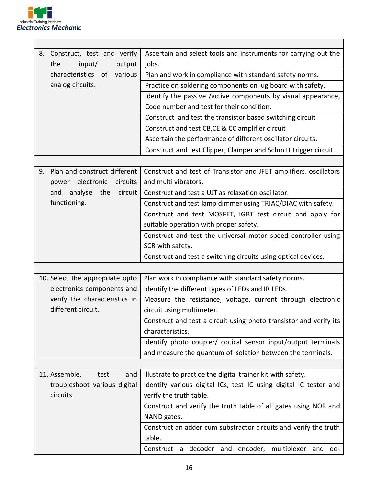

| 8. Construct, test and verify      | Ascertain and select tools and instruments for carrying out the    |
|------------------------------------|--------------------------------------------------------------------|
| the<br>input/<br>output            | jobs.                                                              |
| characteristics of various         | Plan and work in compliance with standard safety norms.            |
| analog circuits.                   | Practice on soldering components on lug board with safety.         |
|                                    | Identify the passive /active components by visual appearance,      |
|                                    | Code number and test for their condition.                          |
|                                    | Construct and test the transistor based switching circuit          |
|                                    | Construct and test CB, CE & CC amplifier circuit                   |
|                                    | Ascertain the performance of different oscillator circuits.        |
|                                    | Construct and test Clipper, Clamper and Schmitt trigger circuit.   |
|                                    |                                                                    |
| Plan and construct different<br>9. | Construct and test of Transistor and JFET amplifiers, oscillators  |
| power electronic<br>circuits       | and multi vibrators.                                               |
| and<br>analyse<br>the<br>circuit   | Construct and test a UJT as relaxation oscillator.                 |
| functioning.                       | Construct and test lamp dimmer using TRIAC/DIAC with safety.       |
|                                    | Construct and test MOSFET, IGBT test circuit and apply for         |
|                                    | suitable operation with proper safety.                             |
|                                    | Construct and test the universal motor speed controller using      |
|                                    | SCR with safety.                                                   |
|                                    | Construct and test a switching circuits using optical devices.     |
|                                    |                                                                    |
| 10. Select the appropriate opto    | Plan work in compliance with standard safety norms.                |
| electronics components and         | Identify the different types of LEDs and IR LEDs.                  |
| verify the characteristics in      | Measure the resistance, voltage, current through electronic        |
| different circuit.                 | circuit using multimeter.                                          |
|                                    | Construct and test a circuit using photo transistor and verify its |
|                                    | characteristics.                                                   |
|                                    | Identify photo coupler/ optical sensor input/output terminals      |
|                                    | and measure the quantum of isolation between the terminals.        |
|                                    |                                                                    |
| 11. Assemble,<br>and<br>test       | Illustrate to practice the digital trainer kit with safety.        |
| troubleshoot various digital       | Identify various digital ICs, test IC using digital IC tester and  |
| circuits.                          | verify the truth table.                                            |
|                                    |                                                                    |
|                                    | Construct and verify the truth table of all gates using NOR and    |
|                                    | NAND gates.                                                        |
|                                    | Construct an adder cum substractor circuits and verify the truth   |
|                                    | table.                                                             |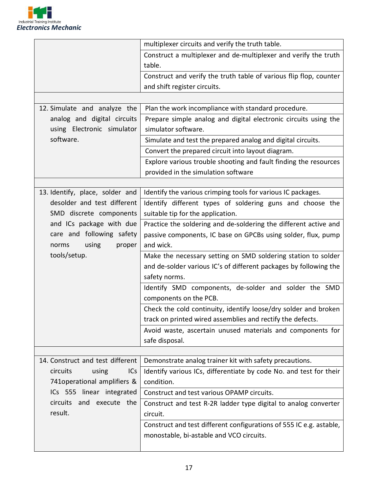

|                                  | multiplexer circuits and verify the truth table.                          |
|----------------------------------|---------------------------------------------------------------------------|
|                                  | Construct a multiplexer and de-multiplexer and verify the truth<br>table. |
|                                  | Construct and verify the truth table of various flip flop, counter        |
|                                  | and shift register circuits.                                              |
|                                  |                                                                           |
| 12. Simulate and analyze the     | Plan the work incompliance with standard procedure.                       |
| analog and digital circuits      | Prepare simple analog and digital electronic circuits using the           |
| using Electronic simulator       | simulator software.                                                       |
| software.                        | Simulate and test the prepared analog and digital circuits.               |
|                                  | Convert the prepared circuit into layout diagram.                         |
|                                  | Explore various trouble shooting and fault finding the resources          |
|                                  | provided in the simulation software                                       |
|                                  |                                                                           |
| 13. Identify, place, solder and  | Identify the various crimping tools for various IC packages.              |
| desolder and test different      | Identify different types of soldering guns and choose the                 |
| SMD discrete components          | suitable tip for the application.                                         |
| and ICs package with due         | Practice the soldering and de-soldering the different active and          |
| care and following safety        | passive components, IC base on GPCBs using solder, flux, pump             |
| using<br>norms<br>proper         | and wick.                                                                 |
| tools/setup.                     | Make the necessary setting on SMD soldering station to solder             |
|                                  | and de-solder various IC's of different packages by following the         |
|                                  | safety norms.                                                             |
|                                  | Identify SMD components, de-solder and solder the SMD                     |
|                                  | components on the PCB.                                                    |
|                                  | Check the cold continuity, identify loose/dry solder and broken           |
|                                  | track on printed wired assemblies and rectify the defects.                |
|                                  | Avoid waste, ascertain unused materials and components for                |
|                                  | safe disposal.                                                            |
|                                  |                                                                           |
| 14. Construct and test different | Demonstrate analog trainer kit with safety precautions.                   |
| circuits<br>using<br><b>ICs</b>  | Identify various ICs, differentiate by code No. and test for their        |
| 741 operational amplifiers &     | condition.                                                                |
| ICs 555 linear integrated        | Construct and test various OPAMP circuits.                                |
| circuits and execute the         | Construct and test R-2R ladder type digital to analog converter           |
| result.                          | circuit.                                                                  |
|                                  | Construct and test different configurations of 555 IC e.g. astable,       |
|                                  | monostable, bi-astable and VCO circuits.                                  |
|                                  |                                                                           |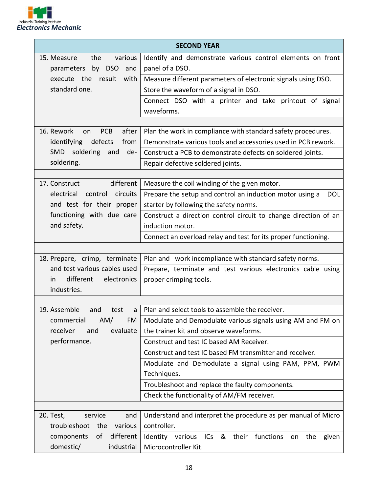

| <b>SECOND YEAR</b>                      |                                                                                     |  |
|-----------------------------------------|-------------------------------------------------------------------------------------|--|
| various<br>15. Measure<br>the           | Identify and demonstrate various control elements on front                          |  |
| by DSO and<br>parameters                | panel of a DSO.                                                                     |  |
| result<br>execute the<br>with           | Measure different parameters of electronic signals using DSO.                       |  |
| standard one.                           | Store the waveform of a signal in DSO.                                              |  |
|                                         | Connect DSO with a printer and take printout of signal                              |  |
|                                         | waveforms.                                                                          |  |
|                                         |                                                                                     |  |
| 16. Rework<br>after<br><b>PCB</b><br>on | Plan the work in compliance with standard safety procedures.                        |  |
| defects<br>identifying<br>from          | Demonstrate various tools and accessories used in PCB rework.                       |  |
| SMD soldering and<br>de-                | Construct a PCB to demonstrate defects on soldered joints.                          |  |
| soldering.                              | Repair defective soldered joints.                                                   |  |
| different<br>17. Construct              | Measure the coil winding of the given motor.                                        |  |
| circuits<br>electrical<br>control       |                                                                                     |  |
| and test for their proper               | Prepare the setup and control an induction motor using a<br><b>DOL</b>              |  |
| functioning with due care               | starter by following the safety norms.                                              |  |
| and safety.                             | Construct a direction control circuit to change direction of an<br>induction motor. |  |
|                                         |                                                                                     |  |
|                                         | Connect an overload relay and test for its proper functioning.                      |  |
| 18. Prepare, crimp, terminate           | Plan and work incompliance with standard safety norms.                              |  |
| and test various cables used            | Prepare, terminate and test various electronics cable using                         |  |
| different<br>electronics<br>in.         | proper crimping tools.                                                              |  |
| industries.                             |                                                                                     |  |
|                                         |                                                                                     |  |
| 19. Assemble<br>and<br>test<br>a        | Plan and select tools to assemble the receiver.                                     |  |
| AM/<br>commercial<br>FM                 | Modulate and Demodulate various signals using AM and FM on                          |  |
| evaluate<br>receiver<br>and             | the trainer kit and observe waveforms.                                              |  |
| performance.                            | Construct and test IC based AM Receiver.                                            |  |
|                                         | Construct and test IC based FM transmitter and receiver.                            |  |
|                                         | Modulate and Demodulate a signal using PAM, PPM, PWM                                |  |
|                                         | Techniques.                                                                         |  |
|                                         | Troubleshoot and replace the faulty components.                                     |  |
|                                         | Check the functionality of AM/FM receiver.                                          |  |
|                                         |                                                                                     |  |
| 20. Test,<br>service<br>and             | Understand and interpret the procedure as per manual of Micro                       |  |
| troubleshoot<br>the<br>various          | controller.                                                                         |  |
| different<br>of<br>components           | Identity various ICs & their functions<br>the<br>given<br>on                        |  |
| domestic/<br>industrial                 | Microcontroller Kit.                                                                |  |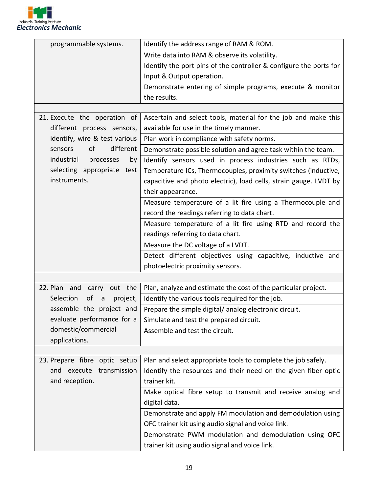

| programmable systems.               | Identify the address range of RAM & ROM.                           |  |
|-------------------------------------|--------------------------------------------------------------------|--|
|                                     | Write data into RAM & observe its volatility.                      |  |
|                                     | Identify the port pins of the controller & configure the ports for |  |
|                                     | Input & Output operation.                                          |  |
|                                     | Demonstrate entering of simple programs, execute & monitor         |  |
|                                     | the results.                                                       |  |
|                                     |                                                                    |  |
| 21. Execute the operation of        | Ascertain and select tools, material for the job and make this     |  |
| different process sensors,          | available for use in the timely manner.                            |  |
| identify, wire & test various       | Plan work in compliance with safety norms.                         |  |
| different<br>0f<br>sensors          | Demonstrate possible solution and agree task within the team.      |  |
| industrial<br>processes<br>by       | Identify sensors used in process industries such as RTDs,          |  |
| selecting appropriate<br>test       | Temperature ICs, Thermocouples, proximity switches (inductive,     |  |
| instruments.                        | capacitive and photo electric), load cells, strain gauge. LVDT by  |  |
|                                     | their appearance.                                                  |  |
|                                     | Measure temperature of a lit fire using a Thermocouple and         |  |
|                                     | record the readings referring to data chart.                       |  |
|                                     | Measure temperature of a lit fire using RTD and record the         |  |
|                                     | readings referring to data chart.                                  |  |
|                                     | Measure the DC voltage of a LVDT.                                  |  |
|                                     | Detect different objectives using capacitive, inductive and        |  |
|                                     | photoelectric proximity sensors.                                   |  |
|                                     |                                                                    |  |
| 22. Plan<br>out the<br>and<br>carry | Plan, analyze and estimate the cost of the particular project.     |  |
| Selection<br>of<br>project,<br>a    | Identify the various tools required for the job.                   |  |
| assemble the project and            | Prepare the simple digital/ analog electronic circuit.             |  |
| evaluate performance for a          | Simulate and test the prepared circuit.                            |  |
| domestic/commercial                 | Assemble and test the circuit.                                     |  |
| applications.                       |                                                                    |  |
|                                     |                                                                    |  |
| 23. Prepare fibre optic setup       | Plan and select appropriate tools to complete the job safely.      |  |
| and execute transmission            | Identify the resources and their need on the given fiber optic     |  |
| and reception.                      | trainer kit.                                                       |  |
|                                     | Make optical fibre setup to transmit and receive analog and        |  |
|                                     | digital data.                                                      |  |
|                                     | Demonstrate and apply FM modulation and demodulation using         |  |
|                                     | OFC trainer kit using audio signal and voice link.                 |  |
|                                     | Demonstrate PWM modulation and demodulation using OFC              |  |
|                                     | trainer kit using audio signal and voice link.                     |  |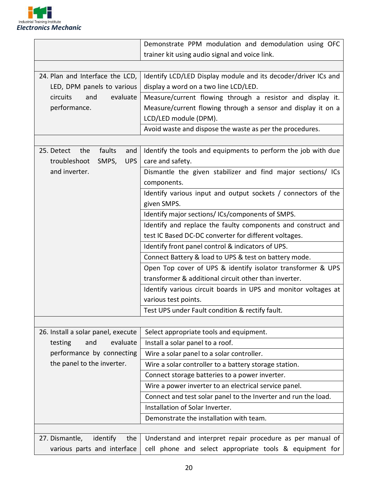

|                                                   | Demonstrate PPM modulation and demodulation using OFC          |  |
|---------------------------------------------------|----------------------------------------------------------------|--|
|                                                   | trainer kit using audio signal and voice link.                 |  |
|                                                   |                                                                |  |
| 24. Plan and Interface the LCD,                   | Identify LCD/LED Display module and its decoder/driver ICs and |  |
| LED, DPM panels to various                        | display a word on a two line LCD/LED.                          |  |
| evaluate<br>circuits<br>and                       | Measure/current flowing through a resistor and display it.     |  |
| performance.                                      | Measure/current flowing through a sensor and display it on a   |  |
|                                                   | LCD/LED module (DPM).                                          |  |
|                                                   | Avoid waste and dispose the waste as per the procedures.       |  |
|                                                   |                                                                |  |
| faults<br>25. Detect<br>the<br>and                | Identify the tools and equipments to perform the job with due  |  |
| troubleshoot<br><b>UPS</b><br>SMPS,               | care and safety.                                               |  |
| and inverter.                                     | Dismantle the given stabilizer and find major sections/ ICs    |  |
|                                                   | components.                                                    |  |
|                                                   | Identify various input and output sockets / connectors of the  |  |
|                                                   | given SMPS.                                                    |  |
|                                                   | Identify major sections/ICs/components of SMPS.                |  |
|                                                   | Identify and replace the faulty components and construct and   |  |
|                                                   | test IC Based DC-DC converter for different voltages.          |  |
| Identify front panel control & indicators of UPS. |                                                                |  |
|                                                   | Connect Battery & load to UPS & test on battery mode.          |  |
|                                                   | Open Top cover of UPS & identify isolator transformer & UPS    |  |
|                                                   | transformer & additional circuit other than inverter.          |  |
|                                                   | Identify various circuit boards in UPS and monitor voltages at |  |
|                                                   | various test points.                                           |  |
|                                                   | Test UPS under Fault condition & rectify fault.                |  |
|                                                   |                                                                |  |
| 26. Install a solar panel, execute                | Select appropriate tools and equipment.                        |  |
| evaluate<br>and<br>testing                        | Install a solar panel to a roof.                               |  |
| performance by connecting                         | Wire a solar panel to a solar controller.                      |  |
| the panel to the inverter.                        | Wire a solar controller to a battery storage station.          |  |
|                                                   | Connect storage batteries to a power inverter.                 |  |
|                                                   | Wire a power inverter to an electrical service panel.          |  |
|                                                   | Connect and test solar panel to the Inverter and run the load. |  |
|                                                   | Installation of Solar Inverter.                                |  |
|                                                   | Demonstrate the installation with team.                        |  |
|                                                   |                                                                |  |
| 27. Dismantle,<br>identify<br>the                 | Understand and interpret repair procedure as per manual of     |  |
| various parts and interface                       | cell phone and select appropriate tools & equipment for        |  |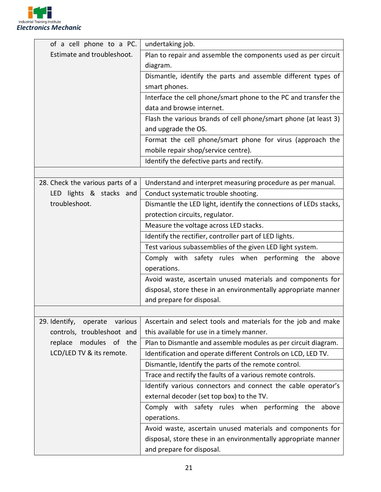

| of a cell phone to a PC.         | undertaking job.                                                  |  |  |
|----------------------------------|-------------------------------------------------------------------|--|--|
| Estimate and troubleshoot.       | Plan to repair and assemble the components used as per circuit    |  |  |
|                                  | diagram.                                                          |  |  |
|                                  | Dismantle, identify the parts and assemble different types of     |  |  |
|                                  | smart phones.                                                     |  |  |
|                                  | Interface the cell phone/smart phone to the PC and transfer the   |  |  |
|                                  | data and browse internet.                                         |  |  |
|                                  | Flash the various brands of cell phone/smart phone (at least 3)   |  |  |
|                                  | and upgrade the OS.                                               |  |  |
|                                  | Format the cell phone/smart phone for virus (approach the         |  |  |
|                                  | mobile repair shop/service centre).                               |  |  |
|                                  | Identify the defective parts and rectify.                         |  |  |
|                                  |                                                                   |  |  |
| 28. Check the various parts of a | Understand and interpret measuring procedure as per manual.       |  |  |
| LED lights & stacks and          | Conduct systematic trouble shooting.                              |  |  |
| troubleshoot.                    | Dismantle the LED light, identify the connections of LEDs stacks, |  |  |
|                                  | protection circuits, regulator.                                   |  |  |
|                                  | Measure the voltage across LED stacks.                            |  |  |
|                                  | Identify the rectifier, controller part of LED lights.            |  |  |
|                                  | Test various subassemblies of the given LED light system.         |  |  |
|                                  | Comply with safety rules when performing the above                |  |  |
|                                  | operations.                                                       |  |  |
|                                  | Avoid waste, ascertain unused materials and components for        |  |  |
|                                  | disposal, store these in an environmentally appropriate manner    |  |  |
|                                  | and prepare for disposal.                                         |  |  |
|                                  |                                                                   |  |  |
| 29. Identify,<br>operate various | Ascertain and select tools and materials for the job and make     |  |  |
| controls, troubleshoot and       | this available for use in a timely manner.                        |  |  |
| modules of the<br>replace        | Plan to Dismantle and assemble modules as per circuit diagram.    |  |  |
| LCD/LED TV & its remote.         | Identification and operate different Controls on LCD, LED TV.     |  |  |
|                                  | Dismantle, Identify the parts of the remote control.              |  |  |
|                                  | Trace and rectify the faults of a various remote controls.        |  |  |
|                                  | Identify various connectors and connect the cable operator's      |  |  |
|                                  | external decoder (set top box) to the TV.                         |  |  |
|                                  | Comply with safety rules when performing the above                |  |  |
|                                  | operations.                                                       |  |  |
|                                  | Avoid waste, ascertain unused materials and components for        |  |  |
|                                  | disposal, store these in an environmentally appropriate manner    |  |  |
|                                  | and prepare for disposal.                                         |  |  |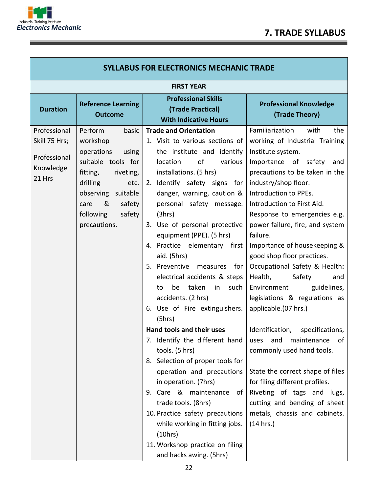

Ξ

 $\equiv$ 

| <b>SYLLABUS FOR ELECTRONICS MECHANIC TRADE</b>                       |                                                                                                                                                                                                               |                                                                                                                                                                                                                                                                                                                                                                                                                                                                                                                                           |                                                                                                                                                                                                                                                                                                                                                                                                                                                                                                                                        |
|----------------------------------------------------------------------|---------------------------------------------------------------------------------------------------------------------------------------------------------------------------------------------------------------|-------------------------------------------------------------------------------------------------------------------------------------------------------------------------------------------------------------------------------------------------------------------------------------------------------------------------------------------------------------------------------------------------------------------------------------------------------------------------------------------------------------------------------------------|----------------------------------------------------------------------------------------------------------------------------------------------------------------------------------------------------------------------------------------------------------------------------------------------------------------------------------------------------------------------------------------------------------------------------------------------------------------------------------------------------------------------------------------|
| <b>FIRST YEAR</b>                                                    |                                                                                                                                                                                                               |                                                                                                                                                                                                                                                                                                                                                                                                                                                                                                                                           |                                                                                                                                                                                                                                                                                                                                                                                                                                                                                                                                        |
| <b>Duration</b>                                                      | <b>Reference Learning</b><br><b>Outcome</b>                                                                                                                                                                   | <b>Professional Skills</b><br>(Trade Practical)<br><b>With Indicative Hours</b>                                                                                                                                                                                                                                                                                                                                                                                                                                                           | <b>Professional Knowledge</b><br>(Trade Theory)                                                                                                                                                                                                                                                                                                                                                                                                                                                                                        |
| Professional<br>Skill 75 Hrs;<br>Professional<br>Knowledge<br>21 Hrs | Perform<br>basic<br>workshop<br>operations<br>using<br>suitable tools for<br>fitting,<br>riveting,<br>drilling<br>etc.<br>observing<br>suitable<br>&<br>safety<br>care<br>safety<br>following<br>precautions. | <b>Trade and Orientation</b><br>1. Visit to various sections of<br>the institute and identify<br>location<br>of<br>various<br>installations. (5 hrs)<br>Identify safety signs for<br>2.<br>danger, warning, caution &<br>personal safety message.<br>(3hrs)<br>3. Use of personal protective<br>equipment (PPE). (5 hrs)<br>4. Practice elementary first<br>aid. (5hrs)<br>5. Preventive measures for<br>electrical accidents & steps<br>taken<br>be<br>in<br>such<br>to<br>accidents. (2 hrs)<br>6. Use of Fire extinguishers.<br>(5hrs) | Familiarization<br>with<br>the<br>working of Industrial Training<br>Institute system.<br>Importance of safety<br>and<br>precautions to be taken in the<br>industry/shop floor.<br>Introduction to PPEs.<br>Introduction to First Aid.<br>Response to emergencies e.g.<br>power failure, fire, and system<br>failure.<br>Importance of housekeeping &<br>good shop floor practices.<br>Occupational Safety & Health:<br>Health,<br>Safety<br>and<br>Environment<br>guidelines,<br>legislations & regulations as<br>applicable.(07 hrs.) |
|                                                                      |                                                                                                                                                                                                               | Hand tools and their uses<br>7. Identify the different hand<br>tools. (5 hrs)<br>8. Selection of proper tools for<br>operation and precautions<br>in operation. (7hrs)<br>9. Care & maintenance<br>of I<br>trade tools. (8hrs)<br>10. Practice safety precautions<br>while working in fitting jobs.<br>(10 hrs)<br>11. Workshop practice on filing<br>and hacks awing. (5hrs)                                                                                                                                                             | Identification,<br>specifications,<br>maintenance<br>uses<br>and<br>0t<br>commonly used hand tools.<br>State the correct shape of files<br>for filing different profiles.<br>Riveting of tags and lugs,<br>cutting and bending of sheet<br>metals, chassis and cabinets.<br>(14 hrs.)                                                                                                                                                                                                                                                  |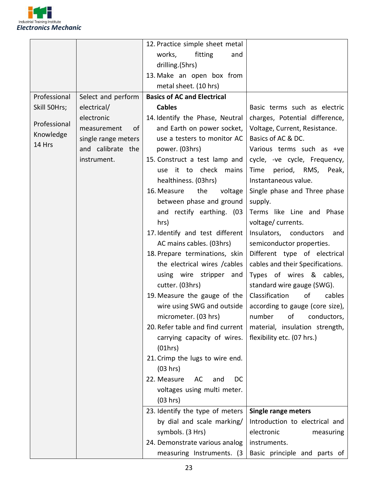

|              |                     | 12. Practice simple sheet metal    |                                  |
|--------------|---------------------|------------------------------------|----------------------------------|
|              |                     | works,<br>fitting<br>and           |                                  |
|              |                     | drilling.(5hrs)                    |                                  |
|              |                     | 13. Make an open box from          |                                  |
|              |                     | metal sheet. (10 hrs)              |                                  |
| Professional | Select and perform  | <b>Basics of AC and Electrical</b> |                                  |
| Skill 50Hrs; | electrical/         | <b>Cables</b>                      | Basic terms such as electric     |
|              | electronic          | 14. Identify the Phase, Neutral    | charges, Potential difference,   |
| Professional | of<br>measurement   | and Earth on power socket,         | Voltage, Current, Resistance.    |
| Knowledge    | single range meters | use a testers to monitor AC        | Basics of AC & DC.               |
| 14 Hrs       | and calibrate the   | power. (03hrs)                     | Various terms such as +ve        |
|              | instrument.         | 15. Construct a test lamp and      | cycle, -ve cycle, Frequency,     |
|              |                     | use it to check mains              | Time period, RMS, Peak,          |
|              |                     | healthiness. (03hrs)               | Instantaneous value.             |
|              |                     | 16. Measure<br>the<br>voltage      | Single phase and Three phase     |
|              |                     | between phase and ground           | supply.                          |
|              |                     | and rectify earthing. (03          | Terms like Line and Phase        |
|              |                     | hrs)                               | voltage/currents.                |
|              |                     | 17. Identify and test different    | Insulators, conductors<br>and    |
|              |                     | AC mains cables. (03hrs)           | semiconductor properties.        |
|              |                     | 18. Prepare terminations, skin     | Different type of electrical     |
|              |                     | the electrical wires / cables      | cables and their Specifications. |
|              |                     | using wire stripper and            | Types of wires & cables,         |
|              |                     | cutter. (03hrs)                    | standard wire gauge (SWG).       |
|              |                     | 19. Measure the gauge of the       | Classification<br>of<br>cables   |
|              |                     | wire using SWG and outside         | according to gauge (core size),  |
|              |                     | micrometer. (03 hrs)               | number of conductors,            |
|              |                     | 20. Refer table and find current   | material, insulation strength,   |
|              |                     | carrying capacity of wires.        | flexibility etc. (07 hrs.)       |
|              |                     | (01hrs)                            |                                  |
|              |                     | 21. Crimp the lugs to wire end.    |                                  |
|              |                     | (03 hrs)                           |                                  |
|              |                     | 22. Measure<br>AC<br>and<br>DC     |                                  |
|              |                     | voltages using multi meter.        |                                  |
|              |                     | (03 hrs)                           |                                  |
|              |                     | 23. Identify the type of meters    | <b>Single range meters</b>       |
|              |                     | by dial and scale marking/         | Introduction to electrical and   |
|              |                     | symbols. (3 Hrs)                   | electronic<br>measuring          |
|              |                     | 24. Demonstrate various analog     | instruments.                     |
|              |                     | measuring Instruments. (3)         | Basic principle and parts of     |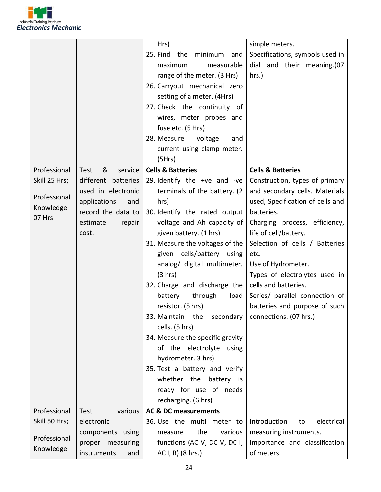

|               |                      | $Hrs$ )                                                   | simple meters.                   |
|---------------|----------------------|-----------------------------------------------------------|----------------------------------|
|               |                      | 25. Find<br>the<br>minimum<br>and                         | Specifications, symbols used in  |
|               |                      | maximum<br>measurable                                     | dial and their meaning.(07       |
|               |                      | range of the meter. (3 Hrs)                               | $hrs.$ )                         |
|               |                      | 26. Carryout mechanical zero                              |                                  |
|               |                      | setting of a meter. (4Hrs)                                |                                  |
|               |                      | 27. Check the continuity of                               |                                  |
|               |                      | wires, meter probes and                                   |                                  |
|               |                      | fuse etc. (5 Hrs)                                         |                                  |
|               |                      | 28. Measure<br>voltage<br>and                             |                                  |
|               |                      | current using clamp meter.                                |                                  |
|               |                      | (5Hrs)                                                    |                                  |
| Professional  | &<br>service<br>Test | <b>Cells &amp; Batteries</b>                              | <b>Cells &amp; Batteries</b>     |
| Skill 25 Hrs; | different batteries  | 29. Identify the $+ve$ and $-ve$                          | Construction, types of primary   |
|               | used in electronic   | terminals of the battery. (2)                             | and secondary cells. Materials   |
| Professional  | applications<br>and  | hrs)                                                      | used, Specification of cells and |
| Knowledge     | record the data to   | 30. Identify the rated output                             | batteries.                       |
| 07 Hrs        | estimate<br>repair   | voltage and Ah capacity of                                | Charging process, efficiency,    |
|               | cost.                | given battery. (1 hrs)                                    | life of cell/battery.            |
|               |                      | 31. Measure the voltages of the                           | Selection of cells / Batteries   |
|               |                      | given cells/battery using                                 | etc.                             |
|               |                      | analog/ digital multimeter.                               | Use of Hydrometer.               |
|               |                      | (3 hrs)                                                   | Types of electrolytes used in    |
|               |                      | 32. Charge and discharge the                              | cells and batteries.             |
|               |                      | through<br>battery<br>load                                | Series/ parallel connection of   |
|               |                      | resistor. (5 hrs)                                         | batteries and purpose of such    |
|               |                      | 33. Maintain the secondary $\vert$ connections. (07 hrs.) |                                  |
|               |                      | cells. (5 hrs)                                            |                                  |
|               |                      | 34. Measure the specific gravity                          |                                  |
|               |                      | of the electrolyte using                                  |                                  |
|               |                      | hydrometer. 3 hrs)                                        |                                  |
|               |                      | 35. Test a battery and verify                             |                                  |
|               |                      | whether the battery is                                    |                                  |
|               |                      | ready for use of needs                                    |                                  |
|               |                      | recharging. (6 hrs)                                       |                                  |
| Professional  | Test<br>various      | <b>AC &amp; DC measurements</b>                           |                                  |
| Skill 50 Hrs; | electronic           | 36. Use the multi meter to                                | Introduction<br>electrical<br>to |
| Professional  | components using     | the<br>various<br>measure                                 | measuring instruments.           |
| Knowledge     | proper measuring     | functions (AC V, DC V, DC I,                              | Importance and classification    |
|               | instruments<br>and   | AC I, R) (8 hrs.)                                         | of meters.                       |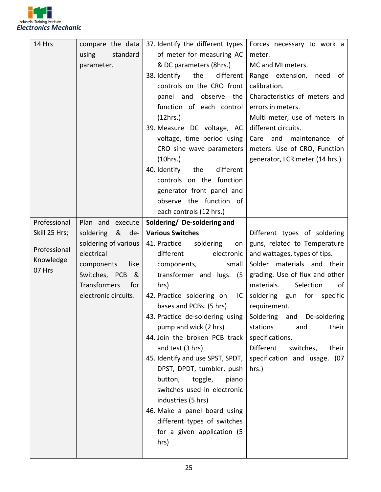

| 14 Hrs                              | compare the data<br>standard<br>using<br>parameter.                                                                               | 37. Identify the different types<br>of meter for measuring AC<br>& DC parameters (8hrs.)<br>different<br>38. Identify<br>the<br>controls on the CRO front<br>panel and observe the<br>function of each control<br>(12hrs.)<br>39. Measure DC voltage, AC<br>voltage, time period using<br>CRO sine wave parameters<br>(10 hrs.)<br>40. Identify<br>different<br>the<br>controls on the function                                                                                                                                                                              | Forces necessary to work a<br>meter.<br>MC and MI meters.<br>Range extension,<br>need<br>of<br>calibration.<br>Characteristics of meters and<br>errors in meters.<br>Multi meter, use of meters in<br>different circuits.<br>Care<br>and maintenance of<br>meters. Use of CRO, Function<br>generator, LCR meter (14 hrs.)                                                      |
|-------------------------------------|-----------------------------------------------------------------------------------------------------------------------------------|------------------------------------------------------------------------------------------------------------------------------------------------------------------------------------------------------------------------------------------------------------------------------------------------------------------------------------------------------------------------------------------------------------------------------------------------------------------------------------------------------------------------------------------------------------------------------|--------------------------------------------------------------------------------------------------------------------------------------------------------------------------------------------------------------------------------------------------------------------------------------------------------------------------------------------------------------------------------|
|                                     |                                                                                                                                   | generator front panel and<br>observe the function of<br>each controls (12 hrs.)                                                                                                                                                                                                                                                                                                                                                                                                                                                                                              |                                                                                                                                                                                                                                                                                                                                                                                |
| Professional                        | Plan and execute                                                                                                                  | Soldering/ De-soldering and                                                                                                                                                                                                                                                                                                                                                                                                                                                                                                                                                  |                                                                                                                                                                                                                                                                                                                                                                                |
| Skill 25 Hrs;                       | soldering & de-                                                                                                                   | <b>Various Switches</b>                                                                                                                                                                                                                                                                                                                                                                                                                                                                                                                                                      | Different types of soldering                                                                                                                                                                                                                                                                                                                                                   |
| Professional<br>Knowledge<br>07 Hrs | soldering of various<br>electrical<br>components<br>like<br>Switches, PCB &<br><b>Transformers</b><br>for<br>electronic circuits. | 41. Practice<br>soldering<br>on<br>different<br>electronic<br>small<br>components,<br>transformer and lugs. (5<br>hrs)<br>42. Practice soldering on<br>$\mathsf{IC}^-$<br>bases and PCBs. (5 hrs)<br>43. Practice de-soldering using<br>pump and wick (2 hrs)<br>44. Join the broken PCB track<br>and test (3 hrs)<br>45. Identify and use SPST, SPDT,<br>DPST, DPDT, tumbler, push<br>button,<br>toggle,<br>piano<br>switches used in electronic<br>industries (5 hrs)<br>46. Make a panel board using<br>different types of switches<br>for a given application (5<br>hrs) | guns, related to Temperature<br>and wattages, types of tips.<br>Solder materials and their<br>grading. Use of flux and other<br>Selection<br>materials.<br>of<br>soldering gun for specific<br>requirement.<br>Soldering and De-soldering<br>stations<br>their<br>and<br>specifications.<br><b>Different</b><br>switches,<br>their<br>specification and usage. (07<br>$hrs.$ ) |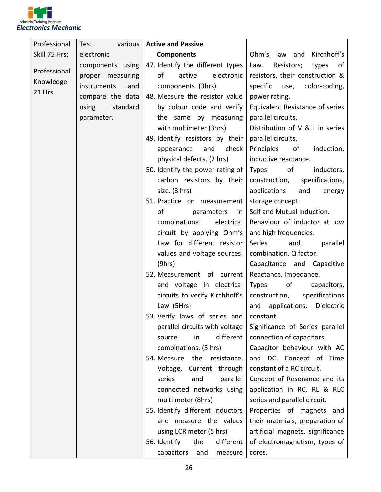

| Professional  | Test               | various   Active and Passive     |                                   |
|---------------|--------------------|----------------------------------|-----------------------------------|
| Skill 75 Hrs; | electronic         | <b>Components</b>                | Ohm's law and Kirchhoff's         |
| Professional  | components using   | 47. Identify the different types | Law.<br>Resistors;<br>types<br>of |
|               | proper measuring   | of<br>electronic  <br>active     | resistors, their construction &   |
| Knowledge     | instruments<br>and | components. (3hrs).              | specific use, color-coding,       |
| 21 Hrs        | compare the data   | 48. Measure the resistor value   | power rating.                     |
|               | standard<br>using  | by colour code and verify        | Equivalent Resistance of series   |
|               | parameter.         | the same by measuring            | parallel circuits.                |
|               |                    | with multimeter (3hrs)           | Distribution of V & I in series   |
|               |                    | 49. Identify resistors by their  | parallel circuits.                |
|               |                    | check<br>appearance<br>and       | Principles<br>of<br>induction,    |
|               |                    | physical defects. (2 hrs)        | inductive reactance.              |
|               |                    | 50. Identify the power rating of | Types of<br>inductors,            |
|               |                    | carbon resistors by their        | specifications,<br>construction,  |
|               |                    | size. (3 hrs)                    | applications<br>and<br>energy     |
|               |                    | 51. Practice on measurement      | storage concept.                  |
|               |                    | of<br>parameters<br>in I         | Self and Mutual induction.        |
|               |                    | combinational<br>electrical      | Behaviour of inductor at low      |
|               |                    | circuit by applying Ohm's        | and high frequencies.             |
|               |                    | Law for different resistor       | Series<br>and<br>parallel         |
|               |                    | values and voltage sources.      | combination, Q factor.            |
|               |                    | (9hrs)                           | Capacitance and Capacitive        |
|               |                    | 52. Measurement of current       | Reactance, Impedance.             |
|               |                    | and voltage in electrical        | <b>Types</b><br>of<br>capacitors, |
|               |                    | circuits to verify Kirchhoff's   | construction,<br>specifications   |
|               |                    | Law (5Hrs)                       | and applications.<br>Dielectric   |
|               |                    | 53. Verify laws of series and    | constant.                         |
|               |                    | parallel circuits with voltage   | Significance of Series parallel   |
|               |                    | different  <br>source<br>in      | connection of capacitors.         |
|               |                    | combinations. (5 hrs)            | Capacitor behaviour with AC       |
|               |                    | 54. Measure the resistance,      | and DC. Concept of Time           |
|               |                    | Voltage, Current through         | constant of a RC circuit.         |
|               |                    | series<br>and<br>parallel        | Concept of Resonance and its      |
|               |                    | connected networks using         | application in RC, RL & RLC       |
|               |                    | multi meter (8hrs)               | series and parallel circuit.      |
|               |                    | 55. Identify different inductors | Properties of magnets and         |
|               |                    | and measure the values           | their materials, preparation of   |
|               |                    | using LCR meter (5 hrs)          | artificial magnets, significance  |
|               |                    | 56. Identify<br>the<br>different | of electromagnetism, types of     |
|               |                    | capacitors<br>and<br>measure     | cores.                            |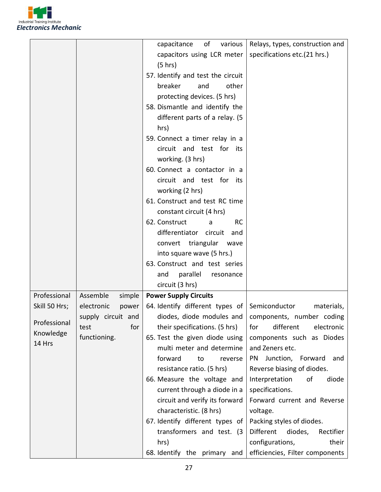

|               |                     | of<br>capacitance<br>various                  | Relays, types, construction and   |
|---------------|---------------------|-----------------------------------------------|-----------------------------------|
|               |                     | capacitors using LCR meter                    | specifications etc.(21 hrs.)      |
|               |                     | (5 hr)                                        |                                   |
|               |                     | 57. Identify and test the circuit             |                                   |
|               |                     |                                               |                                   |
|               |                     | other<br>breaker<br>and                       |                                   |
|               |                     | protecting devices. (5 hrs)                   |                                   |
|               |                     | 58. Dismantle and identify the                |                                   |
|               |                     | different parts of a relay. (5                |                                   |
|               |                     | hrs)                                          |                                   |
|               |                     | 59. Connect a timer relay in a                |                                   |
|               |                     | circuit and test for its                      |                                   |
|               |                     | working. (3 hrs)                              |                                   |
|               |                     | 60. Connect a contactor in a                  |                                   |
|               |                     | circuit and test for its                      |                                   |
|               |                     | working (2 hrs)                               |                                   |
|               |                     | 61. Construct and test RC time                |                                   |
|               |                     | constant circuit (4 hrs)                      |                                   |
|               |                     | 62. Construct<br><b>RC</b><br>a               |                                   |
|               |                     | differentiator circuit<br>and                 |                                   |
|               |                     | convert triangular<br>wave                    |                                   |
|               |                     | into square wave (5 hrs.)                     |                                   |
|               |                     | 63. Construct and test series                 |                                   |
|               |                     | parallel<br>and<br>resonance                  |                                   |
|               |                     | circuit (3 hrs)                               |                                   |
| Professional  | Assemble<br>simple  | <b>Power Supply Circuits</b>                  |                                   |
| Skill 50 Hrs; | electronic<br>power | 64. Identify different types of Semiconductor | materials,                        |
|               | supply circuit and  | diodes, diode modules and                     | components, number coding         |
| Professional  | for<br>test         | their specifications. (5 hrs)                 | different<br>electronic<br>for    |
| Knowledge     | functioning.        | 65. Test the given diode using                | components such as Diodes         |
| 14 Hrs        |                     | multi meter and determine                     | and Zeners etc.                   |
|               |                     | forward<br>to<br>reverse                      | Junction, Forward<br>PN.<br>and   |
|               |                     | resistance ratio. (5 hrs)                     | Reverse biasing of diodes.        |
|               |                     | 66. Measure the voltage and                   | Interpretation<br>of<br>diode     |
|               |                     | current through a diode in a                  | specifications.                   |
|               |                     | circuit and verify its forward                | Forward current and Reverse       |
|               |                     | characteristic. (8 hrs)                       | voltage.                          |
|               |                     | 67. Identify different types of               | Packing styles of diodes.         |
|               |                     | transformers and test. (3)                    | Different<br>diodes,<br>Rectifier |
|               |                     | hrs)                                          | configurations,<br>their          |
|               |                     |                                               |                                   |
|               |                     | 68. Identify the primary and                  | efficiencies, Filter components   |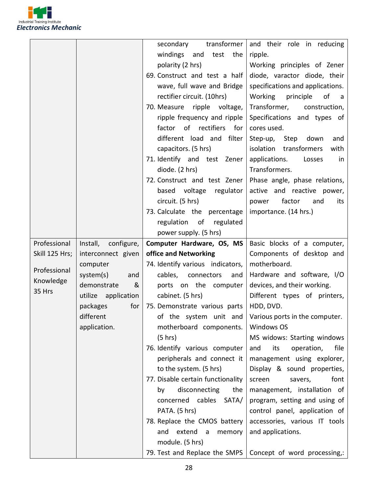

|                |                        | transformer  <br>secondary             | and their role in reducing                            |
|----------------|------------------------|----------------------------------------|-------------------------------------------------------|
|                |                        | windings and<br>test<br>the            | ripple.                                               |
|                |                        | polarity (2 hrs)                       | Working principles of Zener                           |
|                |                        | 69. Construct and test a half          | diode, varactor diode, their                          |
|                |                        | wave, full wave and Bridge             | specifications and applications.                      |
|                |                        | rectifier circuit. (10hrs)             | Working principle<br>of a                             |
|                |                        | 70. Measure ripple voltage,            | Transformer, construction,                            |
|                |                        | ripple frequency and ripple            | Specifications and types of                           |
|                |                        | factor of rectifiers<br>for I          | cores used.                                           |
|                |                        | different load and filter              | Step-up,<br>Step down<br>and                          |
|                |                        | capacitors. (5 hrs)                    | isolation transformers<br>with                        |
|                |                        | 71. Identify and test Zener            | applications.<br>Losses<br>in                         |
|                |                        | diode. (2 hrs)                         | Transformers.                                         |
|                |                        | 72. Construct and test Zener           | Phase angle, phase relations,                         |
|                |                        | based voltage regulator                | active and reactive power,                            |
|                |                        | circuit. (5 hrs)                       | power<br>factor<br>and<br>its                         |
|                |                        | 73. Calculate the percentage           | importance. (14 hrs.)                                 |
|                |                        | regulation of regulated                |                                                       |
|                |                        | power supply. (5 hrs)                  |                                                       |
| Professional   | Install,<br>configure, | Computer Hardware, OS, MS              | Basic blocks of a computer,                           |
| Skill 125 Hrs; | interconnect given     | office and Networking                  | Components of desktop and                             |
|                | computer               | 74. Identify various indicators,       | motherboard.                                          |
| Professional   | system(s)<br>and       | cables, connectors<br>and              | Hardware and software, I/O                            |
| Knowledge      | demonstrate<br>&       | ports on the computer                  | devices, and their working.                           |
| 35 Hrs         | utilize application    | cabinet. (5 hrs)                       | Different types of printers,                          |
|                | packages<br>for        | 75. Demonstrate various parts          | HDD, DVD.                                             |
|                | different              |                                        | of the system unit and Various ports in the computer. |
|                | application.           | motherboard components.                | <b>Windows OS</b>                                     |
|                |                        | (5 hrs)                                | MS widows: Starting windows                           |
|                |                        | 76. Identify various computer          | file<br>operation,<br>and<br>its                      |
|                |                        | peripherals and connect it             | management using explorer,                            |
|                |                        | to the system. (5 hrs)                 | Display & sound properties,                           |
|                |                        | 77. Disable certain functionality      | font<br>savers,<br>screen                             |
|                |                        | disconnecting<br>by<br>the             | management, installation of                           |
|                |                        | concerned cables<br>SATA/              | program, setting and using of                         |
|                |                        | PATA. (5 hrs)                          | control panel, application of                         |
|                |                        | 78. Replace the CMOS battery           | accessories, various IT tools                         |
|                |                        | and extend<br>$\overline{a}$<br>memory | and applications.                                     |
|                |                        |                                        |                                                       |
|                |                        | module. (5 hrs)                        |                                                       |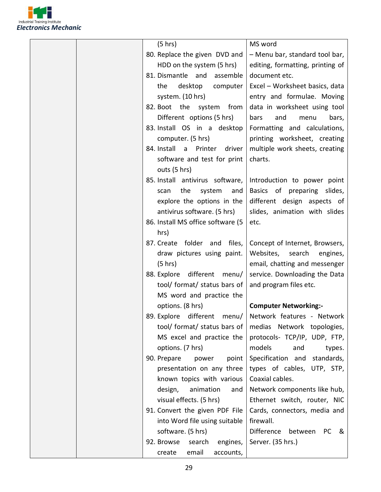

| (5 hrs)                               | MS word                                              |
|---------------------------------------|------------------------------------------------------|
| 80. Replace the given DVD and         | - Menu bar, standard tool bar,                       |
| HDD on the system (5 hrs)             | editing, formatting, printing of                     |
| 81. Dismantle and<br>assemble         | document etc.                                        |
| desktop<br>the<br>computer            | Excel - Worksheet basics, data                       |
| system. (10 hrs)                      | entry and formulae. Moving                           |
| 82. Boot the system<br>from           | data in worksheet using tool                         |
| Different options (5 hrs)             | bars<br>and<br>bars,<br>menu                         |
| 83. Install OS in a desktop           | Formatting and calculations,                         |
| computer. (5 hrs)                     | printing worksheet, creating                         |
| 84. Install<br>Printer<br>driver<br>a | multiple work sheets, creating                       |
| software and test for print           | charts.                                              |
| outs (5 hrs)                          |                                                      |
| 85. Install antivirus software,       | Introduction to power point                          |
| the<br>system<br>and<br>scan          | Basics of preparing slides,                          |
| explore the options in the            | different design aspects of                          |
| antivirus software. (5 hrs)           | slides, animation with slides                        |
| 86. Install MS office software (5     | etc.                                                 |
| hrs)                                  |                                                      |
| 87. Create folder and<br>files,       | Concept of Internet, Browsers,                       |
| draw pictures using paint.            | Websites,<br>search<br>engines,                      |
| (5 hrs)                               | email, chatting and messenger                        |
| different<br>88. Explore<br>menu/     | service. Downloading the Data                        |
| tool/ format/ status bars of          | and program files etc.                               |
| MS word and practice the              |                                                      |
| options. (8 hrs)                      | <b>Computer Networking:-</b>                         |
| different menu/<br>89. Explore        | Network features - Network                           |
| tool/ format/ status bars of          | medias Network topologies,                           |
| MS excel and practice the             | protocols- TCP/IP, UDP, FTP,                         |
| options. (7 hrs)                      | models<br>and<br>types.                              |
| 90. Prepare<br>power<br>point         | standards,<br>Specification and                      |
| presentation on any three             | types of cables, UTP, STP,                           |
| known topics with various             | Coaxial cables.                                      |
| design,<br>animation<br>and           | Network components like hub,                         |
| visual effects. (5 hrs)               | Ethernet switch, router, NIC                         |
| 91. Convert the given PDF File        | Cards, connectors, media and                         |
| into Word file using suitable         | firewall.                                            |
| software. (5 hrs)                     | <b>Difference</b><br>between<br>PC  <br><u>&amp;</u> |
| 92. Browse<br>search<br>engines,      | Server. (35 hrs.)                                    |
| email<br>accounts,<br>create          |                                                      |
|                                       |                                                      |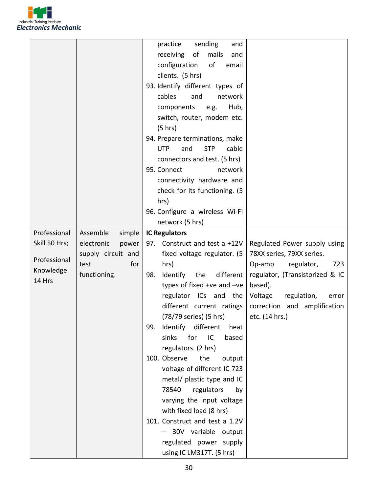

|               |                     | practice<br>sending<br>and               |                                 |
|---------------|---------------------|------------------------------------------|---------------------------------|
|               |                     | receiving<br>of<br>mails<br>and          |                                 |
|               |                     | configuration<br>of<br>email             |                                 |
|               |                     | clients. (5 hrs)                         |                                 |
|               |                     | 93. Identify different types of          |                                 |
|               |                     | cables<br>network<br>and                 |                                 |
|               |                     | Hub,<br>components<br>e.g.               |                                 |
|               |                     | switch, router, modem etc.               |                                 |
|               |                     | (5 hr)                                   |                                 |
|               |                     | 94. Prepare terminations, make           |                                 |
|               |                     | <b>STP</b><br>cable<br><b>UTP</b><br>and |                                 |
|               |                     | connectors and test. (5 hrs)             |                                 |
|               |                     | 95. Connect<br>network                   |                                 |
|               |                     | connectivity hardware and                |                                 |
|               |                     | check for its functioning. (5            |                                 |
|               |                     | hrs)                                     |                                 |
|               |                     | 96. Configure a wireless Wi-Fi           |                                 |
|               |                     | network (5 hrs)                          |                                 |
| Professional  | Assemble<br>simple  | <b>IC Regulators</b>                     |                                 |
| Skill 50 Hrs; | electronic<br>power | 97. Construct and test a +12V            | Regulated Power supply using    |
| Professional  | supply circuit and  | fixed voltage regulator. (5              | 78XX series, 79XX series.       |
| Knowledge     | for<br>test         | hrs)                                     | 723<br>Op-amp<br>regulator,     |
| 14 Hrs        | functioning.        | 98.<br>Identify<br>the<br>different      | regulator, (Transistorized & IC |
|               |                     | types of fixed +ve and $-ve$             | based).                         |
|               |                     | regulator ICs and the                    | Voltage<br>regulation,<br>error |
|               |                     | different current ratings                | correction and amplification    |
|               |                     | (78/79 series) (5 hrs)                   | etc. (14 hrs.)                  |
|               |                     | Identify different<br>99.<br>heat        |                                 |
|               |                     | for<br>sinks<br>IC<br>based              |                                 |
|               |                     | regulators. (2 hrs)                      |                                 |
|               |                     | 100. Observe<br>the<br>output            |                                 |
|               |                     | voltage of different IC 723              |                                 |
|               |                     | metal/ plastic type and IC               |                                 |
|               |                     | 78540<br>regulators<br>by                |                                 |
|               |                     | varying the input voltage                |                                 |
|               |                     | with fixed load (8 hrs)                  |                                 |
|               |                     | 101. Construct and test a 1.2V           |                                 |
|               |                     | 30V variable output                      |                                 |
|               |                     | regulated power supply                   |                                 |
|               |                     | using IC LM317T. (5 hrs)                 |                                 |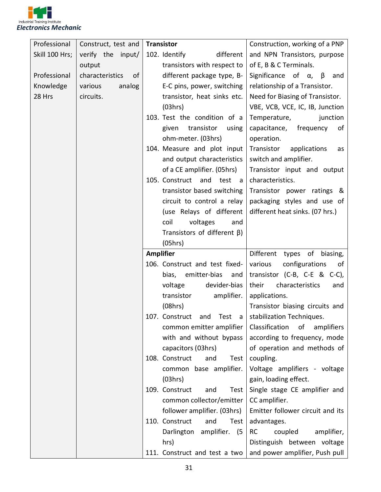

| Professional   | Construct, test and   | <b>Transistor</b>                     | Construction, working of a PNP                                |
|----------------|-----------------------|---------------------------------------|---------------------------------------------------------------|
| Skill 100 Hrs; | verify the input/     | 102. Identify<br>different            | and NPN Transistors, purpose                                  |
|                | output                | transistors with respect to           | of E, B & C Terminals.                                        |
| Professional   | characteristics<br>0f | different package type, B-            | Significance of $\alpha$ , $\beta$<br>and                     |
| Knowledge      | analog<br>various     | E-C pins, power, switching            | relationship of a Transistor.                                 |
| 28 Hrs         | circuits.             | transistor, heat sinks etc.           | Need for Biasing of Transistor.                               |
|                |                       | (03hrs)                               | VBE, VCB, VCE, IC, IB, Junction                               |
|                |                       | 103. Test the condition of a          | Temperature,<br>junction                                      |
|                |                       | transistor<br>given<br>using          | capacitance,<br>frequency<br>of                               |
|                |                       | ohm-meter. (03hrs)                    | operation.                                                    |
|                |                       | 104. Measure and plot input           | Transistor<br>applications<br>as                              |
|                |                       | and output characteristics            | switch and amplifier.                                         |
|                |                       | of a CE amplifier. (05hrs)            | Transistor input and output                                   |
|                |                       | 105. Construct<br>and<br>test<br>- a  | characteristics.                                              |
|                |                       | transistor based switching            | Transistor power ratings &                                    |
|                |                       | circuit to control a relay            | packaging styles and use of                                   |
|                |                       | (use Relays of different              | different heat sinks. (07 hrs.)                               |
|                |                       | coil<br>voltages<br>and               |                                                               |
|                |                       | Transistors of different $\beta$ )    |                                                               |
|                |                       | (05hrs)                               |                                                               |
|                |                       |                                       |                                                               |
|                |                       | <b>Amplifier</b>                      | Different<br>types of biasing,                                |
|                |                       | 106. Construct and test fixed-        | configurations<br>various<br>of                               |
|                |                       | bias, emitter-bias<br>and             | transistor $(C-B, C-E \& C-C)$ ,                              |
|                |                       | devider-bias<br>voltage               | their<br>characteristics<br>and                               |
|                |                       | amplifier.<br>transistor              | applications.                                                 |
|                |                       | (08hrs)                               | Transistor biasing circuits and                               |
|                |                       | 107. Construct and Test a             | stabilization Techniques.                                     |
|                |                       | common emitter amplifier              | Classification<br>of<br>amplifiers                            |
|                |                       | with and without bypass               | according to frequency, mode                                  |
|                |                       | capacitors (03hrs)                    | of operation and methods of                                   |
|                |                       | 108. Construct<br>Test<br>and         | coupling.                                                     |
|                |                       | common base amplifier.                | Voltage amplifiers - voltage                                  |
|                |                       | (03hrs)                               | gain, loading effect.                                         |
|                |                       | 109. Construct<br>and<br>Test         | Single stage CE amplifier and                                 |
|                |                       | common collector/emitter              | CC amplifier.                                                 |
|                |                       | follower amplifier. (03hrs)           | Emitter follower circuit and its                              |
|                |                       | 110. Construct<br>and<br>Test         | advantages.                                                   |
|                |                       | Darlington amplifier.<br>(5           | <b>RC</b><br>coupled<br>amplifier,                            |
|                |                       | hrs)<br>111. Construct and test a two | Distinguish between voltage<br>and power amplifier, Push pull |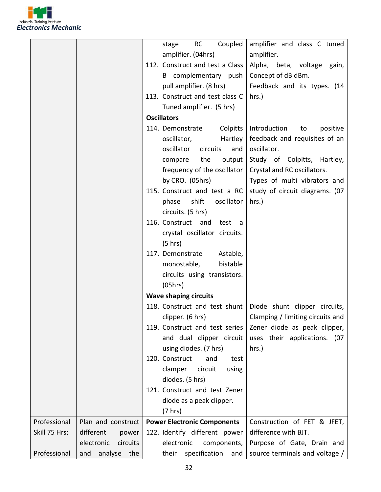

|               |                        | Coupled<br><b>RC</b><br>stage                           | amplifier and class C tuned                                   |
|---------------|------------------------|---------------------------------------------------------|---------------------------------------------------------------|
|               |                        | amplifier. (04hrs)                                      | amplifier.                                                    |
|               |                        | 112. Construct and test a Class                         | Alpha, beta, voltage<br>gain,                                 |
|               |                        | B complementary push                                    | Concept of dB dBm.                                            |
|               |                        | pull amplifier. (8 hrs)                                 | Feedback and its types. (14                                   |
|               |                        | 113. Construct and test class C                         | $hrs.$ )                                                      |
|               |                        | Tuned amplifier. (5 hrs)                                |                                                               |
|               |                        | <b>Oscillators</b>                                      |                                                               |
|               |                        | Colpitts<br>114. Demonstrate                            | Introduction<br>positive<br>to                                |
|               |                        | Hartley  <br>oscillator,                                | feedback and requisites of an                                 |
|               |                        | oscillator<br>circuits<br>and                           | oscillator.                                                   |
|               |                        |                                                         |                                                               |
|               |                        | the<br>output<br>compare<br>frequency of the oscillator | Study of Colpitts, Hartley,<br>Crystal and RC oscillators.    |
|               |                        |                                                         | Types of multi vibrators and                                  |
|               |                        | by CRO. (05hrs)<br>115. Construct and test a RC         |                                                               |
|               |                        | oscillator                                              | study of circuit diagrams. (07                                |
|               |                        | shift<br>phase                                          | hrs.)                                                         |
|               |                        | circuits. (5 hrs)                                       |                                                               |
|               |                        | 116. Construct and<br>test a                            |                                                               |
|               |                        | crystal oscillator circuits.                            |                                                               |
|               |                        | (5 hrs)                                                 |                                                               |
|               |                        | 117. Demonstrate<br>Astable,                            |                                                               |
|               |                        | bistable<br>monostable,                                 |                                                               |
|               |                        | circuits using transistors.                             |                                                               |
|               |                        | (05hrs)                                                 |                                                               |
|               |                        | <b>Wave shaping circuits</b>                            |                                                               |
|               |                        |                                                         | 118. Construct and test shunt   Diode shunt clipper circuits, |
|               |                        | clipper. (6 hrs)                                        | Clamping / limiting circuits and                              |
|               |                        | 119. Construct and test series                          | Zener diode as peak clipper,                                  |
|               |                        | and dual clipper circuit                                | uses their applications. (07                                  |
|               |                        | using diodes. (7 hrs)                                   | $hrs.$ )                                                      |
|               |                        | 120. Construct<br>and<br>test                           |                                                               |
|               |                        | clamper<br>circuit<br>using                             |                                                               |
|               |                        | diodes. (5 hrs)                                         |                                                               |
|               |                        | 121. Construct and test Zener                           |                                                               |
|               |                        | diode as a peak clipper.                                |                                                               |
|               |                        | $(7 \text{ hrs})$                                       |                                                               |
| Professional  | Plan and construct     | <b>Power Electronic Components</b>                      | Construction of FET & JFET,                                   |
| Skill 75 Hrs; | different<br>power     | 122. Identify different power                           | difference with BJT.                                          |
|               | electronic<br>circuits | electronic<br>components,                               | Purpose of Gate, Drain and                                    |
| Professional  | and analyse the        | their<br>specification<br>and                           | source terminals and voltage /                                |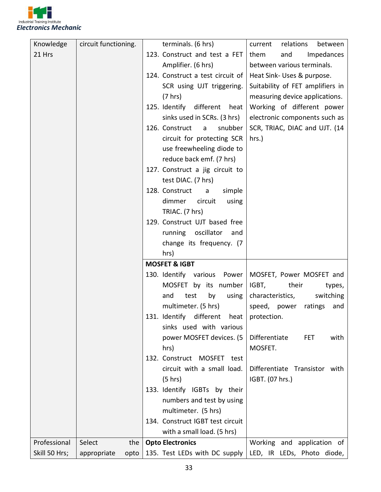

| 123. Construct and test a FET<br>21 Hrs<br>Impedances<br>and<br>them<br>Amplifier. (6 hrs)<br>between various terminals.<br>124. Construct a test circuit of<br>Heat Sink- Uses & purpose.<br>Suitability of FET amplifiers in<br>SCR using UJT triggering.<br>(7 hrs)<br>measuring device applications.<br>125. Identify different<br>Working of different power<br>heat<br>sinks used in SCRs. (3 hrs)<br>electronic components such as<br>126. Construct<br>SCR, TRIAC, DIAC and UJT. (14<br>snubber<br>$\overline{a}$<br>circuit for protecting SCR<br>$hrs.$ )<br>use freewheeling diode to<br>reduce back emf. (7 hrs)<br>127. Construct a jig circuit to<br>test DIAC. (7 hrs)<br>128. Construct<br>simple<br>a<br>dimmer<br>circuit<br>using |
|------------------------------------------------------------------------------------------------------------------------------------------------------------------------------------------------------------------------------------------------------------------------------------------------------------------------------------------------------------------------------------------------------------------------------------------------------------------------------------------------------------------------------------------------------------------------------------------------------------------------------------------------------------------------------------------------------------------------------------------------------|
|                                                                                                                                                                                                                                                                                                                                                                                                                                                                                                                                                                                                                                                                                                                                                      |
|                                                                                                                                                                                                                                                                                                                                                                                                                                                                                                                                                                                                                                                                                                                                                      |
|                                                                                                                                                                                                                                                                                                                                                                                                                                                                                                                                                                                                                                                                                                                                                      |
|                                                                                                                                                                                                                                                                                                                                                                                                                                                                                                                                                                                                                                                                                                                                                      |
|                                                                                                                                                                                                                                                                                                                                                                                                                                                                                                                                                                                                                                                                                                                                                      |
|                                                                                                                                                                                                                                                                                                                                                                                                                                                                                                                                                                                                                                                                                                                                                      |
|                                                                                                                                                                                                                                                                                                                                                                                                                                                                                                                                                                                                                                                                                                                                                      |
|                                                                                                                                                                                                                                                                                                                                                                                                                                                                                                                                                                                                                                                                                                                                                      |
|                                                                                                                                                                                                                                                                                                                                                                                                                                                                                                                                                                                                                                                                                                                                                      |
|                                                                                                                                                                                                                                                                                                                                                                                                                                                                                                                                                                                                                                                                                                                                                      |
|                                                                                                                                                                                                                                                                                                                                                                                                                                                                                                                                                                                                                                                                                                                                                      |
|                                                                                                                                                                                                                                                                                                                                                                                                                                                                                                                                                                                                                                                                                                                                                      |
|                                                                                                                                                                                                                                                                                                                                                                                                                                                                                                                                                                                                                                                                                                                                                      |
|                                                                                                                                                                                                                                                                                                                                                                                                                                                                                                                                                                                                                                                                                                                                                      |
|                                                                                                                                                                                                                                                                                                                                                                                                                                                                                                                                                                                                                                                                                                                                                      |
| TRIAC. (7 hrs)                                                                                                                                                                                                                                                                                                                                                                                                                                                                                                                                                                                                                                                                                                                                       |
| 129. Construct UJT based free                                                                                                                                                                                                                                                                                                                                                                                                                                                                                                                                                                                                                                                                                                                        |
| oscillator<br>running<br>and                                                                                                                                                                                                                                                                                                                                                                                                                                                                                                                                                                                                                                                                                                                         |
| change its frequency. (7                                                                                                                                                                                                                                                                                                                                                                                                                                                                                                                                                                                                                                                                                                                             |
| hrs)                                                                                                                                                                                                                                                                                                                                                                                                                                                                                                                                                                                                                                                                                                                                                 |
| <b>MOSFET &amp; IGBT</b>                                                                                                                                                                                                                                                                                                                                                                                                                                                                                                                                                                                                                                                                                                                             |
| MOSFET, Power MOSFET and<br>130. Identify various Power                                                                                                                                                                                                                                                                                                                                                                                                                                                                                                                                                                                                                                                                                              |
| MOSFET by its number<br>IGBT,<br>their<br>types,                                                                                                                                                                                                                                                                                                                                                                                                                                                                                                                                                                                                                                                                                                     |
| switching<br>test<br>by<br>using<br>characteristics,<br>and                                                                                                                                                                                                                                                                                                                                                                                                                                                                                                                                                                                                                                                                                          |
| multimeter. (5 hrs)<br>speed, power<br>ratings<br>and                                                                                                                                                                                                                                                                                                                                                                                                                                                                                                                                                                                                                                                                                                |
| 131. Identify different heat protection.                                                                                                                                                                                                                                                                                                                                                                                                                                                                                                                                                                                                                                                                                                             |
| sinks used with various                                                                                                                                                                                                                                                                                                                                                                                                                                                                                                                                                                                                                                                                                                                              |
| Differentiate<br>power MOSFET devices. (5<br><b>FET</b><br>with                                                                                                                                                                                                                                                                                                                                                                                                                                                                                                                                                                                                                                                                                      |
| MOSFET.<br>hrs)                                                                                                                                                                                                                                                                                                                                                                                                                                                                                                                                                                                                                                                                                                                                      |
| 132. Construct MOSFET test                                                                                                                                                                                                                                                                                                                                                                                                                                                                                                                                                                                                                                                                                                                           |
| circuit with a small load.<br>Differentiate Transistor with                                                                                                                                                                                                                                                                                                                                                                                                                                                                                                                                                                                                                                                                                          |
| IGBT. (07 hrs.)<br>(5 hr)                                                                                                                                                                                                                                                                                                                                                                                                                                                                                                                                                                                                                                                                                                                            |
| 133. Identify IGBTs by their                                                                                                                                                                                                                                                                                                                                                                                                                                                                                                                                                                                                                                                                                                                         |
| numbers and test by using                                                                                                                                                                                                                                                                                                                                                                                                                                                                                                                                                                                                                                                                                                                            |
| multimeter. (5 hrs)<br>134. Construct IGBT test circuit                                                                                                                                                                                                                                                                                                                                                                                                                                                                                                                                                                                                                                                                                              |
| with a small load. (5 hrs)                                                                                                                                                                                                                                                                                                                                                                                                                                                                                                                                                                                                                                                                                                                           |
| Professional<br>Select<br>the<br><b>Opto Electronics</b><br>Working and application of                                                                                                                                                                                                                                                                                                                                                                                                                                                                                                                                                                                                                                                               |
| Skill 50 Hrs;<br>135. Test LEDs with DC supply<br>LED, IR LEDs, Photo diode,<br>appropriate<br>opto                                                                                                                                                                                                                                                                                                                                                                                                                                                                                                                                                                                                                                                  |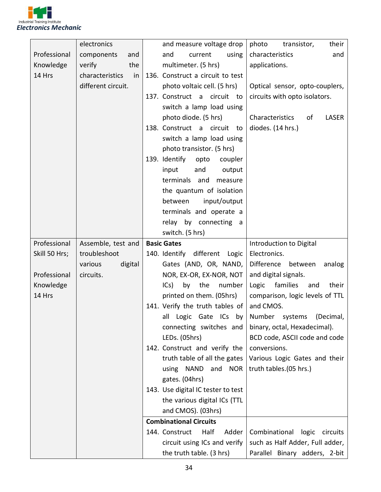

|               | electronics           | and measure voltage drop<br>photo<br>their<br>transistor,          |
|---------------|-----------------------|--------------------------------------------------------------------|
| Professional  | components<br>and     | characteristics<br>and<br>using<br>and<br>current                  |
| Knowledge     | the<br>verify         | multimeter. (5 hrs)<br>applications.                               |
| 14 Hrs        | characteristics<br>in | 136. Construct a circuit to test                                   |
|               | different circuit.    | photo voltaic cell. (5 hrs)<br>Optical sensor, opto-couplers,      |
|               |                       | circuits with opto isolators.<br>137. Construct a circuit to       |
|               |                       | switch a lamp load using                                           |
|               |                       | photo diode. (5 hrs)<br>Characteristics<br>LASER<br>of             |
|               |                       | diodes. (14 hrs.)<br>138. Construct a circuit<br>to                |
|               |                       | switch a lamp load using                                           |
|               |                       | photo transistor. (5 hrs)                                          |
|               |                       | 139. Identify<br>opto<br>coupler                                   |
|               |                       | input<br>and<br>output                                             |
|               |                       | terminals and<br>measure                                           |
|               |                       | the quantum of isolation                                           |
|               |                       | input/output<br>between                                            |
|               |                       | terminals and operate a                                            |
|               |                       | relay by connecting a                                              |
|               |                       | switch. (5 hrs)                                                    |
| Professional  | Assemble, test and    | <b>Basic Gates</b><br>Introduction to Digital                      |
| Skill 50 Hrs; | troubleshoot          | 140. Identify different Logic<br>Electronics.                      |
|               | various<br>digital    | Gates (AND, OR, NAND,<br>Difference between<br>analog              |
| Professional  | circuits.             | NOR, EX-OR, EX-NOR, NOT<br>and digital signals.                    |
| Knowledge     |                       | families<br>ICs)<br>by<br>the<br>number<br>their<br>Logic<br>and   |
| 14 Hrs        |                       | printed on them. (05hrs)<br>comparison, logic levels of TTL        |
|               |                       | 141. Verify the truth tables of<br>and CMOS.                       |
|               |                       | all Logic Gate ICs by Number systems (Decimal,                     |
|               |                       | binary, octal, Hexadecimal).<br>connecting switches and            |
|               |                       | LEDs. (05hrs)<br>BCD code, ASCII code and code                     |
|               |                       | 142. Construct and verify the<br>conversions.                      |
|               |                       | truth table of all the gates<br>Various Logic Gates and their      |
|               |                       | truth tables.(05 hrs.)<br>using NAND and NOR                       |
|               |                       | gates. (04hrs)                                                     |
|               |                       | 143. Use digital IC tester to test                                 |
|               |                       | the various digital ICs (TTL                                       |
|               |                       | and CMOS). (03hrs)                                                 |
|               |                       | <b>Combinational Circuits</b>                                      |
|               |                       | 144. Construct<br>Half<br>Adder<br>Combinational<br>logic circuits |
|               |                       | such as Half Adder, Full adder,<br>circuit using ICs and verify    |
|               |                       | the truth table. (3 hrs)<br>Parallel Binary adders, 2-bit          |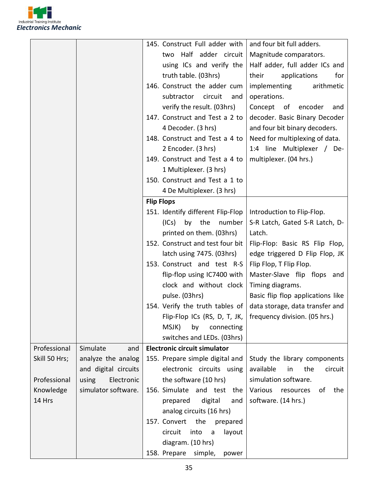

|               |                      |                   | 145. Construct Full adder with      | and four bit full adders.         |
|---------------|----------------------|-------------------|-------------------------------------|-----------------------------------|
|               |                      |                   | two Half adder circuit              | Magnitude comparators.            |
|               |                      |                   | using ICs and verify the            | Half adder, full adder ICs and    |
|               |                      |                   | truth table. (03hrs)                | their<br>applications<br>for      |
|               |                      |                   | 146. Construct the adder cum        | implementing<br>arithmetic        |
|               |                      |                   | subtractor<br>circuit<br>and        | operations.                       |
|               |                      |                   | verify the result. (03hrs)          | Concept of encoder<br>and         |
|               |                      |                   | 147. Construct and Test a 2 to      | decoder. Basic Binary Decoder     |
|               |                      |                   | 4 Decoder. (3 hrs)                  | and four bit binary decoders.     |
|               |                      |                   | 148. Construct and Test a 4 to      | Need for multiplexing of data.    |
|               |                      |                   | 2 Encoder. (3 hrs)                  | 1:4 line Multiplexer / De-        |
|               |                      |                   | 149. Construct and Test a 4 to      | multiplexer. (04 hrs.)            |
|               |                      |                   | 1 Multiplexer. (3 hrs)              |                                   |
|               |                      |                   | 150. Construct and Test a 1 to      |                                   |
|               |                      |                   | 4 De Multiplexer. (3 hrs)           |                                   |
|               |                      | <b>Flip Flops</b> |                                     |                                   |
|               |                      |                   | 151. Identify different Flip-Flop   | Introduction to Flip-Flop.        |
|               |                      |                   | (ICs)<br>by the<br>number           | S-R Latch, Gated S-R Latch, D-    |
|               |                      |                   | printed on them. (03hrs)            | Latch.                            |
|               |                      |                   | 152. Construct and test four bit    | Flip-Flop: Basic RS Flip Flop,    |
|               |                      |                   | latch using 7475. (03hrs)           | edge triggered D Flip Flop, JK    |
|               |                      |                   | 153. Construct and test R-S         | Flip Flop, T Flip Flop.           |
|               |                      |                   | flip-flop using IC7400 with         | Master-Slave flip flops and       |
|               |                      |                   | clock and without clock             | Timing diagrams.                  |
|               |                      |                   | pulse. (03hrs)                      | Basic flip flop applications like |
|               |                      |                   | 154. Verify the truth tables of     | data storage, data transfer and   |
|               |                      |                   | Flip-Flop ICs (RS, D, T, JK,        | frequency division. (05 hrs.)     |
|               |                      |                   | MSJK)<br>by<br>connecting           |                                   |
|               |                      |                   | switches and LEDs. (03hrs)          |                                   |
| Professional  | Simulate<br>and      |                   | <b>Electronic circuit simulator</b> |                                   |
| Skill 50 Hrs; | analyze the analog   |                   | 155. Prepare simple digital and     | Study the library components      |
|               | and digital circuits |                   | electronic circuits using           | available<br>the<br>circuit<br>in |
| Professional  | using<br>Electronic  |                   | the software (10 hrs)               | simulation software.              |
| Knowledge     | simulator software.  |                   | 156. Simulate and test the          | the<br>Various<br>resources<br>of |
| 14 Hrs        |                      |                   | prepared<br>digital<br>and          | software. (14 hrs.)               |
|               |                      |                   | analog circuits (16 hrs)            |                                   |
|               |                      |                   | 157. Convert<br>the<br>prepared     |                                   |
|               |                      |                   | circuit<br>into<br>layout<br>a      |                                   |
|               |                      |                   | diagram. (10 hrs)                   |                                   |
|               |                      |                   | 158. Prepare simple,<br>power       |                                   |
|               |                      |                   |                                     |                                   |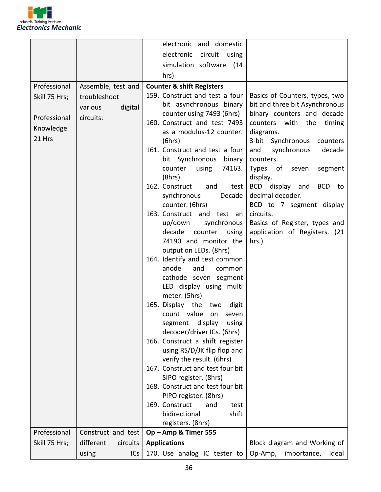

|               |                       | electronic and domestic                                       |                                              |
|---------------|-----------------------|---------------------------------------------------------------|----------------------------------------------|
|               |                       | electronic<br>circuit<br>using                                |                                              |
|               |                       | simulation software. (14                                      |                                              |
|               |                       | hrs)                                                          |                                              |
| Professional  | Assemble, test and    | <b>Counter &amp; shift Registers</b>                          |                                              |
| Skill 75 Hrs; | troubleshoot          | 159. Construct and test a four                                | Basics of Counters, types, two               |
|               | digital<br>various    | bit asynchronous binary                                       | bit and three bit Asynchronous               |
| Professional  | circuits.             | counter using 7493 (6hrs)                                     | binary counters and decade                   |
| Knowledge     |                       | 160. Construct and test 7493<br>as a modulus-12 counter.      | counters with<br>the<br>timing<br>diagrams.  |
| 21 Hrs        |                       | (6hrs)                                                        | 3-bit Synchronous<br>counters                |
|               |                       | 161. Construct and test a four                                | and<br>synchronous<br>decade                 |
|               |                       | bit Synchronous binary                                        | counters.                                    |
|               |                       | 74163.<br>using<br>counter                                    | Types of seven<br>segment                    |
|               |                       | (8hrs)                                                        | display.                                     |
|               |                       | 162. Construct<br>and<br>test                                 | BCD display and<br>BCD to                    |
|               |                       | synchronous<br>Decade<br>counter. (6hrs)                      | decimal decoder.<br>BCD to 7 segment display |
|               |                       | 163. Construct and test an                                    | circuits.                                    |
|               |                       | up/down<br>synchronous                                        | Basics of Register, types and                |
|               |                       | decade<br>counter<br>using                                    | application of Registers. (21                |
|               |                       | 74190 and monitor the                                         | hrs.)                                        |
|               |                       | output on LEDs. (8hrs)                                        |                                              |
|               |                       | 164. Identify and test common<br>anode<br>and                 |                                              |
|               |                       | common<br>cathode seven segment                               |                                              |
|               |                       | LED display using multi                                       |                                              |
|               |                       | meter. (5hrs)                                                 |                                              |
|               |                       | 165. Display the<br>two<br>digit                              |                                              |
|               |                       | count value<br>on<br>seven                                    |                                              |
|               |                       | display<br>segment<br>using                                   |                                              |
|               |                       | decoder/driver ICs. (6hrs)<br>166. Construct a shift register |                                              |
|               |                       | using RS/D/JK flip flop and                                   |                                              |
|               |                       | verify the result. (6hrs)                                     |                                              |
|               |                       | 167. Construct and test four bit                              |                                              |
|               |                       | SIPO register. (8hrs)                                         |                                              |
|               |                       | 168. Construct and test four bit                              |                                              |
|               |                       | PIPO register. (8hrs)                                         |                                              |
|               |                       | 169. Construct<br>and<br>test<br>bidirectional<br>shift       |                                              |
|               |                       | registers. (8hrs)                                             |                                              |
| Professional  | Construct and test    | Op-Amp & Timer 555                                            |                                              |
| Skill 75 Hrs; | different<br>circuits | <b>Applications</b>                                           | Block diagram and Working of                 |
|               | using<br>ICs          | 170. Use analog IC tester to                                  | Op-Amp,<br>importance,<br>Ideal              |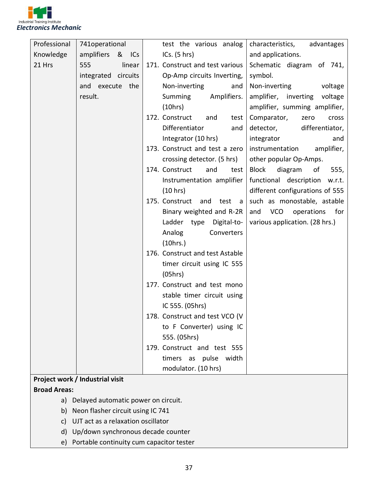

| Professional        | 741operational                         | test the various analog           | characteristics,<br>advantages        |
|---------------------|----------------------------------------|-----------------------------------|---------------------------------------|
| Knowledge           | amplifiers<br>& ICs                    | ICs. $(5 hr)$                     | and applications.                     |
| 21 Hrs              | linear<br>555                          | 171. Construct and test various   | Schematic diagram of 741,             |
|                     | integrated circuits                    | Op-Amp circuits Inverting,        | symbol.                               |
|                     | and execute the                        | Non-inverting<br>and              | Non-inverting<br>voltage              |
|                     | result.                                | Summing<br>Amplifiers.            | amplifier, inverting voltage          |
|                     |                                        | (10hrs)                           | amplifier, summing amplifier,         |
|                     |                                        | 172. Construct<br>and<br>test     | Comparator,<br>zero<br>cross          |
|                     |                                        | Differentiator<br>and             | differentiator,<br>detector,          |
|                     |                                        | Integrator (10 hrs)               | integrator<br>and                     |
|                     |                                        | 173. Construct and test a zero    | instrumentation<br>amplifier,         |
|                     |                                        | crossing detector. (5 hrs)        | other popular Op-Amps.                |
|                     |                                        | 174. Construct<br>and<br>test     | <b>Block</b><br>diagram<br>of<br>555, |
|                     |                                        | Instrumentation amplifier         | functional description<br>w.r.t.      |
|                     |                                        | (10 hrs)                          | different configurations of 555       |
|                     |                                        | 175. Construct and<br>test<br>- a | such as monostable, astable           |
|                     |                                        | Binary weighted and R-2R          | and VCO<br>operations for             |
|                     |                                        | Ladder type Digital-to-           | various application. (28 hrs.)        |
|                     |                                        | Analog<br>Converters              |                                       |
|                     |                                        | (10 hrs.)                         |                                       |
|                     |                                        | 176. Construct and test Astable   |                                       |
|                     |                                        | timer circuit using IC 555        |                                       |
|                     |                                        | (05hrs)                           |                                       |
|                     |                                        | 177. Construct and test mono      |                                       |
|                     |                                        | stable timer circuit using        |                                       |
|                     |                                        | IC 555. (05hrs)                   |                                       |
|                     |                                        | 178. Construct and test VCO (V    |                                       |
|                     |                                        | to F Converter) using IC          |                                       |
|                     |                                        | 555. (05hrs)                      |                                       |
|                     |                                        | 179. Construct and test 555       |                                       |
|                     |                                        | timers as pulse width             |                                       |
|                     |                                        | modulator. (10 hrs)               |                                       |
|                     | Project work / Industrial visit        |                                   |                                       |
| <b>Broad Areas:</b> | a) Delayed automatic power on circuit. |                                   |                                       |
|                     |                                        |                                   |                                       |

- b) Neon flasher circuit using IC 741
- c) UJT act as a relaxation oscillator
- d) Up/down synchronous decade counter
- e) Portable continuity cum capacitor tester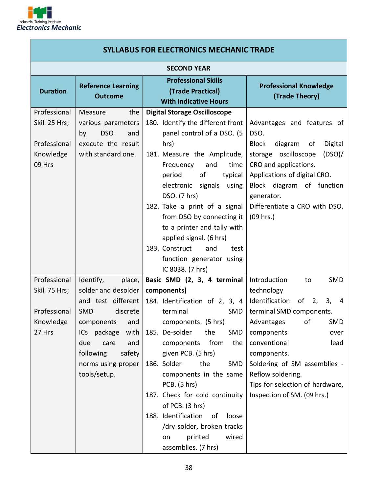

| <b>SYLLABUS FOR ELECTRONICS MECHANIC TRADE</b>                       |                                                                                                                                                       |                                                                                                                                                                                                                                                                                                                                                                                                                                       |                                                                                                                                                                                                                                                                     |  |
|----------------------------------------------------------------------|-------------------------------------------------------------------------------------------------------------------------------------------------------|---------------------------------------------------------------------------------------------------------------------------------------------------------------------------------------------------------------------------------------------------------------------------------------------------------------------------------------------------------------------------------------------------------------------------------------|---------------------------------------------------------------------------------------------------------------------------------------------------------------------------------------------------------------------------------------------------------------------|--|
|                                                                      | <b>SECOND YEAR</b>                                                                                                                                    |                                                                                                                                                                                                                                                                                                                                                                                                                                       |                                                                                                                                                                                                                                                                     |  |
| <b>Duration</b>                                                      | <b>Reference Learning</b><br><b>Outcome</b>                                                                                                           | <b>Professional Skills</b><br>(Trade Practical)<br><b>With Indicative Hours</b>                                                                                                                                                                                                                                                                                                                                                       | <b>Professional Knowledge</b><br>(Trade Theory)                                                                                                                                                                                                                     |  |
| Professional<br>Skill 25 Hrs;<br>Professional<br>Knowledge<br>09 Hrs | Measure<br>the<br>various parameters<br><b>DSO</b><br>and<br>by<br>execute the result<br>with standard one.                                           | <b>Digital Storage Oscilloscope</b><br>180. Identify the different front<br>panel control of a DSO. (5<br>hrs)<br>181. Measure the Amplitude,<br>Frequency<br>and<br>time<br>of<br>period<br>typical<br>electronic signals using<br>DSO. (7 hrs)<br>182. Take a print of a signal<br>from DSO by connecting it<br>to a printer and tally with<br>applied signal. (6 hrs)<br>183. Construct<br>and<br>test<br>function generator using | Advantages and features of<br>DSO.<br><b>Block</b><br>diagram<br>Digital<br>of<br>(DSO)<br>storage oscilloscope<br>CRO and applications.<br>Applications of digital CRO.<br>Block diagram of function<br>generator.<br>Differentiate a CRO with DSO.<br>$(09$ hrs.) |  |
|                                                                      |                                                                                                                                                       | IC 8038. (7 hrs)                                                                                                                                                                                                                                                                                                                                                                                                                      |                                                                                                                                                                                                                                                                     |  |
| Professional<br>Skill 75 Hrs;                                        | Identify,<br>place,<br>solder and desolder<br>and test different                                                                                      | Basic SMD (2, 3, 4 terminal<br>components)<br>184. Identification of 2, 3, 4                                                                                                                                                                                                                                                                                                                                                          | Introduction<br>SMD<br>to<br>technology<br>Identification of 2,<br>3,<br>-4                                                                                                                                                                                         |  |
| Professional<br>Knowledge<br>27 Hrs                                  | <b>SMD</b><br>discrete<br>and<br>components<br>ICs package<br>with<br>due<br>and<br>care<br>following<br>safety<br>norms using proper<br>tools/setup. | terminal<br>SMD<br>components. (5 hrs)<br>185. De-solder<br>the<br>SMD<br>from<br>components<br>the<br>given PCB. (5 hrs)<br>186. Solder<br>the<br>SMD<br>components in the same<br>PCB. (5 hrs)<br>187. Check for cold continuity<br>of PCB. (3 hrs)<br>188. Identification<br>of<br>loose<br>/dry solder, broken tracks<br>printed<br>wired<br>on<br>assemblies. (7 hrs)                                                            | terminal SMD components.<br>of<br>SMD<br>Advantages<br>components<br>over<br>conventional<br>lead<br>components.<br>Soldering of SM assemblies -<br>Reflow soldering.<br>Tips for selection of hardware,<br>Inspection of SM. (09 hrs.)                             |  |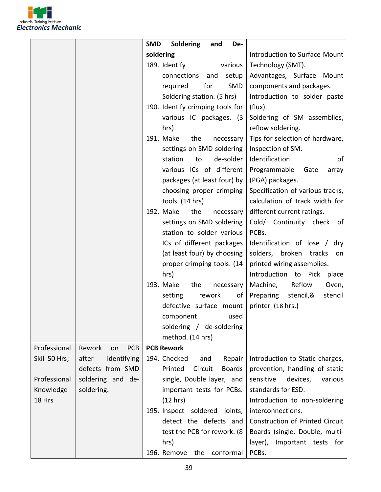

|               |                      | <b>Soldering</b><br><b>SMD</b><br>and<br>De- |                                   |
|---------------|----------------------|----------------------------------------------|-----------------------------------|
|               |                      | soldering                                    | Introduction to Surface Mount     |
|               |                      | 189. Identify<br>various                     | Technology (SMT).                 |
|               |                      | connections<br>and<br>setup                  | Advantages, Surface Mount         |
|               |                      | for<br>SMD<br>required                       | components and packages.          |
|               |                      | Soldering station. (5 hrs)                   | Introduction to solder paste      |
|               |                      | 190. Identify crimping tools for             | (flux).                           |
|               |                      | various IC packages. (3                      | Soldering of SM assemblies,       |
|               |                      | hrs)                                         | reflow soldering.                 |
|               |                      | 191. Make<br>the<br>necessary                | Tips for selection of hardware,   |
|               |                      | settings on SMD soldering                    | Inspection of SM.                 |
|               |                      | station<br>de-solder<br>to                   | Identification<br>of              |
|               |                      | various ICs of different                     | Programmable<br>Gate<br>array     |
|               |                      | packages (at least four) by                  | (PGA) packages.                   |
|               |                      | choosing proper crimping                     | Specification of various tracks,  |
|               |                      | tools. (14 hrs)                              | calculation of track width for    |
|               |                      | 192. Make<br>the<br>necessary                | different current ratings.        |
|               |                      | settings on SMD soldering                    | Cold/ Continuity check of         |
|               |                      | station to solder various                    | PCBs.                             |
|               |                      | ICs of different packages                    | Identification of lose / dry      |
|               |                      | (at least four) by choosing                  | solders, broken tracks<br>on      |
|               |                      | proper crimping tools. (14                   | printed wiring assemblies.        |
|               |                      | hrs)                                         | Introduction to Pick place        |
|               |                      | 193. Make<br>the<br>necessary                | Reflow<br>Machine,<br>Oven,       |
|               |                      | rework<br>setting<br>of                      | Preparing<br>stencil,&<br>stencil |
|               |                      | defective surface mount                      | printer (18 hrs.)                 |
|               |                      | component used                               |                                   |
|               |                      | soldering / de-soldering                     |                                   |
|               |                      | method. (14 hrs)                             |                                   |
| Professional  | PCB<br>Rework<br>on  | <b>PCB Rework</b>                            |                                   |
| Skill 50 Hrs; | after<br>identifying | 194. Checked<br>and<br>Repair                | Introduction to Static charges,   |
|               | defects from SMD     | Printed<br>Circuit<br><b>Boards</b>          | prevention, handling of static    |
| Professional  | soldering and de-    | single, Double layer, and                    | sensitive<br>devices,<br>various  |
| Knowledge     | soldering.           | important tests for PCBs.                    | standards for ESD.                |
| 18 Hrs        |                      | (12 hrs)                                     | Introduction to non-soldering     |
|               |                      | 195. Inspect soldered joints,                | interconnections.                 |
|               |                      | detect the defects and                       | Construction of Printed Circuit   |
|               |                      | test the PCB for rework. (8)                 | Boards (single, Double, multi-    |
|               |                      | hrs)                                         | layer),<br>Important tests for    |
|               |                      | conformal<br>196. Remove<br>the              | PCBs.                             |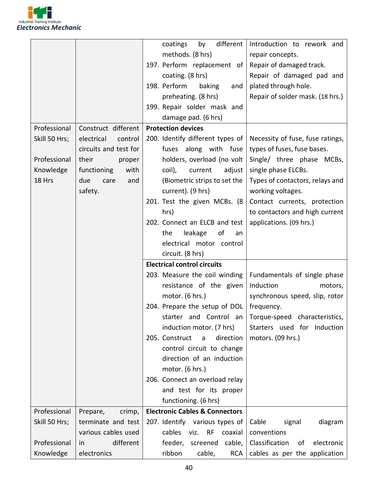

|               |                       | different<br>by<br>coatings               | Introduction to rework and         |
|---------------|-----------------------|-------------------------------------------|------------------------------------|
|               |                       | methods. (8 hrs)                          | repair concepts.                   |
|               |                       | 197. Perform replacement of               | Repair of damaged track.           |
|               |                       | coating. (8 hrs)                          | Repair of damaged pad and          |
|               |                       | 198. Perform<br>baking<br>and             | plated through hole.               |
|               |                       | preheating. (8 hrs)                       | Repair of solder mask. (18 hrs.)   |
|               |                       | 199. Repair solder mask and               |                                    |
|               |                       | damage pad. (6 hrs)                       |                                    |
| Professional  | Construct different   | <b>Protection devices</b>                 |                                    |
| Skill 50 Hrs; | electrical<br>control | 200. Identify different types of          | Necessity of fuse, fuse ratings,   |
|               | circuits and test for | fuses<br>along with fuse                  | types of fuses, fuse bases.        |
| Professional  | their<br>proper       | holders, overload (no volt                | Single/ three phase MCBs,          |
| Knowledge     | functioning<br>with   | coil),<br>current<br>adjust               | single phase ELCBs.                |
| 18 Hrs        | due<br>care<br>and    | (Biometric strips to set the              | Types of contactors, relays and    |
|               | safety.               | current). (9 hrs)                         | working voltages.                  |
|               |                       | 201. Test the given MCBs. (8              | Contact currents, protection       |
|               |                       | hrs)                                      | to contactors and high current     |
|               |                       | 202. Connect an ELCB and test             | applications. (09 hrs.)            |
|               |                       | leakage<br>of<br>the<br>an                |                                    |
|               |                       | electrical motor control                  |                                    |
|               |                       | circuit. (8 hrs)                          |                                    |
|               |                       | <b>Electrical control circuits</b>        |                                    |
|               |                       | 203. Measure the coil winding             | Fundamentals of single phase       |
|               |                       | resistance of the given                   | Induction<br>motors,               |
|               |                       | motor. (6 hrs.)                           | synchronous speed, slip, rotor     |
|               |                       | 204. Prepare the setup of DOL             | frequency.                         |
|               |                       | starter and Control an                    | Torque-speed characteristics,      |
|               |                       | induction motor. (7 hrs)                  | Starters used for Induction        |
|               |                       | 205. Construct a<br>direction             | motors. (09 hrs.)                  |
|               |                       | control circuit to change                 |                                    |
|               |                       | direction of an induction                 |                                    |
|               |                       | motor. (6 hrs.)                           |                                    |
|               |                       | 206. Connect an overload relay            |                                    |
|               |                       | and test for its proper                   |                                    |
|               |                       | functioning. (6 hrs)                      |                                    |
| Professional  | Prepare,<br>crimp,    | <b>Electronic Cables &amp; Connectors</b> |                                    |
| Skill 50 Hrs; | terminate and test    | 207. Identify various types of            | diagram<br>Cable<br>signal         |
|               | various cables used   | cables<br>viz.<br>RF coaxial              | conventions                        |
| Professional  | different<br>in.      | feeder,<br>screened cable,                | Classification<br>electronic<br>of |
| Knowledge     | electronics           | ribbon<br>cable,<br>RCA                   | cables as per the application      |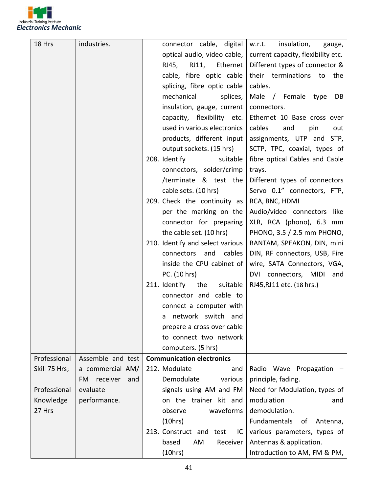

| 18 Hrs        | industries.            | connector cable, digital<br>w.r.t.<br>insulation,                 | gauge,   |
|---------------|------------------------|-------------------------------------------------------------------|----------|
|               |                        | current capacity, flexibility etc.<br>optical audio, video cable, |          |
|               |                        | Different types of connector &<br>RJ45, RJ11,<br>Ethernet         |          |
|               |                        | cable, fibre optic cable<br>their terminations<br>to              | the      |
|               |                        | splicing, fibre optic cable<br>cables.                            |          |
|               |                        | mechanical<br>Male / Female type<br>splices,                      | DB       |
|               |                        | insulation, gauge, current<br>connectors.                         |          |
|               |                        | capacity, flexibility etc.<br>Ethernet 10 Base cross over         |          |
|               |                        | used in various electronics<br>cables<br>and<br>pin               | out      |
|               |                        | products, different input<br>assignments, UTP and STP,            |          |
|               |                        | SCTP, TPC, coaxial, types of<br>output sockets. (15 hrs)          |          |
|               |                        | 208. Identify<br>fibre optical Cables and Cable<br>suitable       |          |
|               |                        | connectors, solder/crimp<br>trays.                                |          |
|               |                        | /terminate & test the<br>Different types of connectors            |          |
|               |                        | cable sets. (10 hrs)<br>Servo 0.1" connectors, FTP,               |          |
|               |                        | 209. Check the continuity as<br>RCA, BNC, HDMI                    |          |
|               |                        | Audio/video connectors like<br>per the marking on the             |          |
|               |                        | connector for preparing<br>XLR, RCA (phono), 6.3 mm               |          |
|               |                        | the cable set. (10 hrs)<br>PHONO, 3.5 / 2.5 mm PHONO,             |          |
|               |                        | 210. Identify and select various<br>BANTAM, SPEAKON, DIN, mini    |          |
|               |                        | and<br>cables<br>connectors<br>DIN, RF connectors, USB, Fire      |          |
|               |                        | inside the CPU cabinet of<br>wire, SATA Connectors, VGA,          |          |
|               |                        | PC. (10 hrs)<br>DVI connectors, MIDI and                          |          |
|               |                        | 211. Identify<br>the<br>suitable<br>RJ45, RJ11 etc. (18 hrs.)     |          |
|               |                        | connector and cable to                                            |          |
|               |                        | connect a computer with                                           |          |
|               |                        | a network switch and                                              |          |
|               |                        | prepare a cross over cable                                        |          |
|               |                        | to connect two network                                            |          |
|               |                        | computers. (5 hrs)                                                |          |
| Professional  | Assemble and test      | <b>Communication electronics</b>                                  |          |
| Skill 75 Hrs; | a commercial AM/       | 212. Modulate<br>Radio Wave Propagation<br>and                    |          |
|               | receiver<br>FM.<br>and | Demodulate<br>various<br>principle, fading.                       |          |
| Professional  | evaluate               | signals using AM and FM<br>Need for Modulation, types of          |          |
| Knowledge     | performance.           | on the trainer kit and<br>modulation                              | and      |
| 27 Hrs        |                        | demodulation.<br>observe<br>waveforms                             |          |
|               |                        | (10 hrs)<br>Fundamentals<br>of                                    | Antenna, |
|               |                        | 213. Construct and test<br>various parameters, types of<br>IC.    |          |
|               |                        | Antennas & application.<br>based<br>AM<br>Receiver                |          |
|               |                        | (10 hrs)<br>Introduction to AM, FM & PM,                          |          |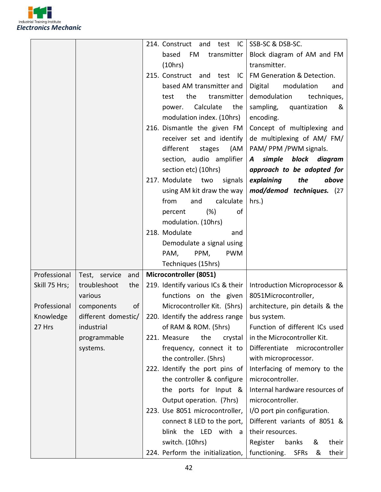

|               |                      | SSB-SC & DSB-SC.<br>214. Construct and test<br>- IC                           |
|---------------|----------------------|-------------------------------------------------------------------------------|
|               |                      | based<br>Block diagram of AM and FM<br>FM<br>transmitter                      |
|               |                      | transmitter.<br>(10hrs)                                                       |
|               |                      | 215. Construct and test<br>FM Generation & Detection.<br>- IC                 |
|               |                      | based AM transmitter and<br>Digital<br>modulation<br>and                      |
|               |                      | the<br>demodulation<br>transmitter<br>techniques,<br>test                     |
|               |                      | Calculate<br>sampling,<br>the<br>quantization<br>&<br>power.                  |
|               |                      | modulation index. (10hrs)<br>encoding.                                        |
|               |                      | 216. Dismantle the given FM<br>Concept of multiplexing and                    |
|               |                      | de multiplexing of AM/ FM/<br>receiver set and identify                       |
|               |                      | different<br>PAM/PPM/PWM signals.<br>stages<br>(AM                            |
|               |                      | section, audio amplifier<br>simple block diagram                              |
|               |                      | $\boldsymbol{A}$<br>section etc) (10hrs)<br>approach to be adopted for        |
|               |                      | 217. Modulate two<br>explaining<br>the<br>above                               |
|               |                      | signals<br>using AM kit draw the way<br>mod/demod techniques. (27             |
|               |                      | calculate<br>from<br>$hrs.$ )<br>and                                          |
|               |                      | of<br>(%)<br>percent                                                          |
|               |                      | modulation. (10hrs)                                                           |
|               |                      | 218. Modulate                                                                 |
|               |                      | and<br>Demodulate a signal using                                              |
|               |                      | PPM,<br><b>PWM</b>                                                            |
|               |                      | PAM,                                                                          |
|               |                      | Techniques (15hrs)                                                            |
| Professional  | Test, service<br>and | Microcontroller (8051)                                                        |
| Skill 75 Hrs; | troubleshoot<br>the  | 219. Identify various ICs & their<br>Introduction Microprocessor &            |
|               | various              | functions on the given<br>8051Microcontroller,                                |
| Professional  | of<br>components     | Microcontroller Kit. (5hrs)<br>architecture, pin details & the                |
| Knowledge     | different domestic/  | 220. Identify the address range<br>bus system.                                |
| 27 Hrs        | industrial           | of RAM & ROM. (5hrs)<br>Function of different ICs used                        |
|               | programmable         | in the Microcontroller Kit.<br>221. Measure<br>the<br>crystal                 |
|               | systems.             | Differentiate<br>microcontroller<br>frequency, connect it to                  |
|               |                      | the controller. (5hrs)<br>with microprocessor.                                |
|               |                      | 222. Identify the port pins of<br>Interfacing of memory to the                |
|               |                      | microcontroller.<br>the controller & configure                                |
|               |                      | Internal hardware resources of<br>the ports for Input &                       |
|               |                      | microcontroller.<br>Output operation. (7hrs)                                  |
|               |                      | 223. Use 8051 microcontroller,<br>I/O port pin configuration.                 |
|               |                      | Different variants of 8051 &<br>connect 8 LED to the port,                    |
|               |                      | blink the LED with a<br>their resources.                                      |
|               |                      | switch. (10hrs)<br>Register<br>banks<br>their<br>&                            |
|               |                      | 224. Perform the initialization,<br>functioning.<br>their<br><b>SFRs</b><br>& |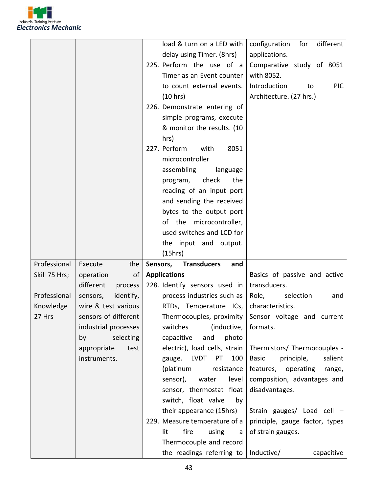

|               |                       | load & turn on a LED with                                           | configuration<br>for<br>different     |
|---------------|-----------------------|---------------------------------------------------------------------|---------------------------------------|
|               |                       | delay using Timer. (8hrs)                                           | applications.                         |
|               |                       | 225. Perform the use of a                                           | Comparative study of 8051             |
|               |                       |                                                                     | with 8052.                            |
|               |                       | Timer as an Event counter                                           |                                       |
|               |                       | to count external events.                                           | Introduction<br><b>PIC</b><br>to      |
|               |                       | (10 hrs)                                                            | Architecture. (27 hrs.)               |
|               |                       | 226. Demonstrate entering of                                        |                                       |
|               |                       | simple programs, execute                                            |                                       |
|               |                       | & monitor the results. (10                                          |                                       |
|               |                       | hrs)                                                                |                                       |
|               |                       | 227. Perform<br>with<br>8051                                        |                                       |
|               |                       | microcontroller                                                     |                                       |
|               |                       | assembling<br>language                                              |                                       |
|               |                       | program, check<br>the                                               |                                       |
|               |                       | reading of an input port                                            |                                       |
|               |                       | and sending the received                                            |                                       |
|               |                       | bytes to the output port                                            |                                       |
|               |                       | of the microcontroller,                                             |                                       |
|               |                       | used switches and LCD for                                           |                                       |
|               |                       | the input and output.                                               |                                       |
|               |                       |                                                                     |                                       |
|               |                       | (15hrs)                                                             |                                       |
| Professional  | Execute<br>the        | Sensors,<br><b>Transducers</b><br>and                               |                                       |
| Skill 75 Hrs; | operation<br>οf       | <b>Applications</b>                                                 | Basics of passive and active          |
|               | different<br>process  | 228. Identify sensors used in                                       | transducers.                          |
| Professional  | identify,<br>sensors, | process industries such as                                          | Role,<br>selection<br>and             |
| Knowledge     | wire & test various   | RTDs, Temperature ICs,                                              | characteristics.                      |
| 27 Hrs        | sensors of different  | Thermocouples, proximity                                            | Sensor voltage and current            |
|               | industrial processes  | switches<br>(inductive,                                             | formats.                              |
|               | selecting<br>by       | capacitive<br>and<br>photo                                          |                                       |
|               | appropriate<br>test   | electric), load cells, strain                                       | Thermistors/ Thermocouples -          |
|               | instruments.          | gauge. LVDT<br>PT<br>100                                            | principle,<br><b>Basic</b><br>salient |
|               |                       | (platinum<br>resistance                                             | features,<br>operating<br>range,      |
|               |                       | level<br>sensor),<br>water                                          | composition, advantages and           |
|               |                       | sensor, thermostat float                                            | disadvantages.                        |
|               |                       | switch, float valve<br>by                                           |                                       |
|               |                       | their appearance (15hrs)                                            | Strain gauges/ Load cell -            |
|               |                       | 229. Measure temperature of a                                       | principle, gauge factor, types        |
|               |                       | fire<br>lit<br>using<br>a                                           | of strain gauges.                     |
|               |                       | Thermocouple and record<br>the readings referring to $ $ Inductive/ | capacitive                            |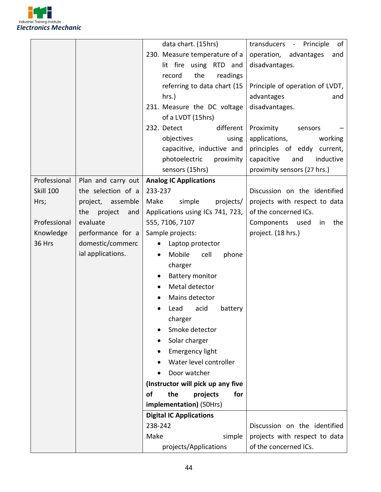

|                  |                       | data chart. (15hrs)                  | transducers - Principle<br>of   |
|------------------|-----------------------|--------------------------------------|---------------------------------|
|                  |                       | 230. Measure temperature of a        | operation, advantages<br>and    |
|                  |                       | lit fire using RTD and               | disadvantages.                  |
|                  |                       | the<br>readings<br>record            |                                 |
|                  |                       | referring to data chart (15          | Principle of operation of LVDT, |
|                  |                       | $hrs.$ )                             | advantages<br>and               |
|                  |                       | 231. Measure the DC voltage          | disadvantages.                  |
|                  |                       | of a LVDT (15hrs)                    |                                 |
|                  |                       | different  <br>232. Detect           | Proximity<br>sensors            |
|                  |                       | objectives<br>using                  | applications,<br>working        |
|                  |                       | capacitive, inductive and            | principles of eddy current,     |
|                  |                       | photoelectric<br>proximity           | inductive<br>capacitive<br>and  |
|                  |                       | sensors (15hrs)                      | proximity sensors (27 hrs.)     |
| Professional     | Plan and carry out    | <b>Analog IC Applications</b>        |                                 |
| <b>Skill 100</b> | the selection of a    | 233-237                              | Discussion on the identified    |
| Hrs;             | project, assemble     | Make<br>simple<br>projects/          | projects with respect to data   |
|                  | project<br>the<br>and | Applications using ICs 741, 723,     | of the concerned ICs.           |
| Professional     | evaluate              | 555, 7106, 7107                      | Components used<br>the<br>in    |
| Knowledge        | performance for a     | Sample projects:                     | project. (18 hrs.)              |
| 36 Hrs           | domestic/commerc      | Laptop protector<br>$\bullet$        |                                 |
|                  | ial applications.     | Mobile<br>cell<br>phone<br>$\bullet$ |                                 |
|                  |                       | charger                              |                                 |
|                  |                       | <b>Battery monitor</b>               |                                 |
|                  |                       | Metal detector                       |                                 |
|                  |                       | Mains detector                       |                                 |
|                  |                       | acid<br>Lead<br>battery              |                                 |
|                  |                       | charger                              |                                 |
|                  |                       | Smoke detector                       |                                 |
|                  |                       | Solar charger                        |                                 |
|                  |                       | <b>Emergency light</b>               |                                 |
|                  |                       | Water level controller               |                                 |
|                  |                       | Door watcher                         |                                 |
|                  |                       | (Instructor will pick up any five    |                                 |
|                  |                       | of<br>the<br>projects<br>for         |                                 |
|                  |                       | implementation) (50Hrs)              |                                 |
|                  |                       | <b>Digital IC Applications</b>       |                                 |
|                  |                       | 238-242                              | Discussion on the identified    |
|                  |                       | Make<br>simple                       | projects with respect to data   |
|                  |                       | projects/Applications                | of the concerned ICs.           |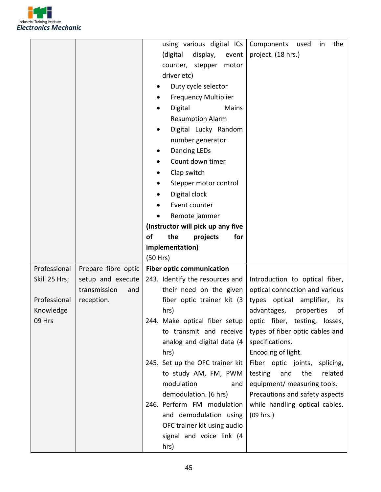

|               |                     | using various digital ICs           | Components<br>the<br>in<br>used    |
|---------------|---------------------|-------------------------------------|------------------------------------|
|               |                     | (digital<br>display,<br>event       | project. (18 hrs.)                 |
|               |                     | counter, stepper<br>motor           |                                    |
|               |                     | driver etc)                         |                                    |
|               |                     | Duty cycle selector                 |                                    |
|               |                     | <b>Frequency Multiplier</b>         |                                    |
|               |                     | Digital<br>Mains                    |                                    |
|               |                     | <b>Resumption Alarm</b>             |                                    |
|               |                     | Digital Lucky Random                |                                    |
|               |                     | number generator                    |                                    |
|               |                     | <b>Dancing LEDs</b>                 |                                    |
|               |                     | Count down timer                    |                                    |
|               |                     | Clap switch                         |                                    |
|               |                     | Stepper motor control               |                                    |
|               |                     | Digital clock                       |                                    |
|               |                     | Event counter                       |                                    |
|               |                     | Remote jammer                       |                                    |
|               |                     | (Instructor will pick up any five   |                                    |
|               |                     | <b>of</b><br>the<br>for<br>projects |                                    |
|               |                     | implementation)                     |                                    |
|               |                     | (50 Hrs)                            |                                    |
|               |                     |                                     |                                    |
| Professional  | Prepare fibre optic | <b>Fiber optic communication</b>    |                                    |
| Skill 25 Hrs; | setup and execute   | 243. Identify the resources and     | Introduction to optical fiber,     |
|               | transmission<br>and | their need on the given             | optical connection and various     |
| Professional  | reception.          | fiber optic trainer kit (3)         | types optical<br>amplifier,<br>its |
| Knowledge     |                     | hrs)                                | of<br>advantages,<br>properties    |
| 09 Hrs        |                     | 244. Make optical fiber setup       | optic fiber, testing, losses,      |
|               |                     | to transmit and receive             | types of fiber optic cables and    |
|               |                     | analog and digital data (4          | specifications.                    |
|               |                     | hrs)                                | Encoding of light.                 |
|               |                     | 245. Set up the OFC trainer kit     | Fiber optic joints,<br>splicing,   |
|               |                     | to study AM, FM, PWM                | testing<br>the<br>related<br>and   |
|               |                     | modulation<br>and                   | equipment/ measuring tools.        |
|               |                     | demodulation. (6 hrs)               | Precautions and safety aspects     |
|               |                     | 246. Perform FM modulation          | while handling optical cables.     |
|               |                     | and demodulation using              | (09 hrs.)                          |
|               |                     | OFC trainer kit using audio         |                                    |
|               |                     | signal and voice link (4<br>hrs)    |                                    |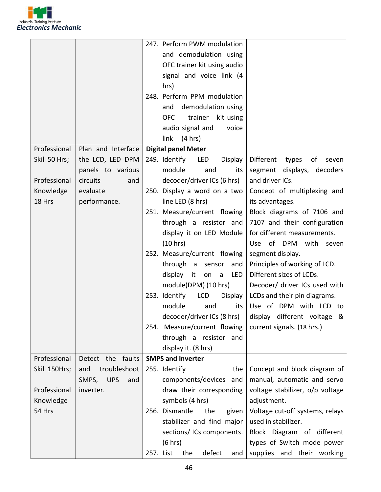

|               |                            | 247. Perform PWM modulation                                       |
|---------------|----------------------------|-------------------------------------------------------------------|
|               |                            | and demodulation using                                            |
|               |                            | OFC trainer kit using audio                                       |
|               |                            | signal and voice link (4                                          |
|               |                            | hrs)                                                              |
|               |                            | 248. Perform PPM modulation                                       |
|               |                            | demodulation using<br>and                                         |
|               |                            | <b>OFC</b><br>trainer<br>kit using                                |
|               |                            | audio signal and<br>voice                                         |
|               |                            | link<br>(4 hrs)                                                   |
| Professional  | Plan and Interface         | <b>Digital panel Meter</b>                                        |
| Skill 50 Hrs; | the LCD, LED DPM           | 249. Identify<br>LED<br>Display<br>Different types<br>of<br>seven |
|               | panels to various          | module<br>segment displays, decoders<br>and<br>its                |
| Professional  | circuits<br>and            | decoder/driver ICs (6 hrs)<br>and driver ICs.                     |
| Knowledge     | evaluate                   | 250. Display a word on a two<br>Concept of multiplexing and       |
| 18 Hrs        | performance.               | line LED (8 hrs)<br>its advantages.                               |
|               |                            | 251. Measure/current flowing<br>Block diagrams of 7106 and        |
|               |                            | through a resistor and<br>7107 and their configuration            |
|               |                            | for different measurements.<br>display it on LED Module           |
|               |                            | (10 hrs)<br>Use of DPM with seven                                 |
|               |                            | 252. Measure/current flowing<br>segment display.                  |
|               |                            | Principles of working of LCD.<br>through a sensor<br>and          |
|               |                            | Different sizes of LCDs.<br>display it<br>LED<br>on a             |
|               |                            | module(DPM) (10 hrs)<br>Decoder/ driver ICs used with             |
|               |                            | LCD<br>253. Identify<br>Display<br>LCDs and their pin diagrams.   |
|               |                            | module<br>Use of DPM with LCD to<br>and<br>its                    |
|               |                            | decoder/driver ICs (8 hrs) $\vert$ display different voltage &    |
|               |                            | 254. Measure/current flowing<br>current signals. (18 hrs.)        |
|               |                            | through a resistor and                                            |
|               |                            | display it. (8 hrs)                                               |
| Professional  | Detect the faults          | <b>SMPS and Inverter</b>                                          |
| Skill 150Hrs; | troubleshoot<br>and        | 255. Identify<br>the<br>Concept and block diagram of              |
|               | SMPS,<br><b>UPS</b><br>and | components/devices<br>manual, automatic and servo<br>and          |
| Professional  | inverter.                  | draw their corresponding<br>voltage stabilizer, o/p voltage       |
| Knowledge     |                            | symbols (4 hrs)<br>adjustment.                                    |
| 54 Hrs        |                            | 256. Dismantle<br>the<br>Voltage cut-off systems, relays<br>given |
|               |                            | stabilizer and find major<br>used in stabilizer.                  |
|               |                            | sections/ ICs components.<br>Block Diagram of different           |
|               |                            | (6 hrs)<br>types of Switch mode power                             |
|               |                            | defect<br>supplies and their working<br>257. List<br>the<br>and   |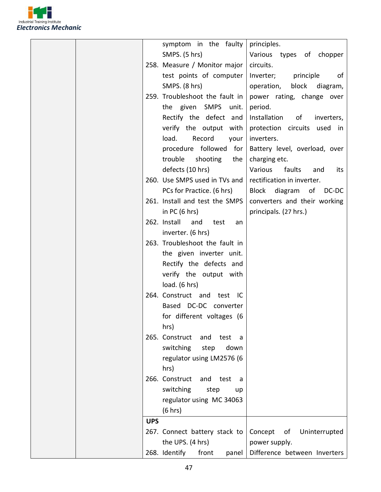

|  |            | symptom in the faulty                | principles.                      |
|--|------------|--------------------------------------|----------------------------------|
|  |            | SMPS. (5 hrs)                        | Various types of chopper         |
|  |            | 258. Measure / Monitor major         | circuits.                        |
|  |            | test points of computer              | Inverter;<br>principle<br>of     |
|  |            | SMPS. (8 hrs)                        | operation, block diagram,        |
|  |            | 259. Troubleshoot the fault in       | power rating, change over        |
|  |            | the given SMPS<br>unit.              | period.                          |
|  |            | Rectify the defect and               | Installation<br>of<br>inverters, |
|  |            | verify the output with               | protection circuits used in      |
|  |            | load.<br>Record<br>your              | inverters.                       |
|  |            | procedure followed for               | Battery level, overload, over    |
|  |            | trouble<br>shooting<br>the           | charging etc.                    |
|  |            | defects (10 hrs)                     | Various<br>faults<br>and<br>its  |
|  |            | 260. Use SMPS used in TVs and        | rectification in inverter.       |
|  |            | PCs for Practice. (6 hrs)            | Block diagram of DC-DC           |
|  |            | 261. Install and test the SMPS       | converters and their working     |
|  |            | in PC $(6 hrs)$                      | principals. (27 hrs.)            |
|  |            | 262. Install<br>and<br>test<br>an    |                                  |
|  |            | inverter. (6 hrs)                    |                                  |
|  |            | 263. Troubleshoot the fault in       |                                  |
|  |            | the given inverter unit.             |                                  |
|  |            | Rectify the defects and              |                                  |
|  |            | verify the output with               |                                  |
|  |            | load. (6 hrs)                        |                                  |
|  |            | 264. Construct and test IC           |                                  |
|  |            | Based DC-DC converter                |                                  |
|  |            | for different voltages (6            |                                  |
|  |            | hrs)                                 |                                  |
|  |            | 265. Construct<br>and<br>test<br>- a |                                  |
|  |            | switching<br>step<br>down            |                                  |
|  |            | regulator using LM2576 (6            |                                  |
|  |            | hrs)                                 |                                  |
|  |            | 266. Construct and test<br>- a       |                                  |
|  |            | switching<br>step<br>up              |                                  |
|  |            | regulator using MC 34063             |                                  |
|  |            | (6 hrs)                              |                                  |
|  | <b>UPS</b> |                                      |                                  |
|  |            | 267. Connect battery stack to        | Concept<br>Uninterrupted<br>of   |
|  |            | the UPS. (4 hrs)                     | power supply.                    |
|  |            | 268. Identify<br>front<br>panel      | Difference between Inverters     |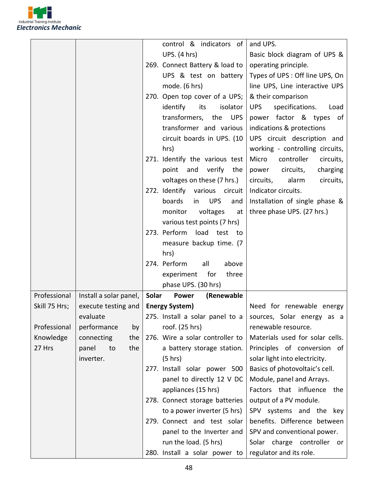

|                                        | control & indicators of             | and UPS.                              |
|----------------------------------------|-------------------------------------|---------------------------------------|
|                                        | <b>UPS.</b> (4 hrs)                 | Basic block diagram of UPS &          |
|                                        | 269. Connect Battery & load to      | operating principle.                  |
|                                        | UPS & test on battery               | Types of UPS: Off line UPS, On        |
|                                        | mode. (6 hrs)                       | line UPS, Line interactive UPS        |
|                                        | 270. Open top cover of a UPS;       | & their comparison                    |
|                                        | identify<br>isolator<br>its         | specifications.<br><b>UPS</b><br>Load |
|                                        | transformers, the<br><b>UPS</b>     | power factor & types of               |
|                                        | transformer and various             | indications & protections             |
|                                        | circuit boards in UPS. (10          | UPS circuit description and           |
|                                        | hrs)                                | working - controlling circuits,       |
|                                        | 271. Identify the various test      | Micro<br>controller<br>circuits,      |
|                                        | and verify the<br>point             | circuits,<br>power<br>charging        |
|                                        | voltages on these (7 hrs.)          | circuits,<br>alarm<br>circuits,       |
|                                        | 272. Identify various circuit       | Indicator circuits.                   |
|                                        | boards<br><b>UPS</b><br>in<br>and   | Installation of single phase &        |
|                                        | monitor<br>voltages<br>at           | three phase UPS. (27 hrs.)            |
|                                        | various test points (7 hrs)         |                                       |
|                                        | 273. Perform<br>load test to        |                                       |
|                                        | measure backup time. (7             |                                       |
|                                        | hrs)                                |                                       |
|                                        | 274. Perform<br>all<br>above        |                                       |
|                                        | experiment<br>for<br>three          |                                       |
|                                        | phase UPS. (30 hrs)                 |                                       |
| Professional<br>Install a solar panel, | Solar<br><b>Power</b><br>(Renewable |                                       |
| Skill 75 Hrs;<br>execute testing and   | <b>Energy System)</b>               | Need for renewable energy             |
| evaluate                               | 275. Install a solar panel to a     | sources, Solar energy as a            |
| Professional<br>performance<br>by      | roof. (25 hrs)                      | renewable resource.                   |
| Knowledge<br>connecting<br>the         | 276. Wire a solar controller to     | Materials used for solar cells.       |
| 27 Hrs<br>the<br>panel<br>to           | a battery storage station.          | Principles of conversion of           |
| inverter.                              | $(5 \text{ hrs})$                   | solar light into electricity.         |
|                                        | 277. Install solar power 500        | Basics of photovoltaic's cell.        |
|                                        | panel to directly 12 V DC           | Module, panel and Arrays.             |
|                                        | appliances (15 hrs)                 | Factors that influence the            |
|                                        | 278. Connect storage batteries      | output of a PV module.                |
|                                        | to a power inverter (5 hrs)         | SPV systems and the key               |
|                                        | 279. Connect and test solar         | benefits. Difference between          |
|                                        |                                     |                                       |
|                                        | panel to the Inverter and           | SPV and conventional power.           |
|                                        | run the load. (5 hrs)               | Solar charge controller or            |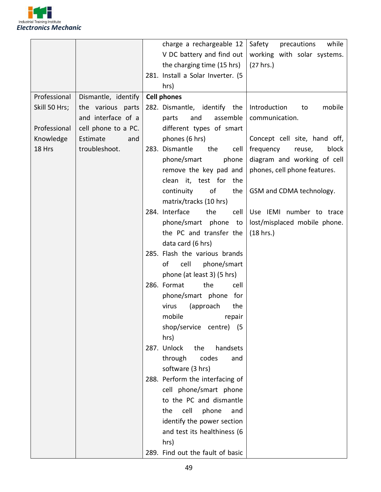

|               |                     | charge a rechargeable 12<br>precautions<br>Safety<br>while    |
|---------------|---------------------|---------------------------------------------------------------|
|               |                     | V DC battery and find out<br>working with solar systems.      |
|               |                     | the charging time (15 hrs)<br>(27 hrs.)                       |
|               |                     | 281. Install a Solar Inverter. (5                             |
|               |                     | hrs)                                                          |
| Professional  | Dismantle, identify | <b>Cell phones</b>                                            |
| Skill 50 Hrs; | the various parts   | 282. Dismantle, identify the<br>mobile<br>Introduction<br>to  |
|               | and interface of a  | assemble<br>communication.<br>parts<br>and                    |
| Professional  | cell phone to a PC. | different types of smart                                      |
| Knowledge     | Estimate<br>and     | phones (6 hrs)<br>Concept cell site, hand off,                |
| 18 Hrs        | troubleshoot.       | 283. Dismantle<br>the<br>block<br>frequency<br>reuse,<br>cell |
|               |                     | phone/smart<br>diagram and working of cell<br>phone           |
|               |                     | remove the key pad and<br>phones, cell phone features.        |
|               |                     | clean it, test for<br>the                                     |
|               |                     | of<br>continuity<br>the<br>GSM and CDMA technology.           |
|               |                     | matrix/tracks (10 hrs)                                        |
|               |                     | 284. Interface<br>the<br>Use IEMI number to trace<br>cell     |
|               |                     | phone/smart phone to<br>lost/misplaced mobile phone.          |
|               |                     | the PC and transfer the<br>(18 hrs.)                          |
|               |                     | data card (6 hrs)                                             |
|               |                     | 285. Flash the various brands                                 |
|               |                     | of<br>cell<br>phone/smart                                     |
|               |                     | phone (at least 3) (5 hrs)                                    |
|               |                     | 286. Format<br>the<br>cell                                    |
|               |                     | phone/smart phone for                                         |
|               |                     | virus<br>(approach<br>the                                     |
|               |                     | mobile<br>repair                                              |
|               |                     | shop/service centre) (5                                       |
|               |                     | hrs)                                                          |
|               |                     | 287. Unlock<br>the<br>handsets                                |
|               |                     | through<br>codes<br>and                                       |
|               |                     | software (3 hrs)                                              |
|               |                     | 288. Perform the interfacing of                               |
|               |                     | cell phone/smart phone                                        |
|               |                     | to the PC and dismantle                                       |
|               |                     | the<br>cell<br>phone<br>and                                   |
|               |                     | identify the power section                                    |
|               |                     | and test its healthiness (6                                   |
|               |                     | hrs)                                                          |
|               |                     | 289. Find out the fault of basic                              |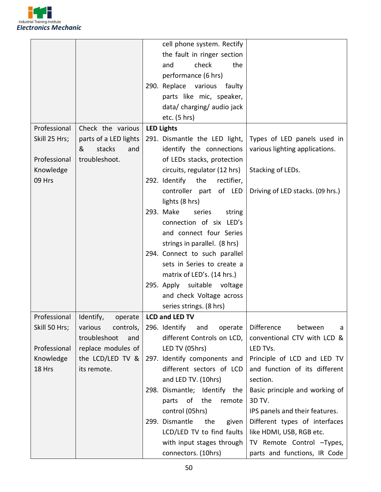

|                          |                       | cell phone system. Rectify                                           |
|--------------------------|-----------------------|----------------------------------------------------------------------|
|                          |                       | the fault in ringer section                                          |
|                          |                       | check<br>and<br>the                                                  |
|                          |                       | performance (6 hrs)                                                  |
|                          |                       | 290. Replace various<br>faulty                                       |
|                          |                       | parts like mic, speaker,                                             |
|                          |                       | data/charging/audio jack                                             |
|                          |                       | etc. $(5 \text{ hrs})$                                               |
| Professional             | Check the various     | <b>LED Lights</b>                                                    |
| Skill 25 Hrs;            | parts of a LED lights | Types of LED panels used in<br>291. Dismantle the LED light,         |
|                          | &<br>stacks<br>and    | identify the connections<br>various lighting applications.           |
| Professional             | troubleshoot.         | of LEDs stacks, protection                                           |
| Knowledge                |                       | circuits, regulator (12 hrs)<br>Stacking of LEDs.                    |
| 09 Hrs                   |                       | 292. Identify<br>the<br>rectifier,                                   |
|                          |                       | controller part of LED                                               |
|                          |                       | Driving of LED stacks. (09 hrs.)                                     |
|                          |                       | lights (8 hrs)                                                       |
|                          |                       | 293. Make<br>series<br>string                                        |
|                          |                       | connection of six LED's                                              |
|                          |                       | and connect four Series                                              |
|                          |                       | strings in parallel. (8 hrs)                                         |
|                          |                       | 294. Connect to such parallel                                        |
|                          |                       | sets in Series to create a                                           |
|                          |                       | matrix of LED's. (14 hrs.)                                           |
|                          |                       | 295. Apply suitable voltage                                          |
|                          |                       | and check Voltage across                                             |
|                          |                       | series strings. (8 hrs)                                              |
| Professional   Identify, | operate               | LCD and LED TV                                                       |
| Skill 50 Hrs;            | various<br>controls,  | 296. Identify<br><b>Difference</b><br>between<br>and<br>operate<br>a |
|                          | troubleshoot<br>and   | different Controls on LCD,<br>conventional CTV with LCD &            |
| Professional             | replace modules of    | LED TV (05hrs)<br>LED TVs.                                           |
| Knowledge                | the LCD/LED TV &      | 297. Identify components and<br>Principle of LCD and LED TV          |
| 18 Hrs                   | its remote.           | different sectors of LCD<br>and function of its different            |
|                          |                       | and LED TV. (10hrs)<br>section.                                      |
|                          |                       | 298. Dismantle; Identify the<br>Basic principle and working of       |
|                          |                       | of<br>the<br>3D TV.<br>parts<br>remote                               |
|                          |                       | control (05hrs)<br>IPS panels and their features.                    |
|                          |                       | 299. Dismantle<br>the<br>Different types of interfaces<br>given      |
|                          |                       | LCD/LED TV to find faults<br>like HDMI, USB, RGB etc.                |
|                          |                       | with input stages through<br>TV Remote Control -Types,               |
|                          |                       | parts and functions, IR Code<br>connectors. (10hrs)                  |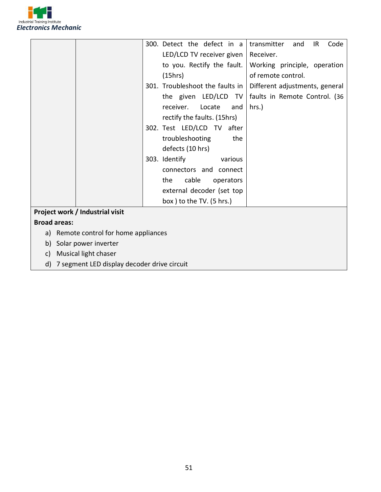

|                     |                                             | 300. Detect the defect in a<br>transmitter<br>Code<br>and<br>IR   |
|---------------------|---------------------------------------------|-------------------------------------------------------------------|
|                     |                                             | LED/LCD TV receiver given<br>Receiver.                            |
|                     |                                             | to you. Rectify the fault.<br>Working principle, operation        |
|                     |                                             | of remote control.<br>(15hrs)                                     |
|                     |                                             | 301. Troubleshoot the faults in<br>Different adjustments, general |
|                     |                                             | the given LED/LCD TV<br>faults in Remote Control. (36             |
|                     |                                             | receiver.<br>hrs.)<br>Locate<br>and                               |
|                     |                                             | rectify the faults. (15hrs)                                       |
|                     |                                             | 302. Test LED/LCD TV after                                        |
|                     |                                             | troubleshooting<br>the                                            |
|                     |                                             | defects (10 hrs)                                                  |
|                     |                                             | 303. Identify<br>various                                          |
|                     |                                             | connectors and connect                                            |
|                     |                                             | cable<br>the<br>operators                                         |
|                     |                                             | external decoder (set top                                         |
|                     |                                             | box ) to the TV. (5 hrs.)                                         |
|                     | Project work / Industrial visit             |                                                                   |
| <b>Broad areas:</b> |                                             |                                                                   |
| a)                  | Remote control for home appliances          |                                                                   |
| b)                  | Solar power inverter                        |                                                                   |
| c)                  | Musical light chaser                        |                                                                   |
| d)                  | 7 segment LED display decoder drive circuit |                                                                   |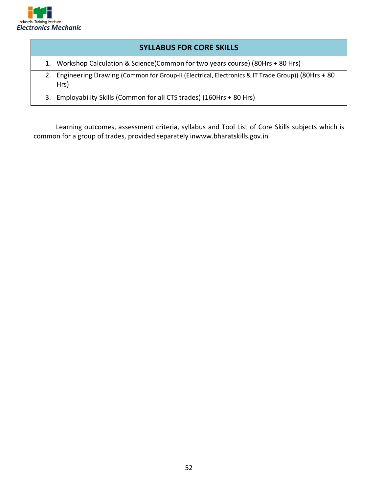

# **SYLLABUS FOR CORE SKILLS**

- 1. Workshop Calculation & Science(Common for two years course) (80Hrs + 80 Hrs)
- 2. Engineering Drawing (Common for Group-II (Electrical, Electronics & IT Trade Group)) (80Hrs + 80 Hrs)
- 3. Employability Skills (Common for all CTS trades) (160Hrs + 80 Hrs)

Learning outcomes, assessment criteria, syllabus and Tool List of Core Skills subjects which is common for a group of trades, provided separately inwww.bharatskills.gov.in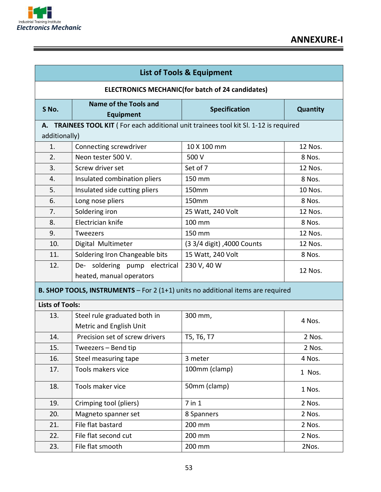

ĩ

| <b>List of Tools &amp; Equipment</b>                    |                                                                                    |                            |                 |  |
|---------------------------------------------------------|------------------------------------------------------------------------------------|----------------------------|-----------------|--|
| <b>ELECTRONICS MECHANIC(for batch of 24 candidates)</b> |                                                                                    |                            |                 |  |
| S No.                                                   | <b>Name of the Tools and</b><br><b>Equipment</b>                                   | <b>Specification</b>       | <b>Quantity</b> |  |
| А.                                                      | TRAINEES TOOL KIT (For each additional unit trainees tool kit SI. 1-12 is required |                            |                 |  |
| additionally)                                           |                                                                                    |                            |                 |  |
| 1.                                                      | Connecting screwdriver                                                             | 10 X 100 mm                | 12 Nos.         |  |
| 2.                                                      | Neon tester 500 V.                                                                 | 500 V                      | 8 Nos.          |  |
| 3.                                                      | Screw driver set                                                                   | Set of 7                   | 12 Nos.         |  |
| 4.                                                      | Insulated combination pliers                                                       | 150 mm                     | 8 Nos.          |  |
| 5.                                                      | Insulated side cutting pliers                                                      | 150mm                      | 10 Nos.         |  |
| 6.                                                      | Long nose pliers                                                                   | 150mm                      | 8 Nos.          |  |
| 7.                                                      | Soldering iron                                                                     | 25 Watt, 240 Volt          | 12 Nos.         |  |
| 8.                                                      | Electrician knife                                                                  | 100 mm                     | 8 Nos.          |  |
| 9.                                                      | Tweezers                                                                           | 150 mm                     | 12 Nos.         |  |
| 10.                                                     | Digital Multimeter                                                                 | (3 3/4 digit), 4000 Counts | 12 Nos.         |  |
| 11.                                                     | Soldering Iron Changeable bits                                                     | 15 Watt, 240 Volt          | 8 Nos.          |  |
| 12.                                                     | De- soldering pump electrical                                                      | 230 V, 40 W                | 12 Nos.         |  |
|                                                         | heated, manual operators                                                           |                            |                 |  |
|                                                         | B. SHOP TOOLS, INSTRUMENTS - For 2 (1+1) units no additional items are required    |                            |                 |  |
| <b>Lists of Tools:</b>                                  |                                                                                    |                            |                 |  |
| 13.                                                     | Steel rule graduated both in                                                       | 300 mm,                    | 4 Nos.          |  |
|                                                         | Metric and English Unit                                                            |                            |                 |  |
| 14.                                                     | Precision set of screw drivers                                                     | T5, T6, T7                 | 2 Nos.          |  |
| 15.                                                     | Tweezers - Bend tip                                                                |                            | 2 Nos.          |  |
| 16.                                                     | Steel measuring tape                                                               | 3 meter                    | 4 Nos.          |  |
| 17.                                                     | Tools makers vice                                                                  | 100mm (clamp)              | 1 Nos.          |  |
| 18.                                                     | Tools maker vice                                                                   | 50mm (clamp)               | 1 Nos.          |  |
| 19.                                                     | Crimping tool (pliers)                                                             | $7$ in $1$                 | 2 Nos.          |  |
| 20.                                                     | Magneto spanner set                                                                | 8 Spanners                 | 2 Nos.          |  |
| 21.                                                     | File flat bastard                                                                  | 200 mm                     | 2 Nos.          |  |
| 22.                                                     | File flat second cut                                                               | 200 mm                     | 2 Nos.          |  |
| 23.                                                     | File flat smooth                                                                   | 200 mm                     | 2Nos.           |  |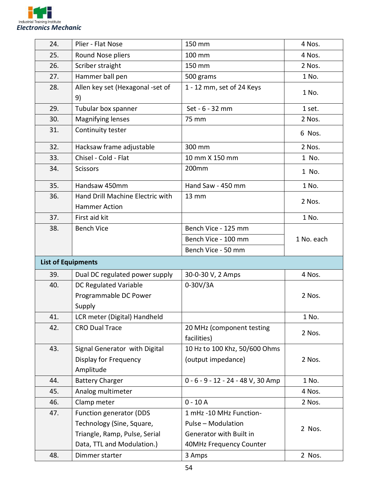

| 24. | Plier - Flat Nose                                                                                                   | 150 mm                                                                                              | 4 Nos.     |
|-----|---------------------------------------------------------------------------------------------------------------------|-----------------------------------------------------------------------------------------------------|------------|
| 25. | Round Nose pliers                                                                                                   | 100 mm                                                                                              | 4 Nos.     |
| 26. | Scriber straight                                                                                                    | 150 mm                                                                                              | 2 Nos.     |
| 27. | Hammer ball pen                                                                                                     | 500 grams                                                                                           | 1 No.      |
| 28. | Allen key set (Hexagonal -set of<br>9)                                                                              | 1 - 12 mm, set of 24 Keys                                                                           | 1 No.      |
| 29. | Tubular box spanner                                                                                                 | Set - 6 - 32 mm                                                                                     | 1 set.     |
| 30. | Magnifying lenses                                                                                                   | 75 mm                                                                                               | 2 Nos.     |
| 31. | Continuity tester                                                                                                   |                                                                                                     | 6 Nos.     |
| 32. | Hacksaw frame adjustable                                                                                            | 300 mm                                                                                              | 2 Nos.     |
| 33. | Chisel - Cold - Flat                                                                                                | 10 mm X 150 mm                                                                                      | 1 No.      |
| 34. | <b>Scissors</b>                                                                                                     | 200mm                                                                                               | 1 No.      |
| 35. | Handsaw 450mm                                                                                                       | Hand Saw - 450 mm                                                                                   | 1 No.      |
| 36. | Hand Drill Machine Electric with<br><b>Hammer Action</b>                                                            | <b>13 mm</b>                                                                                        | 2 Nos.     |
| 37. | First aid kit                                                                                                       |                                                                                                     | 1 No.      |
| 38. | <b>Bench Vice</b>                                                                                                   | Bench Vice - 125 mm                                                                                 |            |
|     |                                                                                                                     | Bench Vice - 100 mm                                                                                 | 1 No. each |
|     |                                                                                                                     | Bench Vice - 50 mm                                                                                  |            |
|     | <b>List of Equipments</b>                                                                                           |                                                                                                     |            |
| 39. | Dual DC regulated power supply                                                                                      | 30-0-30 V, 2 Amps                                                                                   | 4 Nos.     |
| 40. | DC Regulated Variable<br>Programmable DC Power<br>Supply                                                            | $0 - 30V/3A$                                                                                        | 2 Nos.     |
| 41. | LCR meter (Digital) Handheld                                                                                        |                                                                                                     | 1 No.      |
| 42. | <b>CRO Dual Trace</b>                                                                                               | 20 MHz (component testing<br>facilities)                                                            | 2 Nos.     |
| 43. | Signal Generator with Digital<br>Display for Frequency<br>Amplitude                                                 | 10 Hz to 100 Khz, 50/600 Ohms<br>(output impedance)                                                 | 2 Nos.     |
| 44. | <b>Battery Charger</b>                                                                                              | 0 - 6 - 9 - 12 - 24 - 48 V, 30 Amp                                                                  | 1 No.      |
| 45. | Analog multimeter                                                                                                   |                                                                                                     | 4 Nos.     |
| 46. | Clamp meter                                                                                                         | $0 - 10A$                                                                                           | 2 Nos.     |
| 47. | Function generator (DDS<br>Technology (Sine, Square,<br>Triangle, Ramp, Pulse, Serial<br>Data, TTL and Modulation.) | 1 mHz -10 MHz Function-<br>Pulse - Modulation<br>Generator with Built in<br>40MHz Frequency Counter | 2 Nos.     |
| 48. | Dimmer starter                                                                                                      | 3 Amps                                                                                              | 2 Nos.     |
|     |                                                                                                                     |                                                                                                     |            |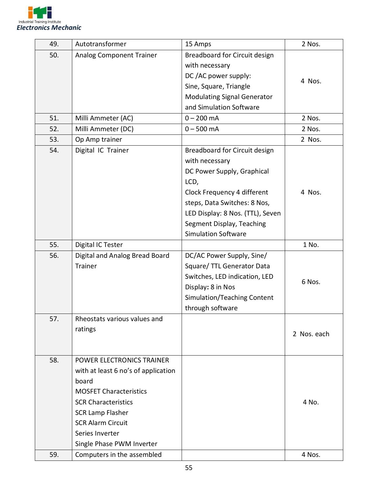

| 49.        | Autotransformer                                                                                                                                                                                                                                 | 15 Amps                                                                                                                                                                                                                                             | 2 Nos.      |
|------------|-------------------------------------------------------------------------------------------------------------------------------------------------------------------------------------------------------------------------------------------------|-----------------------------------------------------------------------------------------------------------------------------------------------------------------------------------------------------------------------------------------------------|-------------|
| 50.        | Analog Component Trainer                                                                                                                                                                                                                        | Breadboard for Circuit design<br>with necessary<br>DC /AC power supply:<br>Sine, Square, Triangle<br><b>Modulating Signal Generator</b><br>and Simulation Software                                                                                  | 4 Nos.      |
| 51.        | Milli Ammeter (AC)                                                                                                                                                                                                                              | $0 - 200$ mA                                                                                                                                                                                                                                        | 2 Nos.      |
| 52.        | Milli Ammeter (DC)                                                                                                                                                                                                                              | $0 - 500$ mA                                                                                                                                                                                                                                        | 2 Nos.      |
| 53.        | Op Amp trainer                                                                                                                                                                                                                                  |                                                                                                                                                                                                                                                     | 2 Nos.      |
| 54.        | Digital IC Trainer                                                                                                                                                                                                                              | Breadboard for Circuit design<br>with necessary<br>DC Power Supply, Graphical<br>LCD,<br>Clock Frequency 4 different<br>steps, Data Switches: 8 Nos,<br>LED Display: 8 Nos. (TTL), Seven<br>Segment Display, Teaching<br><b>Simulation Software</b> | 4 Nos.      |
| 55.        | Digital IC Tester                                                                                                                                                                                                                               |                                                                                                                                                                                                                                                     | 1 No.       |
| 56.        | Digital and Analog Bread Board<br><b>Trainer</b>                                                                                                                                                                                                | DC/AC Power Supply, Sine/<br>Square/ TTL Generator Data<br>Switches, LED indication, LED<br>Display: 8 in Nos<br>Simulation/Teaching Content<br>through software                                                                                    | 6 Nos.      |
| 57.        | Rheostats various values and<br>ratings                                                                                                                                                                                                         |                                                                                                                                                                                                                                                     | 2 Nos. each |
| 58.<br>59. | POWER ELECTRONICS TRAINER<br>with at least 6 no's of application<br>board<br><b>MOSFET Characteristics</b><br><b>SCR Characteristics</b><br><b>SCR Lamp Flasher</b><br><b>SCR Alarm Circuit</b><br>Series Inverter<br>Single Phase PWM Inverter |                                                                                                                                                                                                                                                     | 4 No.       |
|            | Computers in the assembled                                                                                                                                                                                                                      |                                                                                                                                                                                                                                                     | 4 Nos.      |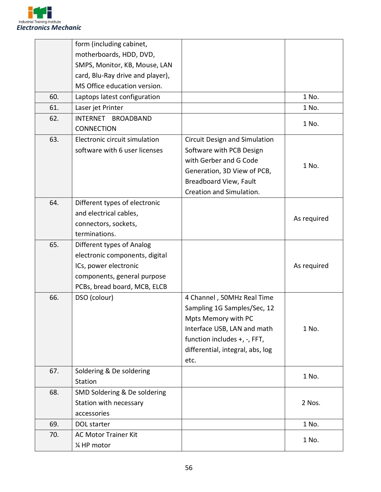

|     | form (including cabinet,         |                                  |             |
|-----|----------------------------------|----------------------------------|-------------|
|     | motherboards, HDD, DVD,          |                                  |             |
|     | SMPS, Monitor, KB, Mouse, LAN    |                                  |             |
|     | card, Blu-Ray drive and player), |                                  |             |
|     | MS Office education version.     |                                  |             |
| 60. | Laptops latest configuration     |                                  | 1 No.       |
| 61. | Laser jet Printer                |                                  | 1 No.       |
| 62. | INTERNET BROADBAND               |                                  | 1 No.       |
|     | <b>CONNECTION</b>                |                                  |             |
| 63. | Electronic circuit simulation    | Circuit Design and Simulation    |             |
|     | software with 6 user licenses    | Software with PCB Design         |             |
|     |                                  | with Gerber and G Code           | 1 No.       |
|     |                                  | Generation, 3D View of PCB,      |             |
|     |                                  | Breadboard View, Fault           |             |
|     |                                  | Creation and Simulation.         |             |
| 64. | Different types of electronic    |                                  |             |
|     | and electrical cables,           |                                  | As required |
|     | connectors, sockets,             |                                  |             |
|     | terminations.                    |                                  |             |
| 65. | Different types of Analog        |                                  |             |
|     | electronic components, digital   |                                  |             |
|     | ICs, power electronic            |                                  | As required |
|     | components, general purpose      |                                  |             |
|     | PCBs, bread board, MCB, ELCB     |                                  |             |
| 66. | DSO (colour)                     | 4 Channel, 50MHz Real Time       |             |
|     |                                  | Sampling 1G Samples/Sec, 12      |             |
|     |                                  | Mpts Memory with PC              |             |
|     |                                  | Interface USB, LAN and math      | 1 No.       |
|     |                                  | function includes +, -, FFT,     |             |
|     |                                  | differential, integral, abs, log |             |
|     |                                  | etc.                             |             |
| 67. | Soldering & De soldering         |                                  | 1 No.       |
|     | Station                          |                                  |             |
| 68. | SMD Soldering & De soldering     |                                  |             |
|     | Station with necessary           |                                  | 2 Nos.      |
|     | accessories                      |                                  |             |
| 69. | DOL starter                      |                                  | 1 No.       |
| 70. | <b>AC Motor Trainer Kit</b>      |                                  | 1 No.       |
|     | 1⁄4 HP motor                     |                                  |             |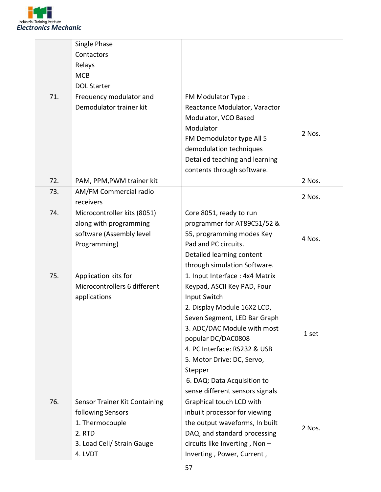

|     | Single Phase                  |                                 |        |
|-----|-------------------------------|---------------------------------|--------|
|     | Contactors                    |                                 |        |
|     | Relays                        |                                 |        |
|     | <b>MCB</b>                    |                                 |        |
|     | <b>DOL Starter</b>            |                                 |        |
| 71. | Frequency modulator and       | FM Modulator Type:              |        |
|     | Demodulator trainer kit       | Reactance Modulator, Varactor   |        |
|     |                               | Modulator, VCO Based            |        |
|     |                               | Modulator                       | 2 Nos. |
|     |                               | FM Demodulator type All 5       |        |
|     |                               | demodulation techniques         |        |
|     |                               | Detailed teaching and learning  |        |
|     |                               | contents through software.      |        |
| 72. | PAM, PPM, PWM trainer kit     |                                 | 2 Nos. |
| 73. | AM/FM Commercial radio        |                                 | 2 Nos. |
|     | receivers                     |                                 |        |
| 74. | Microcontroller kits (8051)   | Core 8051, ready to run         |        |
|     | along with programming        | programmer for AT89C51/52 &     |        |
|     | software (Assembly level      | 55, programming modes Key       | 4 Nos. |
|     | Programming)                  | Pad and PC circuits.            |        |
|     |                               | Detailed learning content       |        |
|     |                               | through simulation Software.    |        |
| 75. | Application kits for          | 1. Input Interface: 4x4 Matrix  |        |
|     | Microcontrollers 6 different  | Keypad, ASCII Key PAD, Four     |        |
|     | applications                  | Input Switch                    |        |
|     |                               | 2. Display Module 16X2 LCD,     |        |
|     |                               | Seven Segment, LED Bar Graph    |        |
|     |                               | 3. ADC/DAC Module with most     |        |
|     |                               | popular DC/DAC0808              | 1 set  |
|     |                               | 4. PC Interface: RS232 & USB    |        |
|     |                               | 5. Motor Drive: DC, Servo,      |        |
|     |                               | Stepper                         |        |
|     |                               | 6. DAQ: Data Acquisition to     |        |
|     |                               | sense different sensors signals |        |
| 76. | Sensor Trainer Kit Containing | Graphical touch LCD with        |        |
|     | following Sensors             | inbuilt processor for viewing   |        |
|     | 1. Thermocouple               | the output waveforms, In built  |        |
|     | 2. RTD                        | DAQ, and standard processing    | 2 Nos. |
|     | 3. Load Cell/ Strain Gauge    | circuits like Inverting, Non-   |        |
|     | 4. LVDT                       | Inverting, Power, Current,      |        |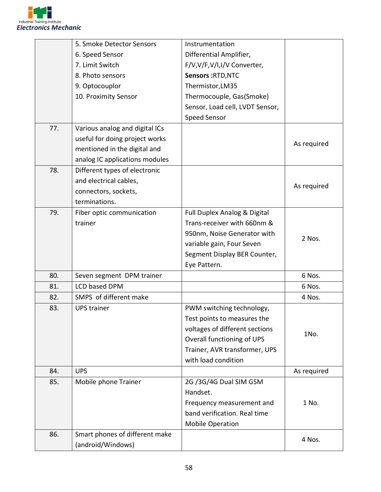

|     | 5. Smoke Detector Sensors      | Instrumentation                 |             |
|-----|--------------------------------|---------------------------------|-------------|
|     | 6. Speed Sensor                | Differential Amplifier,         |             |
|     | 7. Limit Switch                | F/V,V/F,V/I,I/V Converter,      |             |
|     | 8. Photo sensors               | Sensors: RTD, NTC               |             |
|     | 9. Optocouplor                 | Thermistor, LM35                |             |
|     | 10. Proximity Sensor           | Thermocouple, Gas(Smoke)        |             |
|     |                                | Sensor, Load cell, LVDT Sensor, |             |
|     |                                | <b>Speed Sensor</b>             |             |
| 77. | Various analog and digital ICs |                                 |             |
|     | useful for doing project works |                                 |             |
|     | mentioned in the digital and   |                                 | As required |
|     | analog IC applications modules |                                 |             |
| 78. | Different types of electronic  |                                 |             |
|     | and electrical cables,         |                                 |             |
|     | connectors, sockets,           |                                 | As required |
|     | terminations.                  |                                 |             |
| 79. |                                |                                 |             |
|     | Fiber optic communication      | Full Duplex Analog & Digital    |             |
|     | trainer                        | Trans-receiver with 660nm &     |             |
|     |                                | 950nm, Noise Generator with     | 2 Nos.      |
|     |                                | variable gain, Four Seven       |             |
|     |                                | Segment Display BER Counter,    |             |
|     |                                | Eye Pattern.                    |             |
| 80. | Seven segment DPM trainer      |                                 | 6 Nos.      |
| 81. | <b>LCD based DPM</b>           |                                 | 6 Nos.      |
| 82. | SMPS of different make         |                                 | 4 Nos.      |
| 83. | <b>UPS trainer</b>             | PWM switching technology,       |             |
|     |                                | Test points to measures the     |             |
|     |                                | voltages of different sections  | 1No.        |
|     |                                | Overall functioning of UPS      |             |
|     |                                | Trainer, AVR transformer, UPS   |             |
|     |                                | with load condition             |             |
| 84. | <b>UPS</b>                     |                                 | As required |
| 85. | Mobile phone Trainer           | 2G /3G/4G Dual SIM GSM          |             |
|     |                                | Handset.                        |             |
|     |                                | Frequency measurement and       | 1 No.       |
|     |                                | band verification. Real time    |             |
|     |                                | <b>Mobile Operation</b>         |             |
| 86. | Smart phones of different make |                                 | 4 Nos.      |
|     | (android/Windows)              |                                 |             |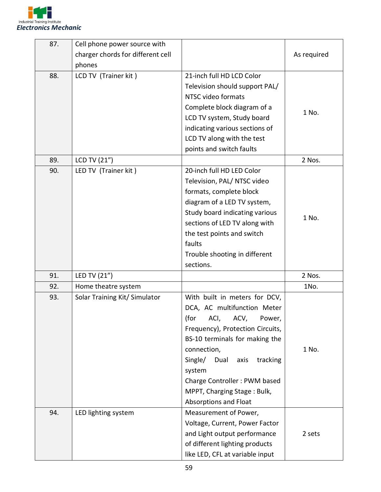

| 87. | Cell phone power source with      |                                                                                                                                                                                                                                                                                                                              |             |
|-----|-----------------------------------|------------------------------------------------------------------------------------------------------------------------------------------------------------------------------------------------------------------------------------------------------------------------------------------------------------------------------|-------------|
|     | charger chords for different cell |                                                                                                                                                                                                                                                                                                                              | As required |
|     | phones                            |                                                                                                                                                                                                                                                                                                                              |             |
| 88. | LCD TV (Trainer kit)              | 21-inch full HD LCD Color<br>Television should support PAL/<br>NTSC video formats<br>Complete block diagram of a<br>LCD TV system, Study board<br>indicating various sections of<br>LCD TV along with the test<br>points and switch faults                                                                                   | 1 No.       |
| 89. | LCD TV (21")                      |                                                                                                                                                                                                                                                                                                                              | 2 Nos.      |
| 90. | LED TV (Trainer kit)              | 20-inch full HD LED Color<br>Television, PAL/ NTSC video<br>formats, complete block<br>diagram of a LED TV system,<br>Study board indicating various<br>sections of LED TV along with<br>the test points and switch<br>faults<br>Trouble shooting in different<br>sections.                                                  | 1 No.       |
| 91. | LED TV (21")                      |                                                                                                                                                                                                                                                                                                                              | 2 Nos.      |
| 92. | Home theatre system               |                                                                                                                                                                                                                                                                                                                              | 1No.        |
| 93. | Solar Training Kit/ Simulator     | With built in meters for DCV,<br>DCA, AC multifunction Meter<br>(for<br>ACI,<br>ACV,<br>Power,<br>Frequency), Protection Circuits,<br>BS-10 terminals for making the<br>connection,<br>Dual<br>Single/<br>axis<br>tracking<br>system<br>Charge Controller: PWM based<br>MPPT, Charging Stage: Bulk,<br>Absorptions and Float | 1 No.       |
| 94. | LED lighting system               | Measurement of Power,<br>Voltage, Current, Power Factor<br>and Light output performance<br>of different lighting products<br>like LED, CFL at variable input                                                                                                                                                                 | 2 sets      |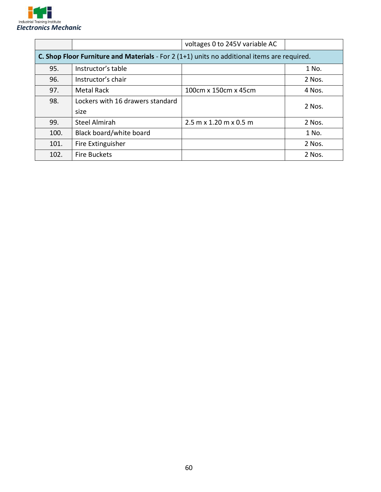

|                                                                                                    |                                  | voltages 0 to 245V variable AC |        |
|----------------------------------------------------------------------------------------------------|----------------------------------|--------------------------------|--------|
| <b>C. Shop Floor Furniture and Materials</b> - For 2 (1+1) units no additional items are required. |                                  |                                |        |
| 95.                                                                                                | Instructor's table               |                                | 1 No.  |
| 96.                                                                                                | Instructor's chair               |                                | 2 Nos. |
| 97.                                                                                                | <b>Metal Rack</b>                | 100cm x 150cm x 45cm           | 4 Nos. |
| 98.                                                                                                | Lockers with 16 drawers standard |                                | 2 Nos. |
|                                                                                                    | size                             |                                |        |
| 99.                                                                                                | <b>Steel Almirah</b>             | 2.5 m x 1.20 m x 0.5 m         | 2 Nos. |
| 100.                                                                                               | Black board/white board          |                                | 1 No.  |
| 101.                                                                                               | Fire Extinguisher                |                                | 2 Nos. |
| 102.                                                                                               | <b>Fire Buckets</b>              |                                | 2 Nos. |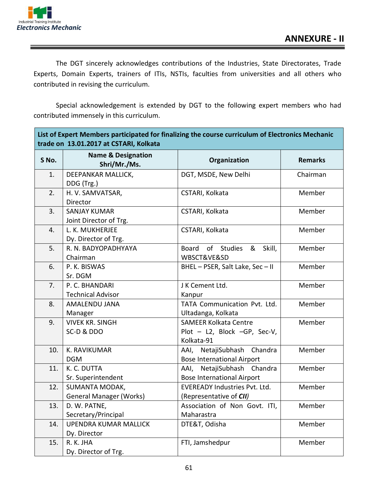

**The Co** 

 $\overline{\phantom{0}}$ 

The DGT sincerely acknowledges contributions of the Industries, State Directorates, Trade Experts, Domain Experts, trainers of ITIs, NSTIs, faculties from universities and all others who contributed in revising the curriculum.

Special acknowledgement is extended by DGT to the following expert members who had contributed immensely in this curriculum.

|       | List of Expert Members participated for finalizing the course curriculum of Electronics Mechanic<br>trade on 13.01.2017 at CSTARI, Kolkata |                                      |                |
|-------|--------------------------------------------------------------------------------------------------------------------------------------------|--------------------------------------|----------------|
| S No. | <b>Name &amp; Designation</b><br>Shri/Mr./Ms.                                                                                              | Organization                         | <b>Remarks</b> |
| 1.    | DEEPANKAR MALLICK,                                                                                                                         | DGT, MSDE, New Delhi                 | Chairman       |
|       | DDG (Trg.)                                                                                                                                 |                                      |                |
| 2.    | H. V. SAMVATSAR,                                                                                                                           | CSTARI, Kolkata                      | Member         |
|       | Director                                                                                                                                   |                                      |                |
| 3.    | <b>SANJAY KUMAR</b>                                                                                                                        | CSTARI, Kolkata                      | Member         |
|       | Joint Director of Trg.                                                                                                                     |                                      |                |
| 4.    | L. K. MUKHERJEE                                                                                                                            | CSTARI, Kolkata                      | Member         |
|       | Dy. Director of Trg.                                                                                                                       |                                      |                |
| 5.    | R. N. BADYOPADHYAYA                                                                                                                        | of Studies<br>&<br>Skill,<br>Board   | Member         |
|       | Chairman                                                                                                                                   | WBSCT&VE&SD                          |                |
| 6.    | P. K. BISWAS                                                                                                                               | BHEL-PSER, Salt Lake, Sec-II         | Member         |
|       | Sr. DGM                                                                                                                                    |                                      |                |
| 7.    | P. C. BHANDARI                                                                                                                             | J K Cement Ltd.                      | Member         |
|       | <b>Technical Advisor</b>                                                                                                                   | Kanpur                               |                |
| 8.    | AMALENDU JANA                                                                                                                              | TATA Communication Pvt. Ltd.         | Member         |
|       | Manager                                                                                                                                    | Ultadanga, Kolkata                   |                |
| 9.    | <b>VIVEK KR. SINGH</b>                                                                                                                     | <b>SAMEER Kolkata Centre</b>         | Member         |
|       | SC-D & DDO                                                                                                                                 | Plot - L2, Block -GP, Sec-V,         |                |
|       |                                                                                                                                            | Kolkata-91                           |                |
| 10.   | K. RAVIKUMAR                                                                                                                               | AAI, NetajiSubhash Chandra           | Member         |
|       | <b>DGM</b>                                                                                                                                 | <b>Bose International Airport</b>    |                |
| 11.   | K. C. DUTTA                                                                                                                                | AAI, NetajiSubhash Chandra           | Member         |
|       | Sr. Superintendent                                                                                                                         | <b>Bose International Airport</b>    |                |
| 12.   | <b>SUMANTA MODAK,</b>                                                                                                                      | <b>EVEREADY Industries Pvt. Ltd.</b> | Member         |
|       | <b>General Manager (Works)</b>                                                                                                             | (Representative of CII)              |                |
| 13.   | D. W. PATNE,                                                                                                                               | Association of Non Govt. ITI,        | Member         |
|       | Secretary/Principal                                                                                                                        | Maharastra                           |                |
| 14.   | <b>UPENDRA KUMAR MALLICK</b>                                                                                                               | DTE&T, Odisha                        | Member         |
|       | Dy. Director                                                                                                                               |                                      |                |
| 15.   | R. K. JHA                                                                                                                                  | FTI, Jamshedpur                      | Member         |
|       | Dy. Director of Trg.                                                                                                                       |                                      |                |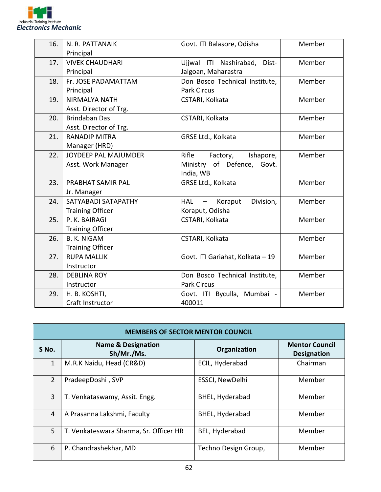

| 16. | N. R. PATTANAIK         | Govt. ITI Balasore, Odisha<br>Member                    |        |
|-----|-------------------------|---------------------------------------------------------|--------|
|     | Principal               |                                                         |        |
| 17. | <b>VIVEK CHAUDHARI</b>  | Ujjwal ITI Nashirabad,<br>Dist-                         | Member |
|     | Principal               | Jalgoan, Maharastra                                     |        |
| 18. | Fr. JOSE PADAMATTAM     | Don Bosco Technical Institute,                          | Member |
|     | Principal               | <b>Park Circus</b>                                      |        |
| 19. | <b>NIRMALYA NATH</b>    | CSTARI, Kolkata                                         | Member |
|     | Asst. Director of Trg.  |                                                         |        |
| 20. | <b>Brindaban Das</b>    | CSTARI, Kolkata                                         | Member |
|     | Asst. Director of Trg.  |                                                         |        |
| 21. | <b>RANADIP MITRA</b>    | GRSE Ltd., Kolkata                                      | Member |
|     | Manager (HRD)           |                                                         |        |
| 22. | JOYDEEP PAL MAJUMDER    | Rifle<br>Factory,<br>Ishapore,                          | Member |
|     | Asst. Work Manager      | Ministry of Defence, Govt.                              |        |
|     |                         | India, WB                                               |        |
| 23. | PRABHAT SAMIR PAL       | GRSE Ltd., Kolkata                                      | Member |
|     | Jr. Manager             |                                                         |        |
| 24. | SATYABADI SATAPATHY     | <b>HAL</b><br>Division,<br>Koraput<br>$\qquad \qquad -$ | Member |
|     | <b>Training Officer</b> | Koraput, Odisha                                         |        |
| 25. | P. K. BAIRAGI           | CSTARI, Kolkata                                         | Member |
|     | <b>Training Officer</b> |                                                         |        |
| 26. | <b>B. K. NIGAM</b>      | CSTARI, Kolkata                                         | Member |
|     | <b>Training Officer</b> |                                                         |        |
| 27. | <b>RUPA MALLIK</b>      | Govt. ITI Gariahat, Kolkata - 19                        | Member |
|     | Instructor              |                                                         |        |
| 28. | <b>DEBLINA ROY</b>      | Don Bosco Technical Institute,                          | Member |
|     | Instructor              | <b>Park Circus</b>                                      |        |
| 29. | H. B. KOSHTI,           | Govt. ITI Byculla, Mumbai -                             | Member |
|     | Craft Instructor        | 400011                                                  |        |

| <b>MEMBERS OF SECTOR MENTOR COUNCIL</b> |                                             |                      |                                             |
|-----------------------------------------|---------------------------------------------|----------------------|---------------------------------------------|
| S No.                                   | <b>Name &amp; Designation</b><br>Sh/Mr./Ms. | Organization         | <b>Mentor Council</b><br><b>Designation</b> |
| $\mathbf{1}$                            | M.R.K Naidu, Head (CR&D)                    | ECIL, Hyderabad      | Chairman                                    |
| 2                                       | PradeepDoshi, SVP                           | ESSCI, NewDelhi      | Member                                      |
| 3                                       | T. Venkataswamy, Assit. Engg.               | BHEL, Hyderabad      | Member                                      |
| 4                                       | A Prasanna Lakshmi, Faculty                 | BHEL, Hyderabad      | Member                                      |
| 5                                       | T. Venkateswara Sharma, Sr. Officer HR      | BEL, Hyderabad       | Member                                      |
| 6                                       | P. Chandrashekhar, MD                       | Techno Design Group, | Member                                      |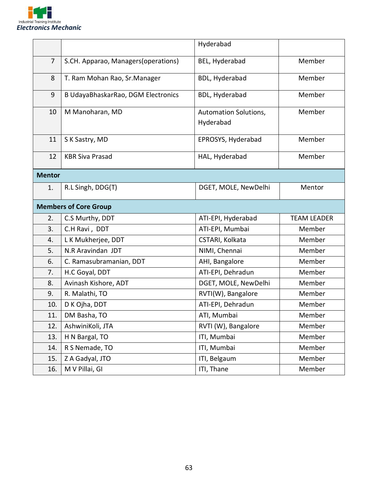

|               |                                     | Hyderabad                          |                    |
|---------------|-------------------------------------|------------------------------------|--------------------|
| 7             | S.CH. Apparao, Managers(operations) | BEL, Hyderabad                     | Member             |
| 8             | T. Ram Mohan Rao, Sr. Manager       | BDL, Hyderabad                     | Member             |
| 9             | B UdayaBhaskarRao, DGM Electronics  | <b>BDL, Hyderabad</b>              | Member             |
| 10            | M Manoharan, MD                     | Automation Solutions,<br>Hyderabad | Member             |
| 11            | S K Sastry, MD                      | EPROSYS, Hyderabad                 | Member             |
| 12            | <b>KBR Siva Prasad</b>              | HAL, Hyderabad                     | Member             |
| <b>Mentor</b> |                                     |                                    |                    |
| 1.            | R.L Singh, DDG(T)                   | DGET, MOLE, NewDelhi               | Mentor             |
|               | <b>Members of Core Group</b>        |                                    |                    |
| 2.            | C.S Murthy, DDT                     | ATI-EPI, Hyderabad                 | <b>TEAM LEADER</b> |
| 3.            | C.H Ravi, DDT                       | ATI-EPI, Mumbai                    | Member             |
| 4.            | L K Mukherjee, DDT                  | CSTARI, Kolkata                    | Member             |
| 5.            | N.R Aravindan JDT                   | NIMI, Chennai                      | Member             |
| 6.            | C. Ramasubramanian, DDT             | AHI, Bangalore                     | Member             |
| 7.            | H.C Goyal, DDT                      | ATI-EPI, Dehradun                  | Member             |
| 8.            | Avinash Kishore, ADT                | DGET, MOLE, NewDelhi               | Member             |
| 9.            | R. Malathi, TO                      | RVTI(W), Bangalore                 | Member             |
| 10.           | D K Ojha, DDT                       | ATI-EPI, Dehradun                  | Member             |
| 11.           | DM Basha, TO                        | ATI, Mumbai                        | Member             |
| 12.           | AshwiniKoli, JTA                    | RVTI (W), Bangalore                | Member             |
| 13.           | H N Bargal, TO                      | ITI, Mumbai                        | Member             |
| 14.           | R S Nemade, TO                      | ITI, Mumbai                        | Member             |
| 15.           | Z A Gadyal, JTO                     | ITI, Belgaum                       | Member             |
| 16.           | M V Pillai, GI                      | ITI, Thane                         | Member             |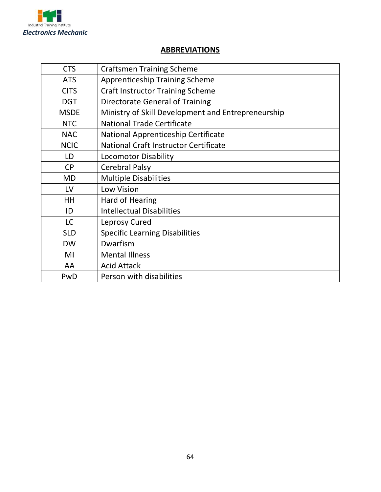

## **ABBREVIATIONS**

| <b>CTS</b>  | <b>Craftsmen Training Scheme</b>                   |
|-------------|----------------------------------------------------|
| <b>ATS</b>  | <b>Apprenticeship Training Scheme</b>              |
| <b>CITS</b> | <b>Craft Instructor Training Scheme</b>            |
| <b>DGT</b>  | <b>Directorate General of Training</b>             |
| <b>MSDE</b> | Ministry of Skill Development and Entrepreneurship |
| <b>NTC</b>  | <b>National Trade Certificate</b>                  |
| <b>NAC</b>  | National Apprenticeship Certificate                |
| <b>NCIC</b> | <b>National Craft Instructor Certificate</b>       |
| LD          | <b>Locomotor Disability</b>                        |
| <b>CP</b>   | <b>Cerebral Palsy</b>                              |
| <b>MD</b>   | <b>Multiple Disabilities</b>                       |
| LV          | <b>Low Vision</b>                                  |
| <b>HH</b>   | Hard of Hearing                                    |
| ID          | <b>Intellectual Disabilities</b>                   |
| <b>LC</b>   | Leprosy Cured                                      |
| <b>SLD</b>  | <b>Specific Learning Disabilities</b>              |
| <b>DW</b>   | Dwarfism                                           |
| MI          | <b>Mental Illness</b>                              |
| AA          | <b>Acid Attack</b>                                 |
| PwD         | Person with disabilities                           |